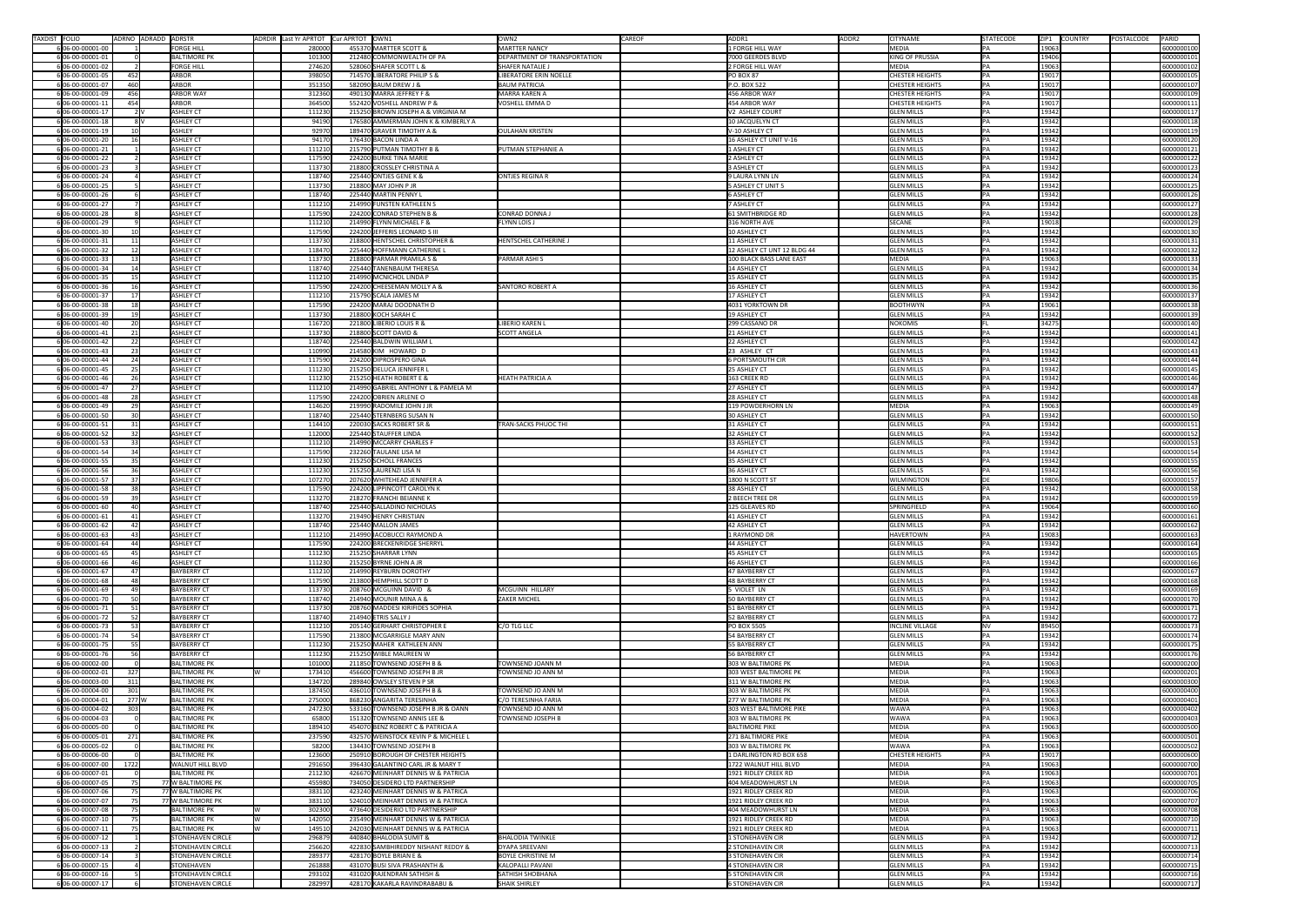| TAXDIST FOLIO |                                      | ADRNO ADRADD ADRSTR   |                                                      | ADRDIR Last Yr APRTOT Cur APRTOT OWN1 |                                                                   | OWN <sub>2</sub><br><b>CAREOF</b>              | ADDR1                                           | ADDR <sub>2</sub> | <b>CITYNAME</b>                                  | STATECODE          | ZIP1 COUNTRY   | PARID<br>POSTALCODE      |
|---------------|--------------------------------------|-----------------------|------------------------------------------------------|---------------------------------------|-------------------------------------------------------------------|------------------------------------------------|-------------------------------------------------|-------------------|--------------------------------------------------|--------------------|----------------|--------------------------|
|               | 6 06-00-00001-00                     |                       | <b>FORGE HILL</b>                                    | 280000                                | 455370 MARTTER SCOTT &                                            | MARTTER NANCY                                  | 1 FORGE HILL WAY                                |                   | MEDIA                                            | PA                 | 19063          | 6000000100               |
|               | 6 06-00-00001-01                     |                       | <b>BALTIMORE PK</b>                                  | 101300                                | 212480 COMMONWEALTH OF PA                                         | DEPARTMENT OF TRANSPORTATION                   | 7000 GEERDES BLVD                               |                   | <b>KING OF PRUSSIA</b>                           |                    | 19406          | 6000000101               |
|               | 6 06-00-00001-02                     |                       | <b>FORGE HILL</b>                                    | 274620                                | 528060 SHAFER SCOTT L &                                           | <b>SHAFER NATALIE J</b>                        | 2 FORGE HILL WAY                                |                   | MEDIA                                            |                    | 19063          | 6000000102               |
|               | 6 06-00-00001-05<br>6 06-00-00001-07 | 452<br>460            | ARBOR<br>ARBOR                                       | 398050<br>351350                      | 714570 LIBERATORE PHILIP S &<br>582090 BAUM DREW J &              | LIBERATORE ERIN NOELLE<br><b>BAUM PATRICIA</b> | PO BOX 87<br>P.O. BOX 522                       |                   | <b>CHESTER HEIGHTS</b><br><b>CHESTER HEIGHTS</b> | PA<br>PA           | 19017<br>19017 | 6000000105<br>6000000107 |
|               | 6 06-00-00001-09                     | 456                   | <b>ARBOR WAY</b>                                     | 312360                                | 490130 MARRA JEFFREY F &                                          | MARRA KAREN A                                  | 456 ARBOR WAY                                   |                   | <b>CHESTER HEIGHTS</b>                           | PA                 | 19017          | 6000000109               |
|               | 6 06-00-00001-11                     | 454                   | ARBOR                                                | 364500                                | 552420 VOSHELL ANDREW P &                                         | <b>VOSHELL EMMA D</b>                          | 454 ARBOR WAY                                   |                   | <b>CHESTER HEIGHTS</b>                           |                    | 19017          | 6000000111               |
|               | 606-00-00001-17                      | 2 V                   | <b>ASHLEY CT</b>                                     | 111230                                | 215250 BROWN JOSEPH A & VIRGINIA M                                |                                                | V2 ASHLEY COURT                                 |                   | <b>GLEN MILLS</b>                                |                    | 19342          | 6000000117               |
|               | 6 06-00-00001-18                     | -8 V                  | <b>ASHLEY CT</b>                                     | 94190                                 | 176580 AMMERMAN JOHN K & KIMBERLY A                               |                                                | 10 JACQUELYN CT                                 |                   | <b>GLEN MILLS</b>                                |                    | 19342          | 6000000118               |
|               | 6 06-00-00001-19                     |                       | ASHLEY                                               | 92970                                 | 189470 GRAVER TIMOTHY A &                                         | <b>OULAHAN KRISTEN</b>                         | V-10 ASHLEY CT                                  |                   | <b>GLEN MILLS</b>                                |                    | 19342          | 6000000119               |
|               | 6 06-00-00001-20                     | 16                    | <b>ASHLEY CT</b>                                     | 94170                                 | 176430 BACON LINDA A                                              |                                                | 16 ASHLEY CT UNIT V-16                          |                   | <b>GLEN MILLS</b>                                | PA                 | 19342          | 6000000120               |
|               | 6 06-00-00001-21                     |                       | <b>ASHLEY CT</b>                                     | 111210                                | 215790 PUTMAN TIMOTHY B &                                         | <b>PUTMAN STEPHANIE A</b>                      | 1 ASHLEY CT                                     |                   | <b>GLEN MILLS</b>                                | PA                 | 19342          | 6000000121               |
|               | 6 06-00-00001-22                     |                       | <b>ASHLEY CT</b>                                     | 117590                                | 224200 BURKE TINA MARIE                                           |                                                | 2 ASHLEY CT                                     |                   | <b>GLEN MILLS</b>                                |                    | 19342          | 6000000122               |
|               | 6 06-00-00001-23<br>6 06-00-00001-24 |                       | <b>ASHLEY CT</b><br><b>ASHLEY CT</b>                 | 113730<br>118740                      | 218800 CROSSLEY CHRISTINA A<br>225440 ONTJES GENE K &             | <b>ONTJES REGINA R</b>                         | 3 ASHLEY CT<br>9 LAURA LYNN LN                  |                   | <b>GLEN MILLS</b><br><b>GLEN MILLS</b>           |                    | 19342<br>19342 | 6000000123<br>6000000124 |
|               | 6 06-00-00001-25                     |                       | <b>ASHLEY CT</b>                                     | 113730                                | 218800 MAY JOHN P JR                                              |                                                | 5 ASHLEY CT UNIT 5                              |                   | <b>GLEN MILLS</b>                                | PA                 | 19342          | 6000000125               |
|               | 6 06-00-00001-26                     |                       | <b>ASHLEY CT</b>                                     | 118740                                | 225440 MARTIN PENNY L                                             |                                                | <b>6 ASHLEY CT</b>                              |                   | <b>GLEN MILLS</b>                                |                    | 19342          | 6000000126               |
|               | 6 06-00-00001-27                     |                       | <b>ASHLEY CT</b>                                     | 111210                                | 214990 FUNSTEN KATHLEEN S                                         |                                                | 7 ASHLEY CT                                     |                   | <b>GLEN MILLS</b>                                | PA                 | 19342          | 6000000127               |
|               | 6 06-00-00001-28                     |                       | <b>ASHLEY CT</b>                                     | 117590                                | 224200 CONRAD STEPHEN B &                                         | <b>CONRAD DONNA J</b>                          | <b>61 SMITHBRIDGE RD</b>                        |                   | <b>GLEN MILLS</b>                                |                    | 19342          | 6000000128               |
|               | 6 06-00-00001-29                     |                       | <b>ASHLEY CT</b>                                     | 111210                                | 214990 FLYNN MICHAEL F &                                          | <b>FLYNN LOIS J</b>                            | 316 NORTH AVE                                   |                   | SECANE                                           |                    | 19018          | 6000000129               |
|               | 6 06-00-00001-30                     |                       | <b>ASHLEY CT</b>                                     | 117590                                | 224200 JEFFERIS LEONARD S III                                     |                                                | 10 ASHLEY CT                                    |                   | <b>GLEN MILLS</b>                                |                    | 19342          | 6000000130               |
|               | 6 06-00-00001-31                     | 11                    | <b>ASHLEY CT</b>                                     | 113730                                | 218800 HENTSCHEL CHRISTOPHER &                                    | <b>HENTSCHEL CATHERINE</b>                     | 11 ASHLEY CT                                    |                   | <b>GLEN MILLS</b>                                |                    | 19342          | 6000000131               |
|               | 6 06-00-00001-32                     | 12                    | <b>ASHLEY CT</b>                                     | 118470                                | 225440 HOFFMANN CATHERINE L                                       |                                                | 12 ASHLEY CT UNT 12 BLDG 44                     |                   | <b>GLEN MILLS</b>                                | PA                 | 19342          | 6000000132               |
|               | 6 06-00-00001-33                     | 13                    | <b>ASHLEY CT</b>                                     | 113730                                | 218800 PARMAR PRAMILA S &                                         | <b>PARMAR ASHIS</b>                            | 100 BLACK BASS LANE EAST                        |                   | MEDIA                                            | $\mathsf{P}\Delta$ | 19063          | 6000000133               |
|               | 6 06-00-00001-34                     | 14                    | <b>ASHLEY CT</b>                                     | 118740                                | 225440 TANENBAUM THERESA                                          |                                                | 14 ASHLEY CT                                    |                   | <b>GLEN MILLS</b>                                | PA                 | 19342          | 6000000134               |
|               | 6 06-00-00001-35<br>6 06-00-00001-36 | 15 <sub>l</sub><br>16 | <b>ASHLEY CT</b><br><b>ASHLEY CT</b>                 | 111210<br>117590                      | 214990 MCNICHOL LINDA P<br>224200 CHEESEMAN MOLLY A &             | <b>SANTORO ROBERT A</b>                        | 15 ASHLEY CT<br>16 ASHLEY CT                    |                   | <b>GLEN MILLS</b><br><b>GLEN MILLS</b>           |                    | 19342<br>19342 | 6000000135<br>6000000136 |
|               | 6 06-00-00001-37                     | 17                    | <b>ASHLEY CT</b>                                     | 111210                                | 215790 SCALA JAMES M                                              |                                                | 17 ASHLEY CT                                    |                   | <b>GLEN MILLS</b>                                |                    | 19342          | 6000000137               |
|               | 6 06-00-00001-38                     |                       | <b>ASHLEY CT</b>                                     | 117590                                | 224200 MARAJ DOODNATH D                                           |                                                | 4031 YORKTOWN DR                                |                   | <b>BOOTHWYN</b>                                  |                    | 19061          | 6000000138               |
|               | 606-00-00001-39                      | 19                    | <b>ASHLEY CT</b>                                     | 113730                                | 218800 KOCH SARAH C                                               |                                                | 19 ASHLEY CT                                    |                   | <b>GLEN MILLS</b>                                | PA                 | 19342          | 6000000139               |
|               | 6 06-00-00001-40                     | 20 <sub>l</sub>       | <b>ASHLEY CT</b>                                     | 116720                                | 221800 LIBERIO LOUIS R &                                          | LIBERIO KAREN L                                | 299 CASSANO DR                                  |                   | NOKOMIS                                          |                    | 34275          | 6000000140               |
|               | 6 06-00-00001-41                     | 21                    | <b>ASHLEY CT</b>                                     | 113730                                | 218800 SCOTT DAVID &                                              | <b>SCOTT ANGELA</b>                            | 21 ASHLEY CT                                    |                   | <b>GLEN MILLS</b>                                | PA                 | 19342          | 6000000141               |
|               | 6 06-00-00001-42                     | 22                    | <b>ASHLEY CT</b>                                     | 118740                                | 225440 BALDWIN WILLIAM L                                          |                                                | 22 ASHLEY CT                                    |                   | <b>GLEN MILLS</b>                                |                    | 19342          | 6000000142               |
|               | 6 06-00-00001-43                     | 23                    | <b>ASHLEY CT</b>                                     | 110990                                | 214580 KIM HOWARD D                                               |                                                | 23 ASHLEY CT                                    |                   | <b>GLEN MILLS</b>                                |                    | 19342          | 6000000143               |
|               | 6 06-00-00001-44                     | 24                    | <b>ASHLEY CT</b>                                     | 117590                                | 224200 DIPROSPERO GINA                                            |                                                | <b>6 PORTSMOUTH CIR</b>                         |                   | <b>GLEN MILLS</b>                                |                    | 19342          | 6000000144               |
|               | 6 06-00-00001-45                     |                       | <b>ASHLEY CT</b>                                     | 111230                                | 215250 DELUCA JENNIFER L                                          |                                                | 25 ASHLEY CT                                    |                   | <b>GLEN MILLS</b>                                |                    | 19342          | 6000000145               |
|               | 6 06-00-00001-46                     | 26                    | <b>ASHLEY CT</b>                                     | 111230                                | 215250 HEATH ROBERT E &                                           | <b>HEATH PATRICIA A</b>                        | 163 CREEK RD                                    |                   | <b>GLEN MILLS</b>                                | PA                 | 19342          | 6000000146               |
|               | 6 06-00-00001-47                     | 27                    | <b>ASHLEY CT</b>                                     | 111210                                | 214990 GABRIEL ANTHONY L & PAMELA M                               |                                                | 27 ASHLEY CT                                    |                   | <b>GLEN MILLS</b>                                |                    | 19342          | 6000000147               |
|               | 6 06-00-00001-48<br>6 06-00-00001-49 | 28<br><b>29</b>       | <b>ASHLEY CT</b><br><b>ASHLEY CT</b>                 | 117590<br>114620                      | 224200 OBRIEN ARLENE O<br>219990 RADOMILE JOHN J JR               |                                                | 28 ASHLEY CT<br>119 POWDERHORN LN               |                   | <b>GLEN MILLS</b><br>MEDIA                       |                    | 19342<br>19063 | 6000000148<br>6000000149 |
|               | 6 06-00-00001-50                     |                       | <b>ASHLEY CT</b>                                     | 118740                                | 225440 STERNBERG SUSAN N                                          |                                                | 30 ASHLEY CT                                    |                   | <b>GLEN MILLS</b>                                |                    | 19342          | 6000000150               |
|               | 6 06-00-00001-51                     | 31                    | <b>ASHLEY CT</b>                                     | 114410                                | 220030 SACKS ROBERT SR &                                          | <b>TRAN-SACKS PHUOC THI</b>                    | 31 ASHLEY CT                                    |                   | <b>GLEN MILLS</b>                                |                    | 19342          | 6000000151               |
|               | 6 06-00-00001-52                     | 32                    | <b>ASHLEY CT</b>                                     | 112000                                | 225440 STAUFFER LINDA                                             |                                                | 32 ASHLEY CT                                    |                   | <b>GLEN MILLS</b>                                |                    | 19342          | 6000000152               |
|               | 6 06-00-00001-53                     | 33                    | <b>ASHLEY CT</b>                                     | 111210                                | 214990 MCCARRY CHARLES F                                          |                                                | 33 ASHLEY CT                                    |                   | <b>GLEN MILLS</b>                                |                    | 19342          | 6000000153               |
|               | 6 06-00-00001-54                     | 34                    | <b>ASHLEY CT</b>                                     | 117590                                | 232260 TAULANE LISA M                                             |                                                | 34 ASHLEY CT                                    |                   | <b>GLEN MILLS</b>                                |                    | 19342          | 6000000154               |
|               | 6 06-00-00001-55                     | 35                    | <b>ASHLEY CT</b>                                     | 111230                                | 215250 SCHOLL FRANCES                                             |                                                | 35 ASHLEY CT                                    |                   | <b>GLEN MILLS</b>                                |                    | 19342          | 6000000155               |
|               | 6 06-00-00001-56                     | 36                    | <b>ASHLEY CT</b>                                     | 111230                                | 215250 LAURENZI LISA N                                            |                                                | 36 ASHLEY CT                                    |                   | <b>GLEN MILLS</b>                                |                    | 19342          | 6000000156               |
|               | 6 06-00-00001-57                     | 37                    | <b>ASHLEY CT</b>                                     | 107270                                | 207620 WHITEHEAD JENNIFER A                                       |                                                | 1800 N SCOTT ST                                 |                   | <b>WILMINGTON</b>                                |                    | 19806          | 6000000157               |
|               | 6 06-00-00001-58                     | 38                    | <b>ASHLEY CT</b>                                     | 117590                                | 224200 LIPPINCOTT CAROLYN K                                       |                                                | 38 ASHLEY CT                                    |                   | <b>GLEN MILLS</b>                                | PA                 | 19342          | 6000000158               |
|               | 6 06-00-00001-59                     |                       | <b>ASHLEY CT</b>                                     | 113270                                | 218270 FRANCHI BEIANNE K                                          |                                                | 2 BEECH TREE DR                                 |                   | <b>GLEN MILLS</b><br>SPRINGFIELD                 | IΡA                | 19342<br>19064 | 6000000159               |
|               | 6 06-00-00001-60<br>6 06-00-00001-61 | 40<br>41              | <b>ASHLEY CT</b><br><b>ASHLEY CT</b>                 | 118740<br>113270                      | 225440 SALLADINO NICHOLAS<br>219490 HENRY CHRISTIAN               |                                                | 125 GLEAVES RD<br>41 ASHLEY CT                  |                   | <b>GLEN MILLS</b>                                |                    | 19342          | 6000000160<br>6000000161 |
|               | 6 06-00-00001-62                     |                       | <b>ASHLEY CT</b>                                     | 118740                                | 225440 MALLON JAMES                                               |                                                | 42 ASHLEY CT                                    |                   | <b>GLEN MILLS</b>                                |                    | 19342          | 6000000162               |
|               | 6 06-00-00001-63                     | 43                    | <b>ASHLEY CT</b>                                     | 111210                                | 214990 IACOBUCCI RAYMOND A                                        |                                                | 1 RAYMOND DR                                    |                   | <b>HAVERTOWN</b>                                 |                    | 19083          | 6000000163               |
|               | 6 06-00-00001-64                     | 44                    | <b>ASHLEY CT</b>                                     | 117590                                | 224200 BRECKENRIDGE SHERRYL                                       |                                                | 44 ASHLEY CT                                    |                   | <b>GLEN MILLS</b>                                | PA                 | 19342          | 6000000164               |
|               | 6 06-00-00001-65                     | 45                    | <b>ASHLEY CT</b>                                     | 111230                                | 215250 SHARRAR LYNN                                               |                                                | 45 ASHLEY CT                                    |                   | <b>GLEN MILLS</b>                                | PA                 | 19342          | 6000000165               |
|               | 6 06-00-00001-66                     |                       | <b>ASHLEY CT</b>                                     | 111230                                | 215250 BYRNE JOHN A JR                                            |                                                | 46 ASHLEY CT                                    |                   | <b>GLEN MILLS</b>                                |                    | 19342          | 6000000166               |
|               | 6 06-00-00001-67                     | 47                    | <b>BAYBERRY CT</b>                                   | 111210                                | 214990 REYBURN DOROTHY                                            |                                                | 47 BAYBERRY CT                                  |                   | <b>GLEN MILLS</b>                                |                    | 19342          | 6000000167               |
|               | 6 06-00-00001-68                     | 481                   | <b>BAYBERRY CT</b>                                   | 117590                                | 213800 HEMPHILL SCOTT D                                           |                                                | 48 BAYBERRY CT                                  |                   | <b>GLEN MILLS</b>                                |                    | 19342          | 6000000168               |
|               | 6 06-00-00001-69                     |                       | <b>BAYBERRY CT</b>                                   | 113730                                | 208760 MCGUINN DAVID &                                            | MCGUINN HILLARY                                | 5 VIOLET LN                                     |                   | <b>GLEN MILLS</b>                                |                    | 19342          | 6000000169               |
|               | 606-00-00001-70                      | 50                    | <b>BAYBERRY CT</b>                                   | 118740                                | 214940 MOUNIR MINA A &                                            | <b>ZAKER MICHEL</b>                            | 50 BAYBERRY CT                                  |                   | <b>GLEN MILLS</b>                                | PA                 | 19342          | 6000000170               |
|               | 6 06-00-00001-71<br>6 06-00-00001-72 | 51<br>52              | <b>BAYBERRY CT</b><br><b>BAYBERRY CT</b>             | 113730<br>118740                      | 208760 MADDESI KIRIFIDES SOPHIA<br>214940 ETRIS SALLY J           |                                                | 51 BAYBERRY CT<br>52 BAYBERRY CT                |                   | <b>GLEN MILLS</b><br><b>GLEN MILLS</b>           | I P A<br>PA        | 19342<br>19342 | 6000000171<br>6000000172 |
|               | 6 06-00-00001-73                     | 53 <sub>1</sub>       | <b>BAYBERRY CT</b>                                   | 111210                                | 205140 GERHART CHRISTOPHER E                                      | C/O TLG LLC                                    | PO BOX 5505                                     |                   | <b>INCLINE VILLAGE</b>                           |                    | 89450          | 6000000173               |
|               | 6 06-00-00001-74                     | 54                    | <b>BAYBERRY CT</b>                                   | 117590                                | 213800 MCGARRIGLE MARY ANN                                        |                                                | 54 BAYBERRY CT                                  |                   | <b>GLEN MILLS</b>                                |                    | 19342          | 6000000174               |
|               | 6 06-00-00001-75                     | 55                    | <b>BAYBERRY CT</b>                                   | 111230                                | 215250 MAHER KATHLEEN ANN                                         |                                                | 55 BAYBERRY CT                                  |                   | <b>GLEN MILLS</b>                                |                    | 19342          | 6000000175               |
|               | 6 06-00-00001-76                     |                       | <b>BAYBERRY CT</b>                                   | 111230                                | 215250 WIBLE MAUREEN W                                            |                                                | 56 BAYBERRY CT                                  |                   | <b>GLEN MILLS</b>                                | PA                 | 19342          | 6000000176               |
|               | 6 06-00-00002-00                     |                       | <b>BALTIMORE PK</b>                                  | 101000                                | 211850 TOWNSEND JOSEPH B &                                        | TOWNSEND JOANN M                               | 303 W BALTIMORE PK                              |                   | MEDIA                                            | PA                 | 19063          | 6000000200               |
|               | 6 06-00-00002-01                     | 327                   | <b>BALTIMORE PK</b>                                  | 173410                                | 456600 TOWNSEND JOSEPH B JR                                       | TOWNSEND JO ANN M                              | 303 WEST BALTIMORE PK                           |                   | MEDIA                                            |                    | 19063          | 6000000201               |
|               | 6 06-00-00003-00                     | 311                   | <b>BALTIMORE PK</b>                                  | 134720                                | 289840 OWSLEY STEVEN P SR                                         |                                                | 311 W BALTIMORE PK                              |                   | MEDIA                                            |                    | 19063          | 6000000300               |
|               | 6 06-00-00004-00                     | 301                   | <b>BALTIMORE PK</b>                                  | 187450                                | 436010 TOWNSEND JOSEPH B &                                        | TOWNSEND JO ANN M                              | 303 W BALTIMORE PK                              |                   | MEDIA                                            |                    | 19063          | 6000000400               |
|               | 6 06-00-00004-01                     | $277$ W               | <b>BALTIMORE PK</b>                                  | 275000                                | 868230 ANGARITA TERESINHA                                         | C/O TERESINHA FARIA                            | 277 W BALTIMORE PK                              |                   | MEDIA                                            |                    | 19063          | 6000000401               |
|               | 6 06-00-00004-02<br>6 06-00-00004-03 | 303                   | <b>BALTIMORE PK</b><br><b>BALTIMORE PK</b>           | 247230<br>65800                       | 533160 TOWNSEND JOSEPH B JR & OANN<br>151320 TOWNSEND ANNIS LEE & | TOWNSEND JO ANN M<br><b>TOWNSEND JOSEPH B</b>  | 303 WEST BALTIMORE PIKE<br>303 W BALTIMORE PK   |                   | <b>WAWA</b><br><b>WAWA</b>                       |                    | 19063<br>19063 | 6000000402               |
|               | 6 06-00-00005-00                     |                       | <b>BALTIMORE PK</b>                                  | 189410                                | 454070 BENZ ROBERT C & PATRICIA A                                 |                                                | <b>BALTIMORE PIKE</b>                           |                   | MEDIA                                            |                    | 19063          | 6000000403<br>6000000500 |
|               | 6 06-00-00005-01                     | 271                   | <b>BALTIMORE PK</b>                                  | 237590                                | 432570 WEINSTOCK KEVIN P & MICHELE L                              |                                                | 271 BALTIMORE PIKE                              |                   | MEDIA                                            |                    | 19063          | 6000000501               |
|               | 6 06-00-00005-02                     |                       | <b>BALTIMORE PK</b>                                  | 58200                                 | 134430 TOWNSEND JOSEPH B                                          |                                                | 303 W BALTIMORE PK                              |                   | <b>WAWA</b>                                      |                    | 19063          | 6000000502               |
|               | 6 06-00-00006-00                     |                       | <b>BALTIMORE PK</b>                                  | 123600                                | 250910 BOROUGH OF CHESTER HEIGHTS                                 |                                                | 1 DARLINGTON RD BOX 658                         |                   | <b>CHESTER HEIGHTS</b>                           |                    | 19017          | 6000000600               |
|               | 6 06-00-00007-00                     | 1722                  | <b>WALNUT HILL BLVD</b>                              | 291650                                | 396430 GALANTINO CARL JR & MARY T                                 |                                                | 1722 WALNUT HILL BLVD                           |                   | MEDIA                                            |                    | 19063          | 6000000700               |
|               | 6 06-00-00007-01                     |                       | <b>BALTIMORE PK</b>                                  | 211230                                | 426670 MEINHART DENNIS W & PATRICIA                               |                                                | 1921 RIDLEY CREEK RD                            |                   | MEDIA                                            |                    | 19063          | 6000000701               |
|               | 6 06-00-00007-05                     | 75                    | 77 W BALTIMORE PK                                    | 455980                                | 734050 DESIDERO LTD PARTNERSHIP                                   |                                                | 404 MEADOWHURST LN                              |                   | MEDIA                                            | I P A              | 19063          | 6000000705               |
|               | 6 06-00-00007-06                     | 75                    | 77 W BALTIMORE PK                                    | 383110                                | 423240 MEINHART DENNIS W & PATRICA                                |                                                | 1921 RIDLEY CREEK RD                            |                   | MEDIA                                            |                    | 19063          | 6000000706               |
|               | 6 06-00-00007-07                     | 75                    | 77 W BALTIMORE PK                                    | 383110                                | 524010 MEINHART DENNIS W & PATRICA                                |                                                | 1921 RIDLEY CREEK RD                            |                   | MEDIA                                            |                    | 19063          | 6000000707               |
|               | 6 06-00-00007-08                     | 75                    | <b>BALTIMORE PK</b>                                  | 302300                                | 473640 DESIDERIO LTD PARTNERSHIP                                  |                                                | 404 MEADOWHURST LN                              |                   | MEDIA                                            |                    | 19063          | 6000000708               |
|               | 6 06-00-00007-10                     | -75 I                 | <b>BALTIMORE PK</b>                                  | 142050                                | 235490 MEINHART DENNIS W & PATRICIA                               |                                                | 1921 RIDLEY CREEK RD                            |                   | MEDIA                                            |                    | 19063          | 6000000710               |
|               | 6 06-00-00007-11<br>6 06-00-00007-12 |                       | <b>BALTIMORE PK</b>                                  | 149510                                | 242030 MEINHART DENNIS W & PATRICIA                               | <b>BHALODIA TWINKLE</b>                        | 1921 RIDLEY CREEK RD<br><b>1 STONEHAVEN CIR</b> |                   | MEDIA<br><b>GLEN MILLS</b>                       |                    | 19063<br>19342 | 6000000711               |
|               | 6 06-00-00007-13                     |                       | <b>STONEHAVEN CIRCLE</b><br><b>STONEHAVEN CIRCLE</b> | 296879<br>256620                      | 440840 BHALODIA SUMIT &<br>422830 SAMBHIREDDY NISHANT REDDY &     | DYAPA SREEVANI                                 | 2 STONEHAVEN CIR                                |                   | <b>GLEN MILLS</b>                                |                    | 19342          | 6000000712<br>6000000713 |
|               | 6 06-00-00007-14                     |                       | <b>STONEHAVEN CIRCLE</b>                             | 289377                                | 428170 BOYLE BRIAN E &                                            | <b>BOYLE CHRISTINE M</b>                       | 3 STONEHAVEN CIR                                |                   | <b>GLEN MILLS</b>                                |                    | 19342          | 6000000714               |
|               | 6 06-00-00007-15                     |                       | STONEHAVEN                                           | 261888                                | 431070 BUSI SIVA PRASHANTH &                                      | KALOPALLI PAVANI                               | <b>4 STONEHAVEN CIR</b>                         |                   | <b>GLEN MILLS</b>                                |                    | 19342          | 6000000715               |
|               | 6 06-00-00007-16                     |                       | <b>STONEHAVEN CIRCLE</b>                             | 293102                                | 431020 RAJENDRAN SATHISH &                                        | <b>SATHISH SHOBHANA</b>                        | <b>5 STONEHAVEN CIR</b>                         |                   | <b>GLEN MILLS</b>                                |                    | 19342          | 6000000716               |
|               | 606-00-00007-17                      |                       | STONEHAVEN CIRCLE                                    | 282997                                | 428170 KAKARLA RAVINDRABABU &                                     | <b>SHAIK SHIRLEY</b>                           | 6 STONEHAVEN CIR                                |                   | <b>GLEN MILLS</b>                                | PA                 | 19342          | 6000000717               |
|               |                                      |                       |                                                      |                                       |                                                                   |                                                |                                                 |                   |                                                  |                    |                |                          |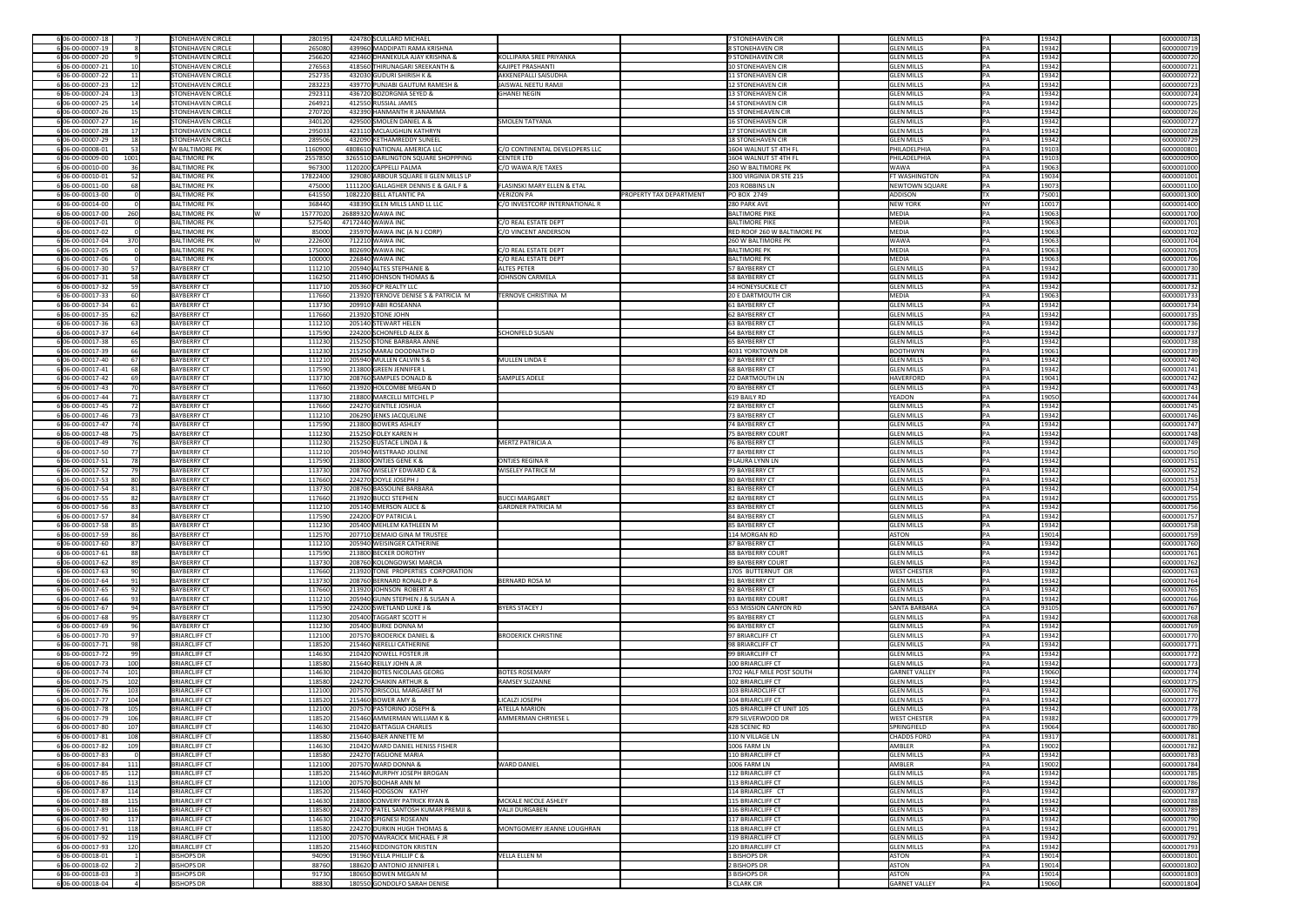| 6 06-00-00007-18                    |                 | <b>STONEHAVEN CIRCLE</b>               | 280195         | 424780 SCULLARD MICHAEL                              |                                        |                                | 7 STONEHAVEN CIR                   | <b>GLEN MILLS</b>             | IPA. | 19342           | 6000000718               |
|-------------------------------------|-----------------|----------------------------------------|----------------|------------------------------------------------------|----------------------------------------|--------------------------------|------------------------------------|-------------------------------|------|-----------------|--------------------------|
| 6 06-00-00007-19                    |                 | <b>STONEHAVEN CIRCLE</b>               | 265080         | 439960 MADDIPATI RAMA KRISHNA                        |                                        |                                | 8 STONEHAVEN CIR                   | <b>GLEN MILLS</b>             |      | 19342           | 6000000719               |
| 6 06-00-00007-20                    |                 | <b>STONEHAVEN CIRCLE</b>               | 256620         | 423460 DHANEKULA AJAY KRISHNA &                      | KOLLIPARA SREE PRIYANKA                |                                | 9 STONEHAVEN CIR                   | <b>GLEN MILLS</b>             |      | 19342           | 6000000720               |
|                                     |                 |                                        |                |                                                      |                                        |                                |                                    |                               |      |                 |                          |
| 6 06-00-00007-21                    |                 | <b>STONEHAVEN CIRCLE</b>               | 276563         | 418560 THIRUNAGARI SREEKANTH &                       | <b>KAJIPET PRASHANTI</b>               |                                | <b>10 STONEHAVEN CIR</b>           | <b>GLEN MILLS</b>             |      | 19342           | 6000000721               |
| 6 06-00-00007-22                    | 11              | <b>STONEHAVEN CIRCLE</b>               | 252735         | 432030 GUDURI SHIRISH K &                            | <b>AKKENEPALLI SAISUDHA</b>            |                                | 11 STONEHAVEN CIR                  | <b>GLEN MILLS</b>             |      | 19342           | 6000000722               |
| 6 06-00-00007-23                    | 12              | <b>STONEHAVEN CIRCLE</b>               | 283223         | 439770 PUNJABI GAUTUM RAMESH &                       | JAISWAL NEETU RAMJI                    |                                | 12 STONEHAVEN CIR                  | <b>GLEN MILLS</b>             |      | 19342           | 6000000723               |
| 6 06-00-00007-24                    | 13              | <b>STONEHAVEN CIRCLE</b>               | 292311         | 436720 BOZORGNIA SEYED &                             | <b>GHANEI NEGIN</b>                    |                                | 13 STONEHAVEN CIR                  | <b>GLEN MILLS</b>             |      | 19342           | 6000000724               |
| 6 06-00-00007-25                    | 14              | <b>STONEHAVEN CIRCLE</b>               | 264921         | 412550 RUSSIAL JAMES                                 |                                        |                                | 14 STONEHAVEN CIR                  | <b>GLEN MILLS</b>             |      | 19342           | 6000000725               |
| 6 06-00-00007-26                    | 15 <sub>l</sub> | <b>STONEHAVEN CIRCLE</b>               | 270720         | 432390 HANMANTH R JANAMMA                            |                                        |                                | 15 STONEHEAVEN CIR                 | <b>GLEN MILLS</b>             |      | 19342           | 6000000726               |
|                                     |                 |                                        |                |                                                      |                                        |                                |                                    |                               |      |                 |                          |
| 6 06-00-00007-27                    |                 | <b>STONEHAVEN CIRCLE</b>               | 340120         | 429500 SMOLEN DANIEL A &                             | <b>SMOLEN TATYANA</b>                  |                                | 16 STONEHAVEN CIR                  | <b>GLEN MILLS</b>             |      | 19342           | 6000000727               |
| 6 06-00-00007-28                    |                 | <b>STONEHAVEN CIRCLE</b>               | 295033         | 423110 MCLAUGHLIN KATHRYN                            |                                        |                                | 17 STONEHAVEN CIR                  | <b>GLEN MILLS</b>             |      | 19342           | 6000000728               |
| 6 06-00-00007-29                    | 18 <sup>2</sup> | <b>STONEHAVEN CIRCLE</b>               | 289506         | 432090 KETHAMREDDY SUNEEL                            |                                        |                                | 18 STONEHAVEN CIR                  | <b>GLEN MILLS</b>             |      | 19342           | 6000000729               |
| 6 06-00-00008-01                    | 53              | <b>W BALTIMORE PK</b>                  | 1160900        | 4808610 NATIONAL AMERICA LLC                         | C/O CONTINENTAL DEVELOPERS LLC         |                                | 1604 WALNUT ST 4TH FL              | PHILADELPHIA                  |      | 19103           | 6000000801               |
| 6 06-00-00009-00                    | 1001            | <b>BALTIMORE PK</b>                    | 2557850        | 3265510 DARLINGTON SQUARE SHOPPPING                  | <b>CENTER LTD</b>                      |                                | 1604 WALNUT ST 4TH FL              | PHILADELPHIA                  |      | 19103           | 6000000900               |
|                                     |                 |                                        |                |                                                      |                                        |                                | <b>260 W BALTIMORE PK</b>          |                               |      | 19063           |                          |
| 6 06-00-00010-00                    |                 | <b>BALTIMORE PK</b>                    | 967300         | 1120200 CAPPELLI PALMA                               | C/O WAWA R/E TAXES                     |                                |                                    | WAWA                          |      |                 | 6000001000               |
| 6 06-00-00010-01                    |                 | <b>BALTIMORE PK</b>                    | 17822400       | 329080 ARBOUR SQUARE II GLEN MILLS LP                |                                        |                                | 1300 VIRGINIA DR STE 215           | <b>FT WASHINGTON</b>          |      | 19034           | 6000001001               |
| 6 06-00-00011-00                    | -681            | <b>BALTIMORE PK</b>                    | 475000         | 1111200 GALLAGHER DENNIS E & GAIL F &                | <b>FLASINSKI MARY ELLEN &amp; ETAL</b> |                                | 203 ROBBINS LN                     | NEWTOWN SQUARE                |      | 19073           | 6000001100               |
| 6 06-00-00013-00                    |                 | <b>BALTIMORE PK</b>                    | 641550         | 1082220 BELL ATLANTIC PA                             | <b>VERIZON PA</b>                      | <b>PROPERTY TAX DEPARTMENT</b> | <b>PO BOX 2749</b>                 | ADDISON                       |      | 75001           | 6000001300               |
| 6 06-00-00014-00                    |                 | <b>BALTIMORE PK</b>                    | 368440         | 438390 GLEN MILLS LAND LL LLC                        | C/O INVESTCORP INTERNATIONAL R         |                                | 280 PARK AVE                       | NEW YORK                      |      | 10017           | 6000001400               |
| 6 06-00-00017-00                    | 260             | <b>BALTIMORE PK</b>                    | 15777020       | 26889320 WAWA INC                                    |                                        |                                | <b>BALTIMORE PIKE</b>              | MEDIA                         |      | 19063           | 6000001700               |
| 6 06-00-00017-01                    |                 | <b>BALTIMORE PK</b>                    | 527540         | 47172440 WAWA INC                                    | C/O REAL ESTATE DEPT                   |                                | <b>BALTIMORE PIKE</b>              | MEDIA                         |      | 19063           | 6000001701               |
|                                     |                 |                                        |                |                                                      |                                        |                                |                                    |                               |      |                 |                          |
| 6 06-00-00017-02                    |                 | <b>BALTIMORE PK</b>                    | 85000          | $235970$ WAWA INC (A N J CORP)                       | C/O VINCENT ANDERSON                   |                                | <b>RED ROOF 260 W BALTIMORE PK</b> | MEDIA                         |      | 19063           | 6000001702               |
| 6 06-00-00017-04                    | 370             | <b>BALTIMORE PK</b>                    | 222600         | 712210 WAWA INC                                      |                                        |                                | 260 W BALTIMORE PK                 | <b>WAWA</b>                   |      | 19063           | 6000001704               |
| 6 06-00-00017-05                    |                 | <b>BALTIMORE PK</b>                    | 175000         | 802690 WAWA INC                                      | C/O REAL ESTATE DEPT                   |                                | <b>BALTIMORE PK</b>                | MEDIA                         |      | 19063           | 6000001705               |
| 6 06-00-00017-06                    |                 | <b>BALTIMORE PK</b>                    | 100000         | 226840 WAWA INC                                      | C/O REAL ESTATE DEPT                   |                                | <b>BALTIMORE PK</b>                | MEDIA                         |      | 19063           | 6000001706               |
| 6 06-00-00017-30                    |                 | <b>BAYBERRY CT</b>                     | 111210         | 205940 ALTES STEPHANIE &                             | <b>ALTES PETER</b>                     |                                | 57 BAYBERRY CT                     | <b>GLEN MILLS</b>             |      | 19342           | 6000001730               |
|                                     |                 |                                        |                |                                                      |                                        |                                |                                    |                               |      |                 |                          |
| 6 06-00-00017-31                    |                 | <b>BAYBERRY CT</b>                     | 116250         | 211490 JOHNSON THOMAS &                              | JOHNSON CARMELA                        |                                | 58 BAYBERRY CT                     | <b>GLEN MILLS</b>             |      | 19342           | 6000001731               |
| 6 06-00-00017-32                    | 59              | <b>BAYBERRY CT</b>                     | 111710         | 205360 FCP REALTY LLC                                |                                        |                                | 14 HONEYSUCKLE CT                  | <b>GLEN MILLS</b>             |      | 19342           | 6000001732               |
| 6 06-00-00017-33                    |                 | <b>BAYBERRY CT</b>                     | 117660         | 213920 TERNOVE DENISE S & PATRICIA M                 | TERNOVE CHRISTINA M                    |                                | <b>20 E DARTMOUTH CIR</b>          | MEDIA                         |      | 19063           | 6000001733               |
| 6 06-00-00017-34                    |                 | <b>BAYBERRY CT</b>                     | 113730         | 209910 FABII ROSEANNA                                |                                        |                                | 61 BAYBERRY CT                     | <b>GLEN MILLS</b>             |      | 19342           | 6000001734               |
| 6 06-00-00017-35                    | 62              | <b>BAYBERRY CT</b>                     | 117660         | 213920 STONE JOHN                                    |                                        |                                | 62 BAYBERRY CT                     | <b>GLEN MILLS</b>             |      | 19342           | 6000001735               |
| 6 06-00-00017-36                    |                 | <b>BAYBERRY CT</b>                     | 111210         | 205140 STEWART HELEN                                 |                                        |                                | 63 BAYBERRY CT                     | <b>GLEN MILLS</b>             |      | 19342           | 6000001736               |
| 6 06-00-00017-37                    |                 | <b>BAYBERRY CT</b>                     | 117590         | 224200 SCHONFELD ALEX &                              | <b>SCHONFELD SUSAN</b>                 |                                | 64 BAYBERRY CT                     | <b>GLEN MILLS</b>             |      | 19342           | 6000001737               |
|                                     |                 |                                        |                |                                                      |                                        |                                |                                    |                               |      |                 |                          |
| 6 06-00-00017-38                    |                 | <b>BAYBERRY CT</b>                     | 111230         | 215250 STONE BARBARA ANNE                            |                                        |                                | 65 BAYBERRY CT                     | <b>GLEN MILLS</b>             |      | 19342           | 6000001738               |
| 6 06-00-00017-39                    |                 | <b>BAYBERRY CT</b>                     | 111230         | 215250 MARAJ DOODNATH D                              |                                        |                                | 4031 YORKTOWN DR                   | BOOTHWYN                      |      | 19061           | 6000001739               |
| 6 06-00-00017-40                    |                 | <b>BAYBERRY CT</b>                     | 111210         | 205940 MULLEN CALVIN S &                             | MULLEN LINDA E                         |                                | 67 BAYBERRY CT                     | <b>GLEN MILLS</b>             |      | 19342           | 6000001740               |
| 6 06-00-00017-41                    |                 | <b>BAYBERRY CT</b>                     | 117590         | 213800 GREEN JENNIFER L                              |                                        |                                | 68 BAYBERRY CT                     | <b>GLEN MILLS</b>             |      | 19342           | 6000001741               |
| 6 06-00-00017-42                    |                 | <b>BAYBERRY CT</b>                     | 113730         | 208760 SAMPLES DONALD &                              | <b>SAMPLES ADELE</b>                   |                                | 22 DARTMOUTH LN                    | HAVERFORD                     |      | 19041           | 6000001742               |
| 6 06-00-00017-43                    | 70 <sup>I</sup> | <b>BAYBERRY CT</b>                     | 117660         | 213920 HOLCOMBE MEGAN D                              |                                        |                                | 70 BAYBERRY CT                     | <b>GLEN MILLS</b>             |      | 19342           | 6000001743               |
|                                     |                 |                                        |                |                                                      |                                        |                                |                                    |                               |      |                 |                          |
| 6 06-00-00017-44                    | 71              | <b>BAYBERRY CT</b>                     | 113730         | 218800 MARCELLI MITCHEL P                            |                                        |                                | 619 BAILY RD                       | YEADON                        |      | 19050           | 6000001744               |
| 6 06-00-00017-45                    | 72              | <b>BAYBERRY CT</b>                     | 117660         | 224270 GENTILE JOSHUA                                |                                        |                                | 72 BAYBERRY CT                     | <b>GLEN MILLS</b>             |      | 19342           | 6000001745               |
| 6 06-00-00017-46                    | 73              | <b>BAYBERRY CT</b>                     | 111210         | 206290 JENKS JACQUELINE                              |                                        |                                | 73 BAYBERRY CT                     | <b>GLEN MILLS</b>             |      | 19342           | 6000001746               |
| 6 06-00-00017-47                    | 74              | <b>BAYBERRY CT</b>                     | 117590         | 213800 BOWERS ASHLEY                                 |                                        |                                | 74 BAYBERRY CT                     | <b>GLEN MILLS</b>             |      | 19342           | 6000001747               |
| 6 06-00-00017-48                    |                 | <b>BAYBERRY CT</b>                     | 111230         | 215250 FOLEY KAREN H                                 |                                        |                                | <b>75 BAYBERRY COURT</b>           | <b>GLEN MILLS</b>             |      | 19342           | 6000001748               |
| 6 06-00-00017-49                    | 76              | <b>BAYBERRY CT</b>                     | 111230         | 215250 EUSTACE LINDA J &                             | <b>MERTZ PATRICIA A</b>                |                                | 76 BAYBERRY CT                     | <b>GLEN MILLS</b>             |      | 19342           | 6000001749               |
|                                     |                 |                                        |                |                                                      |                                        |                                |                                    |                               |      |                 |                          |
| 6 06-00-00017-50                    |                 | <b>BAYBERRY CT</b>                     | 111210         | 205940 WESTRAAD JOLENE                               |                                        |                                | 77 BAYBERRY CT                     | <b>GLEN MILLS</b>             |      | 19342           | 6000001750               |
| 6 06-00-00017-51                    |                 | <b>BAYBERRY CT</b>                     | 117590         | 213800 ONTJES GENE K &                               | <b>ONTJES REGINA R</b>                 |                                | 9 LAURA LYNN LN                    | <b>GLEN MILLS</b>             |      | 19342           | 6000001751               |
| 6 06-00-00017-52                    |                 | <b>BAYBERRY CT</b>                     | 113730         | 208760 WISELEY EDWARD C &                            | <b>WISELEY PATRICE M</b>               |                                | 79 BAYBERRY CT                     | <b>GLEN MILLS</b>             |      | 19342           | 6000001752               |
| 6 06-00-00017-53                    |                 | <b>BAYBERRY CT</b>                     | 117660         | 224270 DOYLE JOSEPH J                                |                                        |                                | 80 BAYBERRY CT                     | <b>GLEN MILLS</b>             |      | 19342           | 6000001753               |
| 6 06-00-00017-54                    | 81              | <b>BAYBERRY CT</b>                     | 113730         | 208760 BASSOLINE BARBARA                             |                                        |                                | 81 BAYBERRY CT                     | <b>GLEN MILLS</b>             |      | 19342           | 6000001754               |
| 6 06-00-00017-55                    |                 | <b>BAYBERRY CT</b>                     | 117660         | 213920 BUCCI STEPHEN                                 | <b>BUCCI MARGARET</b>                  |                                | 82 BAYBERRY CT                     | <b>GLEN MILLS</b>             |      | 19342           | 6000001755               |
|                                     |                 |                                        |                |                                                      |                                        |                                |                                    |                               |      |                 |                          |
| 6 06-00-00017-56                    | -83             | <b>BAYBERRY CT</b>                     | 111210         | 205140 EMERSON ALICE &                               | <b>GARDNER PATRICIA M</b>              |                                | 83 BAYBERRY CT                     | <b>GLEN MILLS</b>             |      | 19342           | 6000001756               |
| 6 06-00-00017-57                    |                 | <b>BAYBERRY CT</b>                     | 117590         | 224200 FOY PATRICIA L                                |                                        |                                | 84 BAYBERRY CT                     | <b>GLEN MILLS</b>             |      | 19342           | 6000001757               |
| 6 06-00-00017-58                    | 85              | <b>BAYBERRY CT</b>                     | 111230         | 205400 MEHLEM KATHLEEN M                             |                                        |                                | 85 BAYBERRY CT                     | <b>GLEN MILLS</b>             |      | 19342           | 6000001758               |
| 6 06-00-00017-59                    |                 | <b>BAYBERRY CT</b>                     | 112570         | 207710 DEMAIO GINA M TRUSTEE                         |                                        |                                | 114 MORGAN RD                      | ASTON                         |      | 19014           | 6000001759               |
| 6 06-00-00017-60                    |                 | <b>BAYBERRY CT</b>                     | 111210         | 205940 WEISINGER CATHERINE                           |                                        |                                | 87 BAYBERRY CT                     | <b>GLEN MILLS</b>             |      | 19342           | 6000001760               |
| 6 06-00-00017-61                    | 88              | <b>BAYBERRY CT</b>                     | 117590         | 213800 BECKER DOROTHY                                |                                        |                                | 88 BAYBERRY COURT                  | <b>GLEN MILLS</b>             |      | 19342           | 6000001761               |
| 6 06-00-00017-62                    |                 | <b>BAYBERRY CT</b>                     | 113730         | 208760 KOLONGOWSKI MARCIA                            |                                        |                                | 89 BAYBERRY COURT                  | <b>GLEN MILLS</b>             |      | 19342           | 6000001762               |
|                                     |                 |                                        |                |                                                      |                                        |                                |                                    |                               |      |                 |                          |
| 6 06-00-00017-63                    |                 | <b>BAYBERRY CT</b>                     | 117660         | 213920 TONE PROPERTIES CORPORATION                   |                                        |                                | 1705 BUTTERNUT CIR                 | <b>WEST CHESTER</b>           |      | 19382           | 6000001763               |
| 6 06-00-00017-64                    |                 | <b>BAYBERRY CT</b>                     | 113730         | 208760 BERNARD RONALD P &                            | <b>BERNARD ROSA M</b>                  |                                | 91 BAYBERRY CT                     | <b>GLEN MILLS</b>             |      | 19342           | 6000001764               |
| 6 06-00-00017-65                    |                 | <b>BAYBERRY CT</b>                     | 117660         | 213920 JOHNSON ROBERT A                              |                                        |                                | 92 BAYBERRY CT                     | <b>GLEN MILLS</b>             |      | 19342           | 6000001765               |
| 606-00-00017-66                     | 93              | <b>BAYBERRY CT</b>                     | 111210         | 205940 GUNN STEPHEN J & SUSAN A                      |                                        |                                | 93 BAYBERRY COURT                  | <b>GLEN MILLS</b>             |      | 19342           | 6000001766               |
| 6 06-00-00017-67                    | 94              | <b>BAYBERRY CT</b>                     | 117590         | 224200 SWETLAND LUKE J &                             | <b>BYERS STACEY J</b>                  |                                | 653 MISSION CANYON RD              | SANTA BARBARA                 |      | 93105           | 6000001767               |
| 6 06-00-00017-68                    | 95              | <b>BAYBERRY CT</b>                     | 111230         | 205400 TAGGART SCOTT H                               |                                        |                                | 95 BAYBERRY CT                     | <b>GLEN MILLS</b>             |      | 19342           | 6000001768               |
| 6 06-00-00017-69                    |                 | <b>BAYBERRY CT</b>                     | 111230         | 205400 BURKE DONNA M                                 |                                        |                                | 96 BAYBERRY CT                     | <b>GLEN MILLS</b>             |      | 19342           | 6000001769               |
|                                     |                 |                                        |                |                                                      |                                        |                                |                                    |                               |      |                 |                          |
| 6 06-00-00017-70                    |                 | <b>BRIARCLIFF CT</b>                   | 112100         | 207570 BRODERICK DANIEL &                            | <b>BRODERICK CHRISTINE</b>             |                                | 97 BRIARCLIFF CT                   | <b>GLEN MILLS</b>             |      | 19342           | 6000001770               |
| 6 06-00-00017-71                    | 98              | <b>BRIARCLIFF CT</b>                   | 118520         | 215460 NERELLI CATHERINE                             |                                        |                                | 98 BRIARCLIFF CT                   | <b>GLEN MILLS</b>             |      | 19342           | 6000001771               |
| 6 06-00-00017-72                    | -99             | <b>BRIARCLIFF CT</b>                   | 114630         | 210420 NOWELL FOSTER JR                              |                                        |                                | 99 BRIARCLIFF CT                   | <b>GLEN MILLS</b>             |      | 19342           | 6000001772               |
| 6 06-00-00017-73                    | 100             | <b>BRIARCLIFF CT</b>                   | 118580         | 215640 REILLY JOHN A JR                              |                                        |                                | 100 BRIARCLIFF CT                  | <b>GLEN MILLS</b>             |      | 19342           | 6000001773               |
| 6 06-00-00017-74                    | 101             | <b>BRIARCLIFF CT</b>                   | 114630         | 210420 BOTES NICOLAAS GEORG                          | <b>BOTES ROSEMARY</b>                  |                                | 1702 HALF MILE POST SOUTH          | <b>GARNET VALLEY</b>          |      | 19060           | 6000001774               |
| 6 06-00-00017-75                    | 102             | <b>BRIARCLIFF CT</b>                   | 118580         | 224270 CHAIKIN ARTHUR &                              | <b>RAMSEY SUZANNE</b>                  |                                | 102 BRIARCLIFF CT                  | <b>GLEN MILLS</b>             |      | 19342           | 6000001775               |
| 6 06-00-00017-76                    | 103             | <b>BRIARCLIFF CT</b>                   | 112100         | 207570 DRISCOLL MARGARET M                           |                                        |                                | 103 BRIARDCLIFF CT                 | <b>GLEN MILLS</b>             |      | 19342           | 6000001776               |
|                                     | 104             | <b>BRIARCLIFF CT</b>                   |                | 215460 BOWER AMY &                                   | LICALZI JOSEPH                         |                                | 104 BRIARCLIFF CT                  | <b>GLEN MILLS</b>             |      | 19342           | 6000001777               |
| 6 06-00-00017-77                    |                 |                                        | 118520         |                                                      |                                        |                                |                                    |                               |      |                 |                          |
| 6 06-00-00017-78                    | 105             | <b>BRIARCLIFF CT</b>                   | 112100         | 207570 PASTORINO JOSEPH &                            | <b>ATELLA MARION</b>                   |                                | 105 BRIARCLIFF CT UNIT 105         | <b>GLEN MILLS</b>             |      | 19342           | 6000001778               |
| 6 06-00-00017-79                    | 106             | <b>BRIARCLIFF CT</b>                   | 118520         | 215460 AMMERMAN WILLIAM K &                          | <b>AMMERMAN CHRYIESE L</b>             |                                | 879 SILVERWOOD DR                  | <b>WEST CHESTER</b>           |      | 19382           | 6000001779               |
| 6 06-00-00017-80                    | 107             | <b>BRIARCLIFF CT</b>                   | 114630         | 210420 BATTAGLIA CHARLES                             |                                        |                                | 428 SCENIC RD                      | SPRINGFIELD                   |      | 19064           | 6000001780               |
| 6 06-00-00017-81                    | 108             | <b>BRIARCLIFF CT</b>                   | 118580         | 215640 BAER ANNETTE M                                |                                        |                                | 110 N VILLAGE LN                   | <b>CHADDS FORD</b>            |      | 19317           | 6000001781               |
| 6 06-00-00017-82                    | 109             | <b>BRIARCLIFF CT</b>                   | 114630         | 210420 WARD DANIEL HENISS FISHER                     |                                        |                                | 1006 FARM LN                       | AMBLER                        |      | 19002           | 6000001782               |
| 6 06-00-00017-83                    |                 | <b>BRIARCLIFF CT</b>                   | 118580         | 224270 TAGLIONE MARIA                                |                                        |                                | 110 BRIARCLIFF CT                  | <b>GLEN MILLS</b>             |      | 19342           | 6000001783               |
|                                     |                 |                                        |                |                                                      |                                        |                                |                                    |                               |      |                 |                          |
| 6 06-00-00017-84                    | 111             | <b>BRIARCLIFF CT</b>                   | 112100         | 207570 WARD DONNA &                                  | <b>WARD DANIEL</b>                     |                                | 1006 FARM LN                       | AMBLER                        |      | 19002           | 6000001784               |
| 6 06-00-00017-85                    | 112             | <b>BRIARCLIFF CT</b>                   | 118520         | 215460 MURPHY JOSEPH BROGAN                          |                                        |                                | 112 BRIARCLIFF CT                  | <b>GLEN MILLS</b>             |      | 19342           | 6000001785               |
| 6 06-00-00017-86                    | 113             | <b>BRIARCLIFF CT</b>                   | 112100         | 207570 BOOHAR ANN M                                  |                                        |                                | 113 BRIARCLIFF CT                  | <b>GLEN MILLS</b>             |      | 19342           | 6000001786               |
| 606-00-00017-87                     | 114             | <b>BRIARCLIFF CT</b>                   | 118520         | 215460 HODGSON KATHY                                 |                                        |                                | 114 BRIARCLIFF CT                  | <b>GLEN MILLS</b>             |      | 19342           | 6000001787               |
| 6 06-00-00017-88                    | 115             | <b>BRIARCLIFF CT</b>                   | 114630         | 218800 CONVERY PATRICK RYAN &                        | MCKALE NICOLE ASHLEY                   |                                | 115 BRIARCLIFF CT                  | <b>GLEN MILLS</b>             |      | 19342           | 6000001788               |
| 6 06-00-00017-89                    | 116             | <b>BRIARCLIFF CT</b>                   | 118580         | 224270 PATEL SANTOSH KUMAR PREMJI &                  | <b>VALJI DURGABEN</b>                  |                                | 116 BRIARCLIFF CT                  | <b>GLEN MILLS</b>             |      | 19342           | 6000001789               |
| 6 06-00-00017-90                    |                 | <b>BRIARCLIFF CT</b>                   |                | 210420 SPIGNESI ROSEANN                              |                                        |                                | 117 BRIARCLIFF CT                  | <b>GLEN MILLS</b>             |      | 19342           | 6000001790               |
|                                     | 117             |                                        | 114630         |                                                      |                                        |                                |                                    |                               |      |                 |                          |
| 6 06-00-00017-91                    | 118             | <b>BRIARCLIFF CT</b>                   | 118580         | 224270 DURKIN HUGH THOMAS &                          | MONTGOMERY JEANNE LOUGHRAN             |                                | 118 BRIARCLIFF CT                  | <b>GLEN MILLS</b>             |      | 19342           | 6000001791               |
| 6 06-00-00017-92                    | 119             | <b>BRIARCLIFF CT</b>                   | 112100         | 207570 MAVRACICK MICHAEL F JR                        |                                        |                                | 119 BRIARCLIFF CT                  | <b>GLEN MILLS</b>             |      | 19342           | 6000001792               |
| 6 06-00-00017-93                    | 120             | <b>BRIARCLIFF CT</b>                   | 118520         | 215460 REDDINGTON KRISTEN                            |                                        |                                | 120 BRIARCLIFF CT                  | <b>GLEN MILLS</b>             |      | 19342           | 6000001793               |
|                                     |                 | <b>BISHOPS DR</b>                      | 94090          | 191960 VELLA PHILLIP C &                             | VELLA ELLEN M                          |                                | 1 BISHOPS DR                       | ASTON                         |      | 19014           | 6000001801               |
| 6 06-00-00018-01                    |                 |                                        |                |                                                      |                                        |                                |                                    |                               |      |                 |                          |
|                                     |                 |                                        |                |                                                      |                                        |                                |                                    |                               |      |                 |                          |
| 6 06-00-00018-02                    |                 | <b>BISHOPS DR</b>                      | 88760          | 188620 D ANTONIO JENNIFER L                          |                                        |                                | 2 BISHOPS DR                       | ASTON                         |      | 19014           | 6000001802               |
| 6 06-00-00018-03<br>606-00-00018-04 |                 | <b>BISHOPS DR</b><br><b>BISHOPS DR</b> | 91730<br>88830 | 180650 BOWEN MEGAN M<br>180550 GONDOLFO SARAH DENISE |                                        |                                | 3 BISHOPS DR<br>3 CLARK CIR        | <b>ASTON</b><br>GARNET VALLEY | PA   | 19014<br> 19060 | 6000001803<br>6000001804 |

| 6000000718               |
|--------------------------|
| 6000000719               |
| 6000000720               |
| 6000000721               |
| 6000000722               |
| 6000000723<br>6000000724 |
| 6000000725               |
| 6000000726               |
| 6000000727               |
| 6000000728               |
| 6000000729               |
| 6000000801               |
| 6000000900               |
| 6000001000               |
| 6000001001               |
| 6000001100               |
| 6000001300               |
| 6000001400               |
| 6000001700               |
| 6000001701<br>6000001702 |
| 6000001704               |
| 6000001705               |
| 6000001706               |
| 6000001730               |
| 6000001731               |
| 6000001732               |
| 6000001733               |
| 6000001734               |
| 6000001735               |
| 6000001736               |
| 6000001737               |
| 6000001738<br>6000001739 |
| 6000001740               |
| 6000001741               |
| 6000001742               |
| 6000001743               |
| 6000001744               |
| 6000001745               |
| 6000001746               |
| 6000001747               |
| 6000001748               |
| 6000001749               |
|                          |
| 6000001750               |
| 6000001751               |
| 6000001752<br>6000001753 |
| 6000001754               |
| 6000001755               |
| 6000001756               |
| 6000001757               |
| 6000001758               |
| 6000001759               |
| 6000001760               |
| 6000001761               |
| 6000001762<br>6000001763 |
| 6000001764               |
| 6000001765               |
| 6000001766               |
| 6000001767               |
| 6000001768               |
| 6000001769               |
| 6000001770               |
| 6000001771               |
| 6000001772<br>6000001773 |
| 6000001774               |
| 6000001775               |
| 6000001776               |
| 6000001777               |
| 6000001778               |
| 6000001779               |
| 6000001780               |
| 6000001781<br>6000001782 |
| 6000001783               |
| 6000001784               |
| 6000001785               |
| 6000001786               |
| 6000001787               |
| 6000001788               |
| 6000001789               |
| 6000001790               |
| 6000001791               |
| 6000001792<br>6000001793 |
| 6000001801               |
| 6000001802               |
| 6000001803               |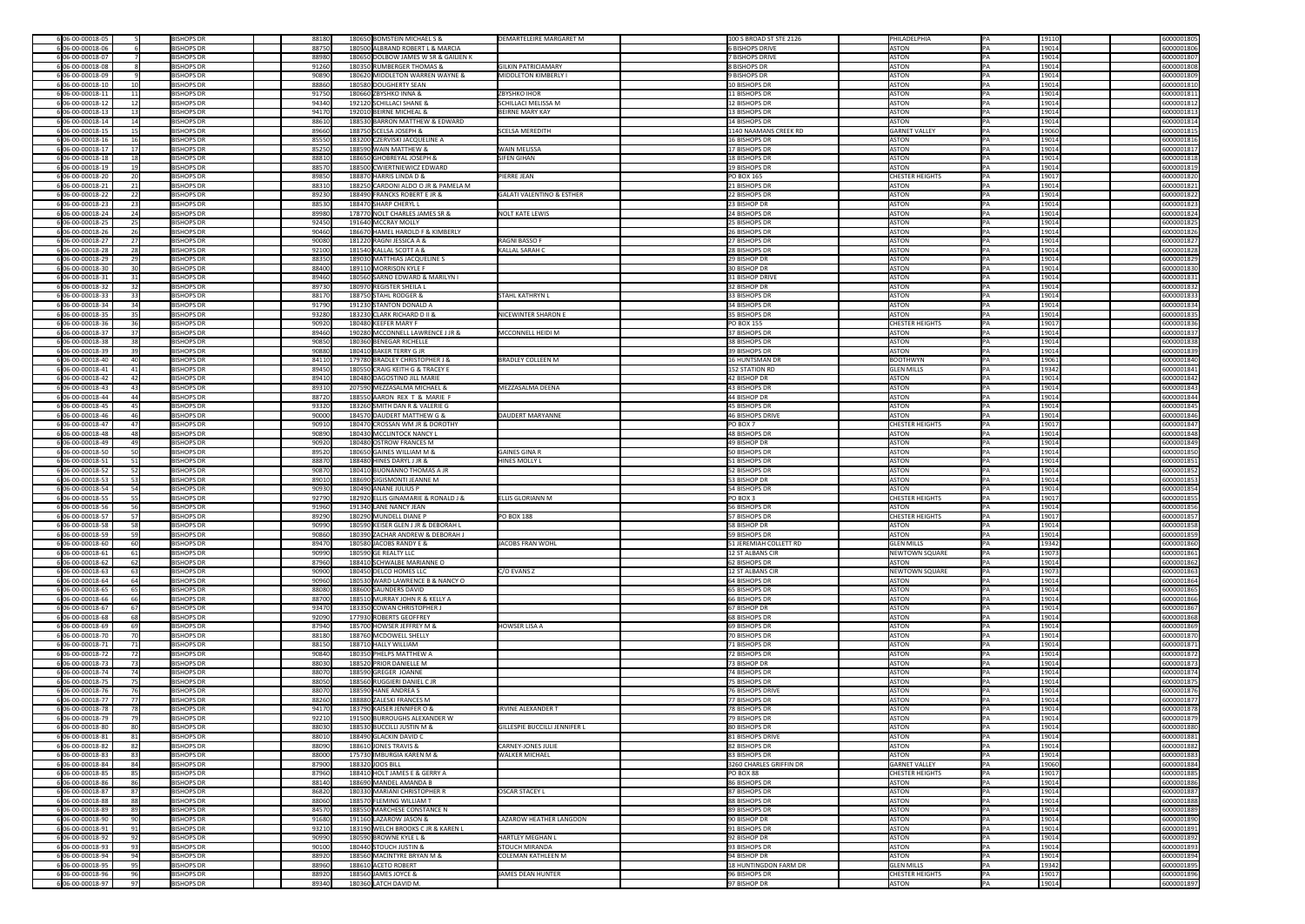| 6 06-00-00018-05                           | <b>BISHOPS DR</b>                      | 88180          | 180650 BOMSTEIN MICHAEL S &                                    | <b>DEMARTELEIRE MARGARET M</b>       | 100 S BROAD ST STE 2126               | PHILADELPHIA                    | 19110<br> PA          | 6000001805               |
|--------------------------------------------|----------------------------------------|----------------|----------------------------------------------------------------|--------------------------------------|---------------------------------------|---------------------------------|-----------------------|--------------------------|
| 606-00-00018-06                            | <b>BISHOPS DR</b>                      | 88750          | 180500 ALBRAND ROBERT L & MARCIA                               |                                      | 6 BISHOPS DRIVE                       | ASTON                           | 19014                 | 6000001806               |
| 606-00-00018-07                            | <b>BISHOPS DR</b>                      | 88980          | 180650 DOLBOW JAMES W SR & GAILIEN K                           |                                      | 7 BISHOPS DRIVE                       | <b>ASTON</b>                    | 19014                 | 6000001807               |
| 6 06-00-00018-08                           | <b>BISHOPS DR</b>                      | 91260          | 180350 RUMBERGER THOMAS &                                      | <b>GILKIN PATRICIAMARY</b>           | 8 BISHOPS DR                          | <b>ASTON</b>                    | 19014                 | 6000001808               |
| 6 06-00-00018-09                           | <b>BISHOPS DR</b>                      | 90890          | 180620 MIDDLETON WARREN WAYNE &                                | MIDDLETON KIMBERLY I                 | 9 BISHOPS DR                          | <b>ASTON</b>                    | 19014                 | 6000001809               |
| 6 06-00-00018-10                           | <b>BISHOPS DR</b>                      | 88860          | 180580 DOUGHERTY SEAN                                          |                                      | 10 BISHOPS DR                         | <b>ASTON</b>                    | 19014                 | 6000001810               |
| 6 06-00-00018-11                           | <b>BISHOPS DR</b>                      | 91750          | 180660 ZBYSHKO INNA &                                          | <b>ZBYSHKO IHOR</b>                  | 11 BISHOPS DR                         | <b>ASTON</b>                    | 19014                 | 6000001811               |
| 606-00-00018-12<br>12                      | <b>BISHOPS DR</b>                      | 94340          | 192120 SCHILLACI SHANE &                                       | SCHILLACI MELISSA M                  | 12 BISHOPS DR                         | <b>ASTON</b>                    | 19014                 | 6000001812               |
| 6 06-00-00018-13<br>13                     | <b>BISHOPS DR</b>                      | 94170          | 192010 BEIRNE MICHEAL &                                        | <b>BEIRNE MARY KAY</b>               | 13 BISHOPS DR                         | <b>ASTON</b>                    | 19014                 | 6000001813               |
| 6 06-00-00018-14<br>14                     | <b>BISHOPS DR</b>                      | 88610          | 188530 BARRON MATTHEW & EDWARD                                 |                                      | 14 BISHOPS DR                         | <b>ASTON</b>                    | 19014                 | 6000001814               |
| 6 06-00-00018-15                           | <b>BISHOPS DR</b>                      | 89660          | 188750 SCELSA JOSEPH &                                         | <b>SCELSA MEREDITH</b>               | 1140 NAAMANS CREEK RD                 | <b>GARNET VALLEY</b>            | 19060                 | 6000001815               |
| 6 06-00-00018-16                           | <b>BISHOPS DR</b>                      | 85550          | 183200 CZERVISKI JACQUELINE A                                  |                                      | 16 BISHOPS DR                         | <b>ASTON</b>                    | 19014                 | 6000001816               |
| 6 06-00-00018-17                           | <b>BISHOPS DR</b>                      | 85250          | 188590 WAIN MATTHEW &                                          | <b>WAIN MELISSA</b>                  | 17 BISHOPS DR                         | <b>ASTON</b>                    | 19014                 | 6000001817               |
| 606-00-00018-18                            | <b>BISHOPS DR</b>                      | 88810          | 188650 GHOBREYAL JOSEPH &                                      | <b>SIFEN GIHAN</b>                   | 18 BISHOPS DR                         | <b>ASTON</b>                    | 19014                 | 6000001818               |
| 6 06-00-00018-19                           | <b>BISHOPS DR</b>                      | 88570          | 188500 CWIERTNIEWICZ EDWARD                                    |                                      | 19 BISHOPS DR                         | ASTON                           | 19014                 | 6000001819               |
| 6 06-00-00018-20                           | <b>BISHOPS DR</b>                      | 89850          | 188870 HARRIS LINDA D &                                        | <b>PIERRE JEAN</b>                   | <b>PO BOX 165</b>                     | <b>CHESTER HEIGHTS</b>          | 19017<br>IPA.         | 6000001820               |
| 606-00-00018-21<br>21                      | <b>BISHOPS DR</b>                      | 88310          | 188250 CARDONI ALDO O JR & PAMELA M                            |                                      | 21 BISHOPS DR                         | <b>ASTON</b>                    | 19014                 | 6000001821               |
| 6 06-00-00018-22<br>22                     | <b>BISHOPS DR</b>                      | 89230          | 188490 FRANCKS ROBERT E JR &                                   | GALATI VALENTINO & ESTHER            | 22 BISHOPS DR                         | <b>ASTON</b>                    | 19014                 | 6000001822               |
| 606-00-00018-23<br>23                      | <b>BISHOPS DR</b>                      | 88530          | 188470 SHARP CHERYL L                                          |                                      | $ 23$ BISHOP DR                       | <b>ASTON</b>                    | 19014                 | 6000001823               |
| 6 06-00-00018-24<br>24                     | <b>BISHOPS DR</b>                      | 89980          | 178770 NOLT CHARLES JAMES SR &                                 | <b>NOLT KATE LEWIS</b>               | 24 BISHOPS DR                         | <b>ASTON</b>                    | 19014                 | 6000001824               |
| 606-00-00018-25<br>25                      | <b>BISHOPS DR</b>                      | 92450          | 191640 MCCRAY MOLLY                                            |                                      | 25 BISHOPS DR                         | ASTON                           | 19014                 | 6000001825               |
| 6 06-00-00018-26                           | <b>BISHOPS DR</b>                      | 90460          | 186670 HAMEL HAROLD F & KIMBERLY                               |                                      | 26 BISHOPS DR                         | <b>ASTON</b>                    | 19014                 | 6000001826               |
| 6 06-00-00018-27<br>27 <sup>1</sup>        | <b>BISHOPS DR</b>                      | 90080          | 181220 RAGNI JESSICA A &                                       | <b>RAGNI BASSOF</b>                  | 27 BISHOPS DR                         | ASTON                           | 19014                 | 6000001827               |
| 6 06-00-00018-28<br><b>28</b>              | <b>BISHOPS DR</b>                      | 92100          | 181540 KALLAL SCOTT A &                                        | KALLAL SARAH C                       | 28 BISHOPS DR                         | <b>ASTON</b>                    | 19014                 | 6000001828               |
| 6 06-00-00018-29<br>29                     | <b>BISHOPS DR</b>                      | 88350          | 189030 MATTHIAS JACQUELINE S                                   |                                      | 29 BISHOP DR                          | ASTON                           | 19014                 | 6000001829               |
| 606-00-00018-30                            | <b>BISHOPS DR</b>                      | 88400          | 189110 MORRISON KYLE F                                         |                                      | 30 BISHOP DR                          | ASTON                           | 19014                 | 6000001830               |
| 606-00-00018-31<br>31                      | <b>BISHOPS DR</b>                      | 89460          | 180560 SARNO EDWARD & MARILYN I                                |                                      | 31 BISHOP DRIVE                       | ASTON                           | 19014<br>$\mathsf{P}$ | 6000001831               |
| 606-00-00018-32<br>32                      | <b>BISHOPS DR</b>                      | 89730          | 180970 REGISTER SHEILA L                                       |                                      | 32 BISHOP DR                          | ASTON                           | 19014                 | 6000001832               |
| 33<br>6 06-00-00018-33                     | <b>BISHOPS DR</b>                      | 88170          | 188750 STAHL RODGER &                                          | <b>STAHL KATHRYN L</b>               | 33 BISHOPS DR                         | ASTON                           | 19014                 | 6000001833               |
| 6 06-00-00018-34                           | <b>BISHOPS DR</b>                      | 91790          | 191230 STANTON DONALD A                                        |                                      | 34 BISHOPS DR                         | <b>ASTON</b>                    | 19014                 | 6000001834               |
| 606-00-00018-35<br>35                      | <b>BISHOPS DR</b>                      | 93280          | 183230 CLARK RICHARD D II &                                    | NICEWINTER SHARON E                  | 35 BISHOPS DR                         | ASTON                           | 19014                 | 6000001835               |
| 6 06-00-00018-36<br>36                     | <b>BISHOPS DR</b>                      | 90920          | 180480 KEEFER MARY F                                           |                                      | <b>PO BOX 155</b>                     | <b>CHESTER HEIGHTS</b>          | 19017                 | 6000001836               |
| 6 06-00-00018-37                           | <b>BISHOPS DR</b>                      | 89460          | 190280 MCCONNELL LAWRENCE J JR &                               | MCCONNELL HEIDI M                    | 37 BISHOPS DR                         | ASTON                           | 19014                 | 6000001837               |
| 606-00-00018-38<br>-38                     | <b>BISHOPS DR</b>                      | 90850          | 180360 BENEGAR RICHELLE                                        |                                      | 38 BISHOPS DR                         | ASTON                           | 19014                 | 6000001838               |
| 6 06-00-00018-39                           | <b>BISHOPS DR</b>                      | 90880          | 180410 BAKER TERRY G JR                                        |                                      | 39 BISHOPS DR                         | ASTON                           | 19014                 | 6000001839               |
| 6 06-00-00018-40                           | <b>BISHOPS DR</b>                      | 84110          | 179780 BRADLEY CHRISTOPHER J &                                 | <b>BRADLEY COLLEEN M</b>             | 16 HUNTSMAN DR                        | <b>BOOTHWYN</b>                 | 19061                 | 6000001840               |
| 6 06-00-00018-41                           | <b>BISHOPS DR</b>                      | 89450          | 180550 CRAIG KEITH G & TRACEY E                                |                                      | 152 STATION RD                        | <b>GLEN MILLS</b>               | 19342                 | 6000001841               |
| 6 06-00-00018-42                           | <b>BISHOPS DR</b>                      | 89410          | 180480 DAGOSTINO JILL MARIE                                    |                                      | $ 42$ BISHOP DR                       | <b>ASTON</b>                    | 19014                 | 6000001842               |
| 6 06-00-00018-43<br>43                     | <b>BISHOPS DR</b>                      | 89310          | 207590 MEZZASALMA MICHAEL &                                    | MEZZASALMA DEENA                     | 43 BISHOPS DR                         | <b>ASTON</b>                    | 19014                 | 6000001843               |
| 6 06-00-00018-44<br>606-00-00018-45<br>45  | <b>BISHOPS DR</b><br><b>BISHOPS DR</b> | 88720<br>93320 | 188550 AARON REX T & MARIE F<br>183260 SMITH DAN R & VALERIE G |                                      | $ 44$ BISHOP DR<br>45 BISHOPS DR      | ASTON<br><b>ASTON</b>           | 19014<br>19014        | 6000001844<br>6000001845 |
| 6 06-00-00018-46                           | <b>BISHOPS DR</b>                      | 90000          | 184570 DAUDERT MATTHEW G &                                     | DAUDERT MARYANNE                     | 46 BISHOPS DRIVE                      | <b>ASTON</b>                    | 19014                 | 6000001846               |
| 6 06-00-00018-47                           | <b>BISHOPS DR</b>                      | 90910          | 180470 CROSSAN WM JR & DOROTHY                                 |                                      | $PO$ BOX 7                            | <b>CHESTER HEIGHTS</b>          | 19017                 | 6000001847               |
| 6 06-00-00018-48                           | <b>BISHOPS DR</b>                      | 90890          | 180430 MCCLINTOCK NANCY L                                      |                                      | 48 BISHOPS DR                         | <b>ASTON</b>                    | 19014                 | 6000001848               |
| 606-00-00018-49                            | <b>BISHOPS DR</b>                      | 90920          | 180480 OSTROW FRANCES M                                        |                                      | $ 49$ BISHOP DR                       | <b>ASTON</b>                    | 19014                 | 6000001849               |
| 606-00-00018-50                            | <b>BISHOPS DR</b>                      | 89520          |                                                                |                                      |                                       |                                 |                       |                          |
|                                            |                                        |                |                                                                |                                      |                                       |                                 |                       |                          |
|                                            |                                        |                | 180650 GAINES WILLIAM M &                                      | <b>GAINES GINA R</b>                 | 50 BISHOPS DR                         | ASTON                           | 19014                 | 6000001850               |
| 6 06-00-00018-51                           | <b>BISHOPS DR</b>                      | 88870          | 188480 HINES DARYL J JR &                                      | <b>HINES MOLLY L</b>                 | 51 BISHOPS DR                         | ASTON                           | 19014                 | 6000001851               |
| 6 06-00-00018-52                           | <b>BISHOPS DR</b>                      | 90870          | 180410 BUONANNO THOMAS A JR                                    |                                      | 52 BISHOPS DR                         | ASTON                           | 19014                 | 6000001852               |
| 6 06-00-00018-53<br>53<br>54               | <b>BISHOPS DR</b>                      | 89010          | 188690 SIGISMONTI JEANNE M                                     |                                      | 53 BISHOP DR                          | <b>ASTON</b>                    | 19014                 | 6000001853               |
| 606-00-00018-54                            | <b>BISHOPS DR</b><br><b>BISHOPS DR</b> | 90930          | 180490 ANANE JULIUS P<br>182920 ELLIS GINAMARIE & RONALD J &   | <b>ELLIS GLORIANN M</b>              | 54 BISHOPS DR                         | ASTON                           | 19014                 | 6000001854               |
| 6 06-00-00018-55<br>606-00-00018-56        | <b>BISHOPS DR</b>                      | 92790<br>91960 | 191340 LANE NANCY JEAN                                         |                                      | $PO$ BOX 3<br>56 BISHOPS DR           | <b>CHESTER HEIGHTS</b><br>ASTON | 19017<br>19014        | 6000001855<br>6000001856 |
| 606-00-00018-57<br>57                      | <b>BISHOPS DR</b>                      | 89290          | 180290 MUNDELL DIANE P                                         | <b>PO BOX 188</b>                    | 57 BISHOPS DR                         | <b>CHESTER HEIGHTS</b>          | 19017                 | 6000001857               |
| 6 06-00-00018-58                           | <b>BISHOPS DR</b>                      | 90990          | 180590 KEISER GLEN J JR & DEBORAH L                            |                                      | 58 BISHOP DR                          | <b>ASTON</b>                    | 19014                 | 6000001858               |
| 6 06-00-00018-59                           | <b>BISHOPS DR</b>                      | 90860          | 180390 ZACHAR ANDREW & DEBORAH J                               |                                      | 59 BISHOPS DR                         | ASTON                           | 19014                 | 6000001859               |
| 6 06-00-00018-60                           | <b>BISHOPS DR</b>                      | 89470          | 180580 JACOBS RANDY E &                                        | JACOBS FRAN WOHL                     | 51 JEREMIAH COLLETT RD                | <b>GLEN MILLS</b>               | 19342                 | 6000001860               |
| 6 06-00-00018-61                           | <b>BISHOPS DR</b>                      | 90990          | 180590 GE REALTY LLC                                           |                                      | 12 ST ALBANS CIR                      | NEWTOWN SQUARE                  | 19073                 | 6000001861               |
| 6 06-00-00018-62                           | <b>BISHOPS DR</b>                      | 87960          | 188410 SCHWALBE MARIANNE O                                     |                                      | 62 BISHOPS DR                         | ASTON                           | 19014                 | 6000001862               |
| 606-00-00018-63                            | <b>BISHOPS DR</b>                      | 90900          | 180450 DELCO HOMES LLC                                         | $ C/O$ EVANS Z                       | 12 ST ALBANS CIR                      | <b>NEWTOWN SQUARE</b>           | 19073                 | 6000001863               |
| 606-00-00018-64<br>64                      | <b>BISHOPS DR</b>                      | 90960          | 180530 WARD LAWRENCE B & NANCY O                               |                                      | 64 BISHOPS DR                         | <b>ASTON</b>                    | 19014                 | 6000001864               |
| 606-00-00018-65                            | <b>BISHOPS DR</b>                      | 88080          | 188600 SAUNDERS DAVID                                          |                                      | 65 BISHOPS DR                         | <b>ASTON</b>                    | 19014                 | 6000001865               |
| 606-00-00018-66                            | <b>BISHOPS DR</b>                      | 88700          | 188510 MURRAY JOHN R & KELLY A                                 |                                      | 66 BISHOPS DR                         | <b>ASTON</b>                    | 19014                 | 6000001866               |
| 6 06-00-00018-67<br>67                     | <b>BISHOPS DR</b>                      | 93470          | 183350 COWAN CHRISTOPHER J                                     |                                      | 67 BISHOP DR                          | <b>ASTON</b>                    | 19014                 | 6000001867               |
| 6 06-00-00018-68                           | <b>BISHOPS DR</b>                      | 92090          | 177930 ROBERTS GEOFFREY                                        |                                      | 68 BISHOPS DR                         | ASTON                           | 19014                 | 6000001868               |
| 606-00-00018-69                            | <b>BISHOPS DR</b>                      | 87940          | 185700 HOWSER JEFFREY M &                                      | <b>HOWSER LISA A</b>                 | 69 BISHOPS DR                         | ASTON                           | 19014                 | 6000001869               |
| 6 06-00-00018-70                           | <b>BISHOPS DR</b>                      | 88180          | 188760 MCDOWELL SHELLY                                         |                                      | 70 BISHOPS DR                         | ASTON                           | 19014                 | 6000001870               |
| 606-00-00018-71<br>71                      | <b>BISHOPS DR</b>                      | 88150          | 188710 HALLY WILLIAM                                           |                                      | 71 BISHOPS DR                         | <b>ASTON</b>                    | 19014                 | 6000001871               |
| 6 06-00-00018-72                           | <b>BISHOPS DR</b>                      | 90840          | 180350 PHELPS MATTHEW A                                        |                                      | 72 BISHOPS DR                         | ASTON                           | 19014                 | 6000001872               |
| 6 06-00-00018-73                           | <b>BISHOPS DR</b>                      | 88030          | 188520 PRIOR DANIELLE M                                        |                                      | 73 BISHOP DR                          | ASTON                           | 19014                 | 6000001873               |
| 6 06-00-00018-74                           | <b>BISHOPS DR</b>                      | 88070          | 188590 GREGER JOANNE                                           |                                      | 74 BISHOPS DR                         | <b>ASTON</b>                    | 19014                 | 6000001874               |
| 606-00-00018-75<br>76                      | <b>BISHOPS DR</b>                      | 88050          | 188560 RUGGIERI DANIEL C JR                                    |                                      | 75 BISHOPS DR                         | ASTON                           | 19014                 | 6000001875               |
| 606-00-00018-76                            | <b>BISHOPS DR</b><br><b>BISHOPS DR</b> | 88070          | 188590 HANE ANDREA S<br>188880 ZALESKI FRANCES M               |                                      | 76 BISHOPS DRIVE<br>77 BISHOPS DR     | ASTON                           | 19014                 | 6000001876               |
| 6 06-00-00018-77<br>6 06-00-00018-78<br>78 | <b>BISHOPS DR</b>                      | 88260<br>94170 | 183790 KAISER JENNIFER O &                                     | <b>IRVINE ALEXANDER T</b>            | 78 BISHOPS DR                         | <b>ASTON</b><br>ASTON           | 19014<br>19014        | 6000001877<br>6000001878 |
| 6 06-00-00018-79                           | <b>BISHOPS DR</b>                      | 92210          | 191500 BURROUGHS ALEXANDER W                                   |                                      | 79 BISHOPS DR                         | ASTON                           | 19014                 | 6000001879               |
| 606-00-00018-80                            | <b>BISHOPS DR</b>                      | 88030          | 188530 BUCCILLI JUSTIN M &                                     | <b>GILLESPIE BUCCILLI JENNIFER L</b> | 80 BISHOPS DR                         | ASTON                           | 19014                 | 6000001880               |
| 6 06-00-00018-81                           | <b>BISHOPS DR</b>                      | 88010          | 188490 GLACKIN DAVID C                                         |                                      | 81 BISHOPS DRIVE                      | <b>ASTON</b>                    | 19014                 | 6000001881               |
| 6 06-00-00018-82<br>82                     | <b>BISHOPS DR</b>                      | 88090          | 188610 JONES TRAVIS &                                          | <b>CARNEY-JONES JULIE</b>            | 82 BISHOPS DR                         | ASTON                           | 19014                 | 6000001882               |
| 606-00-00018-83<br>83                      | <b>BISHOPS DR</b>                      | 88000          | 175730 IMBURGIA KAREN M &                                      | <b>WALKER MICHAEL</b>                | 83 BISHOPS DR                         | <b>ASTON</b>                    | 19014                 | 6000001883               |
| 6 06-00-00018-84                           | <b>BISHOPS DR</b>                      | 87900          | 188320 JOOS BILL                                               |                                      | 3260 CHARLES GRIFFIN DR               | <b>GARNET VALLEY</b>            | 19060                 | 6000001884               |
| 606-00-00018-85<br>85                      | <b>BISHOPS DR</b>                      | 87960          | 188410 HOLT JAMES E & GERRY A                                  |                                      | $PO$ BOX 88                           | <b>CHESTER HEIGHTS</b>          | 19017                 | 6000001885               |
| 6 06-00-00018-86                           | <b>BISHOPS DR</b>                      | 88140          | 188690 MANDEL AMANDA B                                         |                                      | 86 BISHOPS DR                         | <b>ASTON</b>                    | 19014                 | 6000001886               |
| 606-00-00018-87                            | <b>BISHOPS DR</b>                      | 86820          | 180330 MARIANI CHRISTOPHER R                                   | <b>OSCAR STACEY L</b>                | 87 BISHOPS DR                         | <b>ASTON</b>                    | 19014                 | 6000001887               |
| 606-00-00018-88<br>88                      | <b>BISHOPS DR</b>                      | 88060          | 188570 FLEMING WILLIAM T                                       |                                      | 88 BISHOPS DR                         | ASTON                           | 19014                 | 6000001888               |
| 6 06-00-00018-89<br>89                     | <b>BISHOPS DR</b>                      | 84570          | 188550 MARCHESE CONSTANCE N                                    |                                      | 89 BISHOPS DR                         | <b>ASTON</b>                    | 19014                 | 6000001889               |
| 606-00-00018-90<br>90                      | <b>BISHOPS DR</b>                      | 91680          | 191160 LAZAROW JASON &                                         | LAZAROW HEATHER LANGDON              | 90 BISHOP DR                          | <b>ASTON</b>                    | 19014                 | 6000001890               |
| 6 06-00-00018-91                           | <b>BISHOPS DR</b>                      | 93210          | 183190 WELCH BROOKS C JR & KAREN L                             |                                      | 91 BISHOPS DR                         | ASTON                           | 19014                 | 6000001891               |
| 6 06-00-00018-92                           | <b>BISHOPS DR</b>                      | 90990          | 180590 BROWNE KYLE L &                                         | <b>HARTLEY MEGHAN L</b>              | 92 BISHOP DR                          | ASTON                           | 19014                 | 6000001892               |
| 6 06-00-00018-93<br>93                     | <b>BISHOPS DR</b>                      | 90100          | 180440 STOUCH JUSTIN &                                         | <b>STOUCH MIRANDA</b>                | 93 BISHOPS DR                         | ASTON                           | 19014                 | 6000001893               |
| 606-00-00018-94<br>94<br>95                | <b>BISHOPS DR</b><br><b>BISHOPS DR</b> | 88920          | 188560 MACINTYRE BRYAN M &<br>188610 ACETO ROBERT              | <b>COLEMAN KATHLEEN M</b>            | 94 BISHOP DR<br>18 HUNTINGDON FARM DR | ASTON<br><b>GLEN MILLS</b>      | 19014<br>19342        | 6000001894               |
| 6 06-00-00018-95                           | <b>BISHOPS DR</b>                      | 88960          | 188560 JAMES JOYCE &                                           | JAMES DEAN HUNTER                    | 96 BISHOPS DR                         | <b>CHESTER HEIGHTS</b>          |                       | 6000001895               |
| 6 06-00-00018-96<br>6 06-00-00018-97 97    | <b>BISHOPS DR</b>                      | 88920          | 89340 180360 LATCH DAVID M.                                    |                                      | 97 BISHOP DR                          | ASTON                           | 19017<br>19014<br>PA  | 6000001896<br>6000001897 |

| 6000001805               |
|--------------------------|
| 6000001806               |
| 6000001807<br>6000001808 |
| 6000001809               |
| 6000001810               |
| 6000001811               |
| 6000001812               |
| 6000001813<br>6000001814 |
| 6000001815               |
| 6000001816               |
| 6000001817               |
| 6000001818               |
| 6000001819<br>6000001820 |
| 6000001821               |
| 6000001822               |
| 6000001823               |
| 6000001824               |
| 6000001825<br>6000001826 |
| 6000001827               |
| 6000001828               |
| 6000001829               |
| 6000001830               |
| 6000001831<br>6000001832 |
| 6000001833               |
| 6000001834               |
| 6000001835               |
| 6000001836               |
| 6000001837<br>6000001838 |
| 6000001839               |
| 6000001840               |
| 6000001841               |
| 6000001842               |
| 6000001843<br>6000001844 |
| 6000001845               |
| 6000001846               |
| 6000001847               |
| 6000001848               |
| 6000001849<br>6000001850 |
|                          |
| 6000001851               |
| 6000001852               |
| 6000001853               |
| 6000001854               |
| 6000001855               |
| 6000001856<br>6000001857 |
| 6000001858               |
| 6000001859               |
| 6000001860               |
| 6000001861<br>6000001862 |
| 6000001863               |
| 6000001864               |
| 6000001865               |
| 6000001866               |
| 6000001867<br>6000001868 |
| 6000001869               |
| 6000001870               |
| 6000001871               |
| 6000001872               |
| 6000001873<br>6000001874 |
| 6000001875               |
| 6000001876               |
| 6000001877               |
| 6000001878               |
| 6000001879<br>6000001880 |
| 6000001881               |
| 6000001882               |
| 6000001883               |
| 6000001884<br>6000001885 |
| 6000001886               |
| 6000001887               |
| 6000001888               |
| 6000001889               |
| 6000001890<br>6000001891 |
| 6000001892               |
| 6000001893               |
| 6000001894               |
| 6000001895               |
| 6000001896               |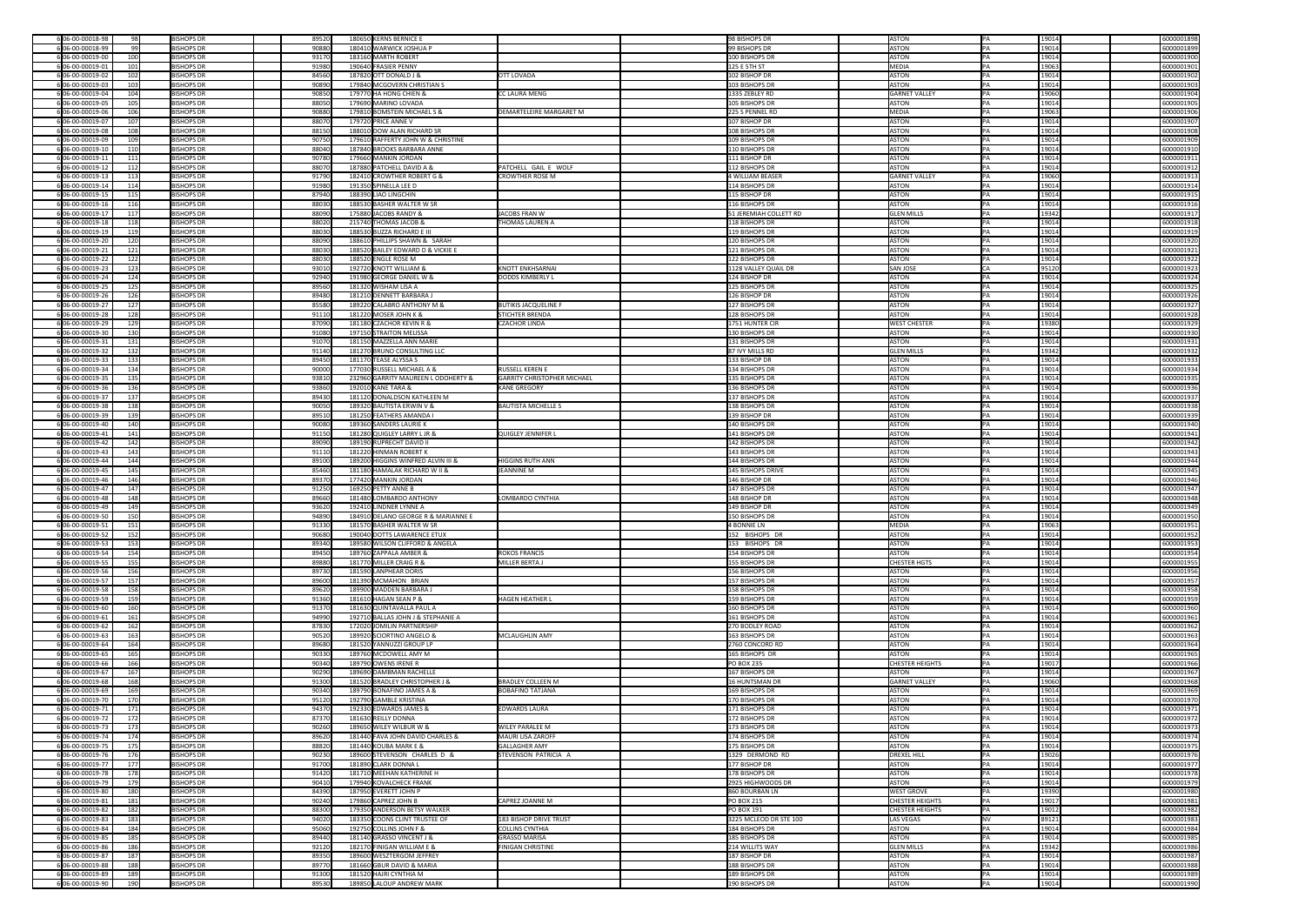| 6 06-00-00018-98<br>-98                           | <b>BISHOPS DR</b>                      | 89520          | 180650 KERNS BERNICE E                              |                                    | 98 BISHOPS DR                      | ASTON                |                        | IPA.            | 19014           | 6000001898               |
|---------------------------------------------------|----------------------------------------|----------------|-----------------------------------------------------|------------------------------------|------------------------------------|----------------------|------------------------|-----------------|-----------------|--------------------------|
| 6 06-00-00018-99<br>99                            | <b>BISHOPS DR</b>                      | 90880          | 180410 WARWICK JOSHUA P                             |                                    | 99 BISHOPS DR                      | ASTON                |                        |                 | 19014           | 6000001899               |
| 6 06-00-00019-00<br>100                           | <b>BISHOPS DR</b>                      | 93170          | 183160 MARTH ROBERT                                 |                                    | 100 BISHOPS DR                     | ASTON                |                        |                 | 19014           | 6000001900               |
| 606-00-00019-01<br>101                            | <b>BISHOPS DR</b>                      | 91980          | 190640 FRASIER PENNY                                |                                    | 125 E 5TH ST                       | MEDIA                |                        |                 | 19063           | 6000001901               |
| 6 06-00-00019-02<br>102                           | <b>BISHOPS DR</b>                      | 84560          | 187820 OTT DONALD J &                               | <b>OTT LOVADA</b>                  | 102 BISHOP DR                      | ASTON                |                        |                 | 19014           | 6000001902               |
|                                                   |                                        |                |                                                     |                                    |                                    |                      |                        |                 |                 |                          |
| 6 06-00-00019-03<br>103                           | <b>BISHOPS DR</b>                      | 90890          | 179840 MCGOVERN CHRISTIAN S                         |                                    | 103 BISHOPS DR                     | ASTON                |                        |                 | 19014           | 6000001903               |
| 6 06-00-00019-04<br>104                           | <b>BISHOPS DR</b>                      | 90850          | 179770 HA HONG CHIEN &                              | <b>CC LAURA MENG</b>               | 1335 ZEBLEY RD                     | <b>GARNET VALLEY</b> |                        |                 | 19060           | 6000001904               |
| 6 06-00-00019-05<br>105                           | <b>BISHOPS DR</b>                      | 88050          | 179690 MARINO LOVADA                                |                                    | 105 BISHOPS DR                     | ASTON                |                        |                 | 19014           | 6000001905               |
| 6 06-00-00019-06<br>106                           | <b>BISHOPS DR</b>                      | 90880          | 179810 BOMSTEIN MICHAEL S &                         | DEMARTELEIRE MARGARET M            | 225 S PENNEL RD                    | MEDIA                |                        |                 | 19063           | 6000001906               |
| 107<br>6 06-00-00019-07                           | <b>BISHOPS DR</b>                      | 88070          | 179720 PRICE ANNE V                                 |                                    | 107 BISHOP DR                      | ASTON                |                        |                 | 19014           | 6000001907               |
| 6 06-00-00019-08<br>108                           | <b>BISHOPS DR</b>                      | 88150          | 188010 DOW ALAN RICHARD SR                          |                                    | 108 BISHOPS DR                     | ASTON                |                        |                 | 19014           | 6000001908               |
|                                                   | <b>BISHOPS DR</b>                      |                | 179610 RAFFERTY JOHN W & CHRISTINE                  |                                    | 109 BISHOPS DR                     | ASTON                |                        |                 | 19014           |                          |
| 109<br>6 06-00-00019-09                           |                                        | 90750          |                                                     |                                    |                                    |                      |                        |                 |                 | 6000001909               |
| 6 06-00-00019-10<br>110                           | <b>BISHOPS DR</b>                      | 88040          | 187840 BROOKS BARBARA ANNE                          |                                    | 110 BISHOPS DR                     | ASTON                |                        |                 | 19014           | 6000001910               |
| 6 06-00-00019-11<br>111                           | <b>BISHOPS DR</b>                      | 90780          | 179660 MANKIN JORDAN                                |                                    | 111 BISHOP DR                      | ASTON                |                        |                 | 19014           | 6000001911               |
| 6 06-00-00019-12<br>112                           | <b>BISHOPS DR</b>                      | 88070          | 187880 PATCHELL DAVID A &                           | PATCHELL GAIL E WOLF               | 112 BISHOPS DR                     | ASTON                |                        |                 | 19014           | 6000001912               |
| 6 06-00-00019-13<br>113                           | <b>BISHOPS DR</b>                      | 91790          | 182410 CROWTHER ROBERT G &                          | <b>CROWTHER ROSE M</b>             | 4 WILLIAM BEASER                   | <b>GARNET VALLEY</b> |                        |                 | 19060           | 6000001913               |
| 6 06-00-00019-14<br>114                           | <b>BISHOPS DR</b>                      | 91980          | 191350 SPINELLA LEE D                               |                                    | 114 BISHOPS DR                     | ASTON                |                        |                 | 19014           | 6000001914               |
| 6 06-00-00019-15<br>115                           | <b>BISHOPS DR</b>                      | 87940          | 188390 LIAO LINGCHIN                                |                                    | 115 BISHOP DR                      | ASTON                |                        |                 | 19014           | 6000001915               |
|                                                   |                                        |                |                                                     |                                    |                                    |                      |                        |                 |                 |                          |
| 6 06-00-00019-16<br>116                           | <b>BISHOPS DR</b>                      | 88030          | 188530 BASHER WALTER W SR                           |                                    | 116 BISHOPS DR                     | ASTON                |                        |                 | 19014           | 6000001916               |
| 6 06-00-00019-17<br>117                           | <b>BISHOPS DR</b>                      | 88090          | 175880 JACOBS RANDY &                               | JACOBS FRAN W                      | 51 JEREMIAH COLLETT RD             | <b>GLEN MILLS</b>    |                        |                 | 19342           | 6000001917               |
| 606-00-00019-18<br>118                            | <b>BISHOPS DR</b>                      | 88020          | 215740 THOMAS JACOB &                               | <b>THOMAS LAUREN A</b>             | 118 BISHOPS DR                     | ASTON                |                        |                 | 19014           | 6000001918               |
| 6 06-00-00019-19<br>119                           | <b>BISHOPS DR</b>                      | 88030          | 188530 BUZZA RICHARD E III                          |                                    | 119 BISHOPS DR                     | ASTON                |                        |                 | 19014           | 6000001919               |
| 6 06-00-00019-20<br>120                           | <b>BISHOPS DR</b>                      | 88090          | 188610 PHILLIPS SHAWN & SARAH                       |                                    | 120 BISHOPS DR                     | ASTON                |                        |                 | 19014           | 6000001920               |
| 121<br>6 06-00-00019-21                           | <b>BISHOPS DR</b>                      | 88030          | 188520 BAILEY EDWARD D & VICKIE E                   |                                    | 121 BISHOPS DR.                    | ASTON                |                        |                 | 19014           | 6000001921               |
| 6 06-00-00019-22<br>122                           | <b>BISHOPS DR</b>                      | 88030          | 188520 ENGLE ROSE M                                 |                                    | 122 BISHOPS DR                     | ASTON                |                        |                 | 19014           | 6000001922               |
|                                                   | <b>BISHOPS DR</b>                      |                | 192720 KNOTT WILLIAM &                              |                                    |                                    | SAN JOSE             |                        |                 | 95120           |                          |
| 123<br>6 06-00-00019-23                           |                                        | 93010          |                                                     | KNOTT ENKHSARNAI                   | 1128 VALLEY QUAIL DR               |                      |                        |                 |                 | 6000001923               |
| 6 06-00-00019-24<br>124                           | <b>BISHOPS DR</b>                      | 92940          | 191980 GEORGE DANIEL W &                            | <b>DODDS KIMBERLY L</b>            | 124 BISHOP DR                      | ASTON                |                        |                 | 19014           | 6000001924               |
| 6 06-00-00019-25<br>125                           | <b>BISHOPS DR</b>                      | 89560          | 181320 WISHAM LISA A                                |                                    | 125 BISHOPS DR                     | ASTON                |                        |                 | 19014           | 6000001925               |
| 126<br>6 06-00-00019-26                           | <b>BISHOPS DR</b>                      | 89480          | 181210 DENNETT BARBARA J                            |                                    | 126 BISHOP DR                      | ASTON                |                        |                 | 19014           | 6000001926               |
| 6 06-00-00019-27<br>127                           | <b>BISHOPS DR</b>                      | 85580          | 189220 CALABRO ANTHONY M &                          | <b>BUTIKIS JACQUELINE F</b>        | 127 BISHOPS DR                     | ASTON                |                        |                 | 19014           | 6000001927               |
| 606-00-00019-28<br>128                            | <b>BISHOPS DR</b>                      | 91110          | 181220 MOSER JOHN K &                               | <b>STICHTER BRENDA</b>             | 128 BISHOPS DR                     | ASTON                |                        | PA              | 19014           | 6000001928               |
| 129<br>6 06-00-00019-29                           | <b>BISHOPS DR</b>                      | 87090          | 181180 CZACHOR KEVIN R &                            | <b>CZACHOR LINDA</b>               | 1751 HUNTER CIR                    | <b>WEST CHESTER</b>  |                        |                 | 19380           | 6000001929               |
|                                                   |                                        |                |                                                     |                                    |                                    |                      |                        |                 |                 |                          |
| 6 06-00-00019-30<br>130                           | <b>BISHOPS DR</b>                      | 91080          | 197150 STRAITON MELISSA                             |                                    | 130 BISHOPS DR                     | ASTON                |                        |                 | 19014           | 6000001930               |
| 6 06-00-00019-31<br>131                           | <b>BISHOPS DR</b>                      | 91070          | 181150 MAZZELLA ANN MARIE                           |                                    | 131 BISHOPS DR                     | ASTON                |                        |                 | 19014           | 6000001931               |
| 6 06-00-00019-32<br>132                           | <b>BISHOPS DR</b>                      | 91140          | 181270 BRUNO CONSULTING LLC                         |                                    | 87 IVY MILLS RD                    | <b>GLEN MILLS</b>    |                        |                 | 19342           | 6000001932               |
| 133<br>6 06-00-00019-33                           | <b>BISHOPS DR</b>                      | 89450          | 181170 TEASE ALYSSA S                               |                                    | 133 BISHOP DR                      | ASTON                |                        |                 | 19014           | 6000001933               |
| 6 06-00-00019-34<br>134                           | <b>BISHOPS DR</b>                      | 90000          | 177030 RUSSELL MICHAEL A &                          | <b>RUSSELL KEREN E</b>             | 134 BISHOPS DR                     | ASTON                |                        |                 | 19014           | 6000001934               |
| 6 06-00-00019-35<br>135                           | <b>BISHOPS DR</b>                      | 93810          | 232960 GARRITY MAUREEN L ODOHERTY &                 | <b>GARRITY CHRISTOPHER MICHAEL</b> | 135 BISHOPS DR                     | ASTON                |                        | PA              | 19014           | 6000001935               |
| 6 06-00-00019-36<br>136                           | <b>BISHOPS DR</b>                      | 93860          | 192010 KANE TARA &                                  | <b>KANE GREGORY</b>                | 136 BISHOPS DR                     | ASTON                |                        |                 | 19014           | 6000001936               |
| 6 06-00-00019-37<br>137                           | <b>BISHOPS DR</b>                      | 89430          | 181120 DONALDSON KATHLEEN M                         |                                    | 137 BISHOPS DR                     | ASTON                |                        |                 | 19014           | 6000001937               |
|                                                   |                                        |                |                                                     |                                    |                                    |                      |                        |                 |                 |                          |
| 6 06-00-00019-38<br>138                           | <b>BISHOPS DR</b>                      | 90050          | 189320 BAUTISTA ERWIN V &                           | <b>BAUTISTA MICHELLE S</b>         | 138 BISHOPS DR                     | ASTON                |                        |                 | 19014           | 6000001938               |
| 6 06-00-00019-39<br>139                           | <b>BISHOPS DR</b>                      | 89510          | 181250 FEATHERS AMANDA I                            |                                    | 139 BISHOP DR                      | ASTON                |                        |                 | 19014           | 6000001939               |
| 140<br>6 06-00-00019-40                           | <b>BISHOPS DR</b>                      | 90080          | 189360 SANDERS LAURIE K                             |                                    | 140 BISHOPS DR                     | ASTON                |                        |                 | 19014           | 6000001940               |
| 6 06-00-00019-41<br>141                           | <b>BISHOPS DR</b>                      | 91150          | 181280 QUIGLEY LARRY L JR &                         | QUIGLEY JENNIFER L                 | 141 BISHOPS DR                     | ASTON                |                        |                 | 19014           | 6000001941               |
| 6 06-00-00019-42<br>142                           | <b>BISHOPS DR</b>                      | 89090          | 189190 RUPRECHT DAVID II                            |                                    | 142 BISHOPS DR                     | ASTON                |                        |                 | 19014           | 6000001942               |
| 6 06-00-00019-43<br>143                           | <b>BISHOPS DR</b>                      | 91110          | 181220 HINMAN ROBERT K                              |                                    | 143 BISHOPS DR                     | ASTON                |                        |                 | 19014           | 6000001943               |
|                                                   |                                        |                |                                                     |                                    |                                    |                      |                        |                 |                 |                          |
|                                                   |                                        |                |                                                     |                                    |                                    |                      |                        |                 |                 |                          |
| 6 06-00-00019-44<br>144                           | <b>BISHOPS DR</b>                      | 89100          | 189200 HIGGINS WINFRED ALVIN III &                  | <b>HIGGINS RUTH ANN</b>            | 144 BISHOPS DR                     | ASTON                |                        |                 | 19014           | 6000001944               |
| 145<br>6 06-00-00019-45                           | <b>BISHOPS DR</b>                      | 85460          | 181180 HAMALAK RICHARD W II &                       | JEANNINE M                         | 145 BISHOPS DRIVE                  | ASTON                |                        |                 | 19014           | 6000001945               |
| 6 06-00-00019-46<br>146                           | <b>BISHOPS DR</b>                      | 89370          | 177420 MANKIN JORDAN                                |                                    | 146 BISHOP DR                      | ASTON                |                        |                 | 19014           | 6000001946               |
| 6 06-00-00019-47<br>147                           | <b>BISHOPS DR</b>                      | 91250          | 169250 PETTY ANNE B                                 |                                    | 147 BISHOPS DR                     | ASTON                |                        |                 | 19014           | 6000001947               |
| 6 06-00-00019-48<br>148                           | <b>BISHOPS DR</b>                      | 89660          | 181480 LOMBARDO ANTHONY                             | LOMBARDO CYNTHIA                   | 148 BISHOP DR                      | ASTON                |                        |                 | 19014           | 6000001948               |
|                                                   |                                        |                |                                                     |                                    |                                    |                      |                        |                 |                 |                          |
| 6 06-00-00019-49<br>149                           | <b>BISHOPS DR</b>                      | 93620          | 192410 LINDNER LYNNE A                              |                                    | 149 BISHOP DR                      | ASTON                |                        |                 | 19014           | 6000001949               |
| 6 06-00-00019-50<br>150                           | <b>BISHOPS DR</b>                      | 94890          | 184910 DELANO GEORGE R & MARIANNE E                 |                                    | 150 BISHOPS DR                     | ASTON                |                        |                 | 19014           | 6000001950               |
| 6 06-00-00019-51<br>151                           | <b>BISHOPS DR</b>                      | 91330          | 181570 BASHER WALTER W SR                           |                                    | 4 BONNIE LN                        | MEDIA                |                        |                 | 19063           | 6000001951               |
| 6 06-00-00019-52<br>152                           | <b>BISHOPS DR</b>                      | 90680          | 190040 DOTTS LAWARENCE ETUX                         |                                    | 152 BISHOPS DR                     | ASTON                |                        |                 | 19014           | 6000001952               |
| 6 06-00-00019-53<br>153                           | <b>BISHOPS DR</b>                      | 89340          | 189580 WILSON CLIFFORD & ANGELA                     |                                    | 153 BISHOPS DR                     | ASTON                |                        |                 | 19014           | 6000001953               |
| 6 06-00-00019-54<br>154                           | <b>BISHOPS DR</b>                      | 89450          | 189760 ZAPPALA AMBER &                              | <b>ROKOS FRANCIS</b>               | 154 BISHOPS DR                     | ASTON                |                        |                 | 19014           | 6000001954               |
| 6 06-00-00019-55<br>155                           | <b>BISHOPS DR</b>                      | 89880          | 181770 MILLER CRAIG R &                             | MILLER BERTA J                     | 155 BISHOPS DR                     | <b>CHESTER HGTS</b>  |                        |                 | 19014           | 6000001955               |
| 6 06-00-00019-56<br>156                           | <b>BISHOPS DR</b>                      | 89730          | 181590 LANPHEAR DORIS                               |                                    | 156 BISHOPS DR                     | ASTON                |                        |                 | 19014           | 6000001956               |
|                                                   |                                        |                |                                                     |                                    |                                    |                      |                        |                 |                 |                          |
| 6 06-00-00019-57<br>157                           | <b>BISHOPS DR</b>                      | 89600          | 181390 MCMAHON BRIAN                                |                                    | 157 BISHOPS DR                     | ASTON                |                        |                 | 19014           | 6000001957               |
| 6 06-00-00019-58<br>158                           | <b>BISHOPS DR</b>                      | 89620          | 189900 MADDEN BARBARA J                             |                                    | 158 BISHOPS DR                     | ASTON                |                        |                 | 19014           | 6000001958               |
| 606-00-00019-59<br>159                            | <b>BISHOPS DR</b>                      | 91360          | $181610$ HAGAN SEAN P &                             | HAGEN HEATHER L                    | 159 BISHOPS DR                     | ASTON                |                        |                 | 19014           | 6000001959               |
| 6 06-00-00019-60<br>160                           | <b>BISHOPS DR</b>                      | 91370          | 181630 QUINTAVALLA PAUL A                           |                                    | 160 BISHOPS DR                     | ASTON                |                        |                 | 19014           | 6000001960               |
| 6 06-00-00019-61<br>161                           | <b>BISHOPS DR</b>                      | 94990          | 192710 BALLAS JOHN J & STEPHANIE A                  |                                    | 161 BISHOPS DR                     | ASTON                |                        |                 | 19014           | 6000001961               |
| 6 06-00-00019-62<br>162                           | <b>BISHOPS DR</b>                      | 87830          | 172020 JOMILIN PARTNERSHIP                          |                                    | 270 BODLEY ROAD                    | <b>ASTON</b>         |                        |                 | 19014           | 6000001962               |
| 6 06-00-00019-63<br>163                           | <b>BISHOPS DR</b>                      | 90520          | 189920 SCIORTINO ANGELO &                           | MCLAUGHLIN AMY                     | 163 BISHOPS DR                     | ASTON                |                        |                 | 19014           | 6000001963               |
| 6 06-00-00019-64<br>164                           | <b>BISHOPS DR</b>                      | 89680          | 181520 YANNUZZI GROUP LP                            |                                    | 2760 CONCORD RD                    | ASTON                |                        |                 | 19014           | 6000001964               |
| 6 06-00-00019-65<br>165                           | <b>BISHOPS DR</b>                      | 90330          | 189760 MCDOWELL AMY M                               |                                    | 165 BISHOPS DR                     | ASTON                |                        |                 | 19014           | 6000001965               |
| 166<br>6 06-00-00019-66                           | <b>BISHOPS DR</b>                      |                | 189790 OWENS IRENE R                                |                                    | <b>PO BOX 235</b>                  |                      | <b>CHESTER HEIGHTS</b> |                 | 19017           |                          |
|                                                   |                                        | 90340          |                                                     |                                    |                                    |                      |                        |                 |                 | 6000001966               |
| 6 06-00-00019-67<br>167                           | <b>BISHOPS DR</b>                      | 90290          | 189690 DAMBMAN RACHELLE                             |                                    | 167 BISHOPS DR                     | ASTON                |                        |                 | 19014           | 6000001967               |
| 6 06-00-00019-68<br>168                           | <b>BISHOPS DR</b>                      | 91300          | 181520 BRADLEY CHRISTOPHER J &                      | <b>BRADLEY COLLEEN M</b>           | 16 HUNTSMAN DR                     | <b>GARNET VALLEY</b> |                        |                 | 19060           | 6000001968               |
| 6 06-00-00019-69<br>169                           | <b>BISHOPS DR</b>                      | 90340          | 189790 BONAFINO JAMES A &                           | <b>BOBAFINO TATJANA</b>            | 169 BISHOPS DR                     | <b>ASTON</b>         |                        |                 | 19014           | 6000001969               |
| 6 06-00-00019-70<br>170                           | <b>BISHOPS DR</b>                      | 95120          | 192790 GAMBLE KRISTINA                              |                                    | 170 BISHOPS DR                     | <b>ASTON</b>         |                        |                 | 19014           | 6000001970               |
| 6 06-00-00019-71<br>171                           | <b>BISHOPS DR</b>                      | 94370          | 192330 EDWARDS JAMES &                              | <b>EDWARDS LAURA</b>               | 171 BISHOPS DR                     | ASTON                |                        |                 | 19014           | 6000001971               |
| 6 06-00-00019-72<br>172                           | <b>BISHOPS DR</b>                      | 87370          | 181630 REILLY DONNA                                 |                                    | 172 BISHOPS DR                     | ASTON                |                        |                 | 19014           | 6000001972               |
| 173<br>6 06-00-00019-73                           | <b>BISHOPS DR</b>                      | 90260          | 189650 WILEY WILBUR W &                             | <b>WILEY PARALEE M</b>             | 173 BISHOPS DR                     | ASTON                |                        |                 | 19014           | 6000001973               |
| 174                                               | <b>BISHOPS DR</b>                      |                |                                                     |                                    |                                    |                      |                        |                 |                 |                          |
| 6 06-00-00019-74                                  |                                        | 89620          | 181440 FAVA JOHN DAVID CHARLES &                    | MAURI LISA ZAROFF                  | 174 BISHOPS DR                     | <b>ASTON</b>         |                        |                 | 19014           | 6000001974               |
| 6 06-00-00019-75<br>175                           | <b>BISHOPS DR</b>                      | 88820          | 181440 KOUBA MARK E &                               | <b>GALLAGHER AMY</b>               | 175 BISHOPS DR                     | ASTON                |                        |                 | 19014           | 6000001975               |
| 6 06-00-00019-76<br>176                           | <b>BISHOPS DR</b>                      | 90230          | 189600 STEVENSON CHARLES D &                        | STEVENSON PATRICIA A               | 1329 DERMOND RD                    | <b>DREXEL HILL</b>   |                        |                 | 19026           | 6000001976               |
| 6 06-00-00019-77<br>177                           | <b>BISHOPS DR</b>                      | 91700          | 181890 CLARK DONNA L                                |                                    | 177 BISHOP DR                      | ASTON                |                        |                 | 19014           | 6000001977               |
| 6 06-00-00019-78<br>178                           | <b>BISHOPS DR</b>                      | 91420          | 181710 MEEHAN KATHERINE H                           |                                    | 178 BISHOPS DR                     | ASTON                |                        |                 | 19014           | 6000001978               |
| 6 06-00-00019-79<br>179                           | <b>BISHOPS DR</b>                      | 90410          | 179940 KOVALCHECK FRANK                             |                                    | 2925 HIGHWOODS DR                  | ASTON                |                        |                 | 19014           | 6000001979               |
| 6 06-00-00019-80<br>180                           | <b>BISHOPS DR</b>                      | 84390          | 187950 EVERETT JOHN P                               |                                    | 860 BOURBAN LN                     | <b>WEST GROVE</b>    |                        |                 | 19390           | 6000001980               |
| 6 06-00-00019-81<br>181                           | <b>BISHOPS DR</b>                      | 90240          | 179860 CAPREZ JOHN B                                | CAPREZ JOANNE M                    | <b>PO BOX 215</b>                  |                      | <b>CHESTER HEIGHTS</b> |                 | 19017           | 6000001981               |
| 6 06-00-00019-82<br>182                           | <b>BISHOPS DR</b>                      | 88300          | 179350 ANDERSON BETSY WALKER                        |                                    | <b>PO BOX 191</b>                  |                      | <b>CHESTER HEIGHTS</b> |                 | 19012           | 6000001982               |
|                                                   |                                        |                |                                                     |                                    |                                    |                      |                        |                 |                 |                          |
| 6 06-00-00019-83<br>183                           | <b>BISHOPS DR</b>                      | 94020          | 183350 COONS CLINT TRUSTEE OF                       | 183 BISHOP DRIVE TRUST             | 3225 MCLEOD DR STE 100             | LAS VEGAS            |                        | NV.             | 89121           | 6000001983               |
| 6 06-00-00019-84<br>184                           | <b>BISHOPS DR</b>                      | 95060          | 192750 COLLINS JOHN F &                             | <b>COLLINS CYNTHIA</b>             | 184 BISHOPS DR                     | ASTON                |                        |                 | 19014           | 6000001984               |
| 6 06-00-00019-85<br>185                           | <b>BISHOPS DR</b>                      | 89440          | 181140 GRASSO VINCENT J &                           | <b>GRASSO MARISA</b>               | 185 BISHOPS DR                     | ASTON                |                        |                 | 19014           | 6000001985               |
| 6 06-00-00019-86<br>186                           | <b>BISHOPS DR</b>                      | 92120          | 182170 FINIGAN WILLIAM E &                          | <b>FINIGAN CHRISTINE</b>           | 214 WILLITS WAY                    | <b>GLEN MILLS</b>    |                        |                 | 19342           | 6000001986               |
| 6 06-00-00019-87<br>187                           | <b>BISHOPS DR</b>                      | 89350          | 189600 WESZTERGOM JEFFREY                           |                                    | 187 BISHOP DR                      | ASTON                |                        |                 | 19014           | 6000001987               |
| 6 06-00-00019-88<br>188                           | <b>BISHOPS DR</b>                      | 89770          | 181660 GBUR DAVID & MARIA                           |                                    | 188 BISHOPS DR                     | ASTON                |                        |                 | 19014           | 6000001988               |
|                                                   |                                        |                |                                                     |                                    |                                    |                      |                        |                 |                 |                          |
| 6 06-00-00019-89<br>189<br>606-00-00019-90<br>190 | <b>BISHOPS DR</b><br><b>BISHOPS DR</b> | 91300<br>89530 | 181520 HAJRI CYNTHIA M<br>189850 LALOUP ANDREW MARK |                                    | 189 BISHOPS DR<br>$190$ BISHOPS DR | ASTON<br>ASTON       |                        | $\overline{PA}$ | 19014<br> 19014 | 6000001989<br>6000001990 |

| 6000001898               |
|--------------------------|
| 6000001899<br>6000001900 |
| 6000001901               |
| 6000001902               |
| 6000001903<br>6000001904 |
| 6000001905               |
| 6000001906               |
| 6000001907               |
| 6000001908<br>6000001909 |
| 6000001910               |
| 6000001911               |
| 6000001912<br>6000001913 |
| 6000001914               |
| 6000001915               |
| 6000001916<br>6000001917 |
| 6000001918               |
| 6000001919               |
| 6000001920<br>6000001921 |
| 6000001922               |
| 6000001923               |
| 6000001924<br>6000001925 |
| 6000001926               |
| 6000001927               |
| 6000001928               |
| 6000001929<br>6000001930 |
| 6000001931               |
| 6000001932               |
| 6000001933<br>6000001934 |
| 6000001935               |
| 6000001936               |
| 6000001937<br>6000001938 |
| 6000001939               |
| 6000001940               |
| 6000001941<br>6000001942 |
| 6000001943               |
| 6000001944               |
|                          |
| 6000001945               |
| 6000001946<br>6000001947 |
| 6000001948               |
| 6000001949               |
| 6000001950<br>6000001951 |
| 6000001952               |
| 6000001953               |
| 6000001954<br>6000001955 |
| 6000001956               |
| 6000001957<br>6000001958 |
| 6000001959               |
| 6000001960               |
| 6000001961<br>6000001962 |
| 6000001963               |
| 6000001964               |
| 6000001965<br>6000001966 |
| 6000001967               |
| 6000001968               |
| 6000001969<br>6000001970 |
| 6000001971               |
| 6000001972               |
| 6000001973               |
| 6000001974<br>6000001975 |
| 6000001976               |
| 6000001977<br>6000001978 |
| 6000001979               |
| 6000001980               |
| 6000001981               |
| 6000001982<br>6000001983 |
| 6000001984               |
| 6000001985               |
| 6000001986<br>6000001987 |
| 6000001988               |
| 6000001989<br>6000001    |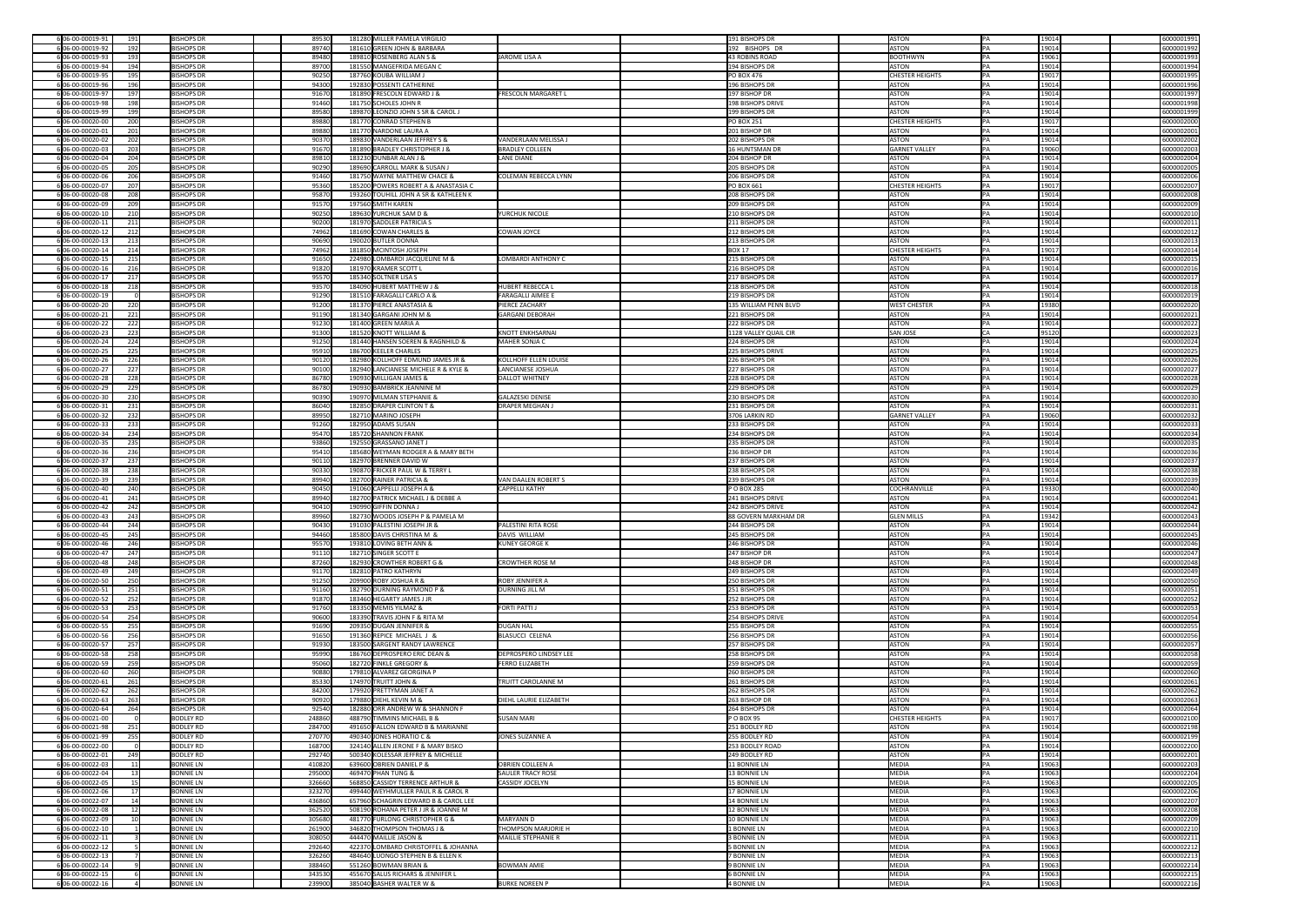| 6 06-00-00019-91                     | 191 | <b>BISHOPS DR</b>                    | 89530            | 181280 MILLER PAMELA VIRGILIO                                 |                               | 191 BISHOPS DR                    | ASTON          |                        | 19014          | 6000001991               |
|--------------------------------------|-----|--------------------------------------|------------------|---------------------------------------------------------------|-------------------------------|-----------------------------------|----------------|------------------------|----------------|--------------------------|
| 6 06-00-00019-92                     | 192 | <b>BISHOPS DR</b>                    | 89740            | 181610 GREEN JOHN & BARBARA                                   |                               | 192 BISHOPS DR                    | ASTON          |                        | 19014          | 6000001992               |
| 6 06-00-00019-93                     | 193 | <b>BISHOPS DR</b>                    | 89480            | 189810 ROSENBERG ALAN S &                                     | JAROME LISA A                 | 43 ROBINS ROAD                    |                | <b>BOOTHWYN</b>        | 19061          | 6000001993               |
| 6 06-00-00019-94                     | 194 | <b>BISHOPS DR</b>                    | 89700            | 181550 MANGEFRIDA MEGAN C                                     |                               | 194 BISHOPS DR                    | ASTON          |                        | 19014          | 6000001994               |
| 6 06-00-00019-95                     | 195 | <b>BISHOPS DR</b>                    | 90250            | 187760 KOUBA WILLIAM J                                        |                               | $PO$ BOX 476                      |                | <b>CHESTER HEIGHTS</b> | 19017          | 6000001995               |
| 6 06-00-00019-96                     | 196 | <b>BISHOPS DR</b>                    | 94300            | 192830 POSSENTI CATHERINE                                     |                               | 196 BISHOPS DR                    | ASTON          |                        | 19014          | 6000001996               |
| 6 06-00-00019-97                     | 197 | <b>BISHOPS DR</b>                    | 91670            | 181890 FRESCOLN EDWARD J &                                    | <b>FRESCOLN MARGARET L</b>    | 197 BISHOP DR                     | <b>ASTON</b>   |                        | 19014          | 6000001997               |
| 606-00-00019-98                      | 198 | <b>BISHOPS DR</b>                    | 91460            | 181750 SCHOLES JOHN R                                         |                               | <b>198 BISHOPS DRIVE</b>          | ASTON          |                        | 19014          | 6000001998               |
| 6 06-00-00019-99                     | 199 | <b>BISHOPS DR</b>                    | 89580            | 189870 LEONZIO JOHN S SR & CAROL J                            |                               | 199 BISHOPS DR                    | ASTON          |                        | 19014          | 6000001999               |
| 6 06-00-00020-00                     | 200 | <b>BISHOPS DR</b>                    | 89880            | 181770 CONRAD STEPHEN B                                       |                               | <b>PO BOX 251</b>                 |                | CHESTER HEIGHTS        | 19017          |                          |
|                                      |     |                                      |                  |                                                               |                               |                                   |                |                        |                | 6000002000               |
| 6 06-00-00020-01                     | 201 | <b>BISHOPS DR</b>                    | 89880            | 181770 NARDONE LAURA A                                        |                               | 201 BISHOP DR                     | ASTON          |                        | 19014          | 6000002001               |
| 6 06-00-00020-02                     | 202 | <b>BISHOPS DR</b>                    | 90370            | 189830 VANDERLAAN JEFFREY S &                                 | VANDERLAAN MELISSA J          | 202 BISHOPS DR                    | ASTON          |                        | 19014          | 6000002002               |
| 606-00-00020-03                      | 203 | <b>BISHOPS DR</b>                    | 91670            | 181890 BRADLEY CHRISTOPHER J &                                | <b>BRADLEY COLLEEN</b>        | 16 HUNTSMAN DR                    |                | <b>GARNET VALLEY</b>   | 19060          | 6000002003               |
| 6 06-00-00020-04                     | 204 | <b>BISHOPS DR</b>                    | 89810            | 183230 DUNBAR ALAN J &                                        | <b>LANE DIANE</b>             | 204 BISHOP DR                     | ASTON          |                        | 19014          | 6000002004               |
| 6 06-00-00020-05                     | 205 | <b>BISHOPS DR</b>                    | 90290            | 189690 CARROLL MARK & SUSAN J                                 |                               | 205 BISHOPS DR                    | <b>ASTON</b>   |                        | 19014          | 6000002005               |
| 6 06-00-00020-06                     | 206 | <b>BISHOPS DR</b>                    | 91460            | 181750 WAYNE MATTHEW CHACE &                                  | <b>COLEMAN REBECCA LYNN</b>   | 206 BISHOPS DR                    | ASTON          |                        | 19014          | 6000002006               |
| 6 06-00-00020-07                     | 207 | <b>BISHOPS DR</b>                    | 95360            | 185200 POWERS ROBERT A & ANASTASIA C                          |                               | <b>PO BOX 661</b>                 |                | <b>CHESTER HEIGHTS</b> | 19017          | 6000002007               |
| 6 06-00-00020-08                     | 208 | <b>BISHOPS DR</b>                    | 95870            | 193260 TOUHILL JOHN A SR & KATHLEEN K                         |                               | 208 BISHOPS DR                    | ASTON          |                        | 19014          | 6000002008               |
| 6 06-00-00020-09                     | 209 | <b>BISHOPS DR</b>                    | 91570            | 197560 SMITH KAREN                                            |                               | 209 BISHOPS DR                    | ASTON          |                        | 19014          | 6000002009               |
| 6 06-00-00020-10                     | 210 | <b>BISHOPS DR</b>                    | 90250            | 189630 YURCHUK SAM D &                                        | <b>YURCHUK NICOLE</b>         | 210 BISHOPS DR                    | ASTON          |                        | 19014          | 6000002010               |
| 6 06-00-00020-11                     | 211 | <b>BISHOPS DR</b>                    | 90200            | 181970 SADDLER PATRICIA S                                     |                               | 211 BISHOPS DR                    | ASTON          |                        | 19014          | 6000002011               |
| 606-00-00020-12                      | 212 | <b>BISHOPS DR</b>                    | 74962            | 181690 COWAN CHARLES &                                        | COWAN JOYCE                   | 212 BISHOPS DR                    | ASTON          |                        | 19014          | 6000002012               |
| 6 06-00-00020-13                     | 213 | <b>BISHOPS DR</b>                    | 90690            | 190020 BUTLER DONNA                                           |                               | 213 BISHOPS DR                    | ASTON          |                        | 19014          | 6000002013               |
| 6 06-00-00020-14                     | 214 | <b>BISHOPS DR</b>                    | 74962            | 181850 MCINTOSH JOSEPH                                        |                               | <b>BOX 17</b>                     |                | <b>CHESTER HEIGHTS</b> | 19017          | 6000002014               |
| 6 06-00-00020-15                     |     | <b>BISHOPS DR</b>                    |                  | 224980 LOMBARDI JACQUELINE M &                                | LOMBARDI ANTHONY C            | 215 BISHOPS DR                    | ASTON          |                        | 19014          |                          |
|                                      | 215 |                                      | 91650            |                                                               |                               |                                   |                |                        |                | 6000002015               |
| 6 06-00-00020-16                     | 216 | <b>BISHOPS DR</b>                    | 91820            | 181970 KRAMER SCOTT L                                         |                               | 216 BISHOPS DR                    | <b>ASTON</b>   |                        | 19014          | 6000002016               |
| 6 06-00-00020-17                     | 217 | <b>BISHOPS DR</b>                    | 95570            | 185340 SOLTNER LISA S                                         |                               | 217 BISHOPS DR                    | ASTON          |                        | 19014          | 6000002017               |
| 6 06-00-00020-18                     | 218 | <b>BISHOPS DR</b>                    | 93570            | 184090 HUBERT MATTHEW J &                                     | HUBERT REBECCA L              | 218 BISHOPS DR                    | ASTON          |                        | 19014          | 6000002018               |
| 6 06-00-00020-19                     |     | <b>BISHOPS DR</b>                    | 91290            | 181510 FARAGALLI CARLO A &                                    | <b>FARAGALLI AIMEE E</b>      | 219 BISHOPS DR                    | ASTON          |                        | 19014          | 6000002019               |
| 6 06-00-00020-20                     | 220 | <b>BISHOPS DR</b>                    | 91200            | 181370 PIERCE ANASTASIA &                                     | <b>PIERCE ZACHARY</b>         | 135 WILLIAM PENN BLVD             |                | <b>WEST CHESTER</b>    | 19380          | 6000002020               |
| 6 06-00-00020-21                     | 221 | <b>BISHOPS DR</b>                    | 91190            | 181340 GARGANI JOHN M &                                       | <b>GARGANI DEBORAH</b>        | 221 BISHOPS DR                    | ASTON          |                        | 19014          | 6000002021               |
| 6 06-00-00020-22                     | 222 | <b>BISHOPS DR</b>                    | 91230            | 181400 GREEN MARIA A                                          |                               | 222 BISHOPS DR                    | ASTON          |                        | 19014          | 6000002022               |
| 6 06-00-00020-23                     | 223 | <b>BISHOPS DR</b>                    | 91300            | 181520 KNOTT WILLIAM &                                        | <b>KNOTT ENKHSARNAI</b>       | 1128 VALLEY QUAIL CIR             |                | <b>SAN JOSE</b>        | 95120          | 6000002023               |
| 6 06-00-00020-24                     | 224 | <b>BISHOPS DR</b>                    | 91250            | 181440 HANSEN SOEREN & RAGNHILD &                             | MAHER SONJA C                 | 224 BISHOPS DR                    | ASTON          |                        | 19014          | 6000002024               |
| 6 06-00-00020-25                     | 225 | <b>BISHOPS DR</b>                    | 95910            | 186700 KEELER CHARLES                                         |                               | 225 BISHOPS DRIVE                 | ASTON          |                        | 19014          | 6000002025               |
| 6 06-00-00020-26                     | 226 | <b>BISHOPS DR</b>                    | 90120            | 182980 KOLLHOFF EDMUND JAMES JR &                             | KOLLHOFF ELLEN LOUISE         | 226 BISHOPS DR                    | ASTON          |                        | 19014          | 6000002026               |
| 6 06-00-00020-27                     | 227 | <b>BISHOPS DR</b>                    | 90100            | 182940 LANCIANESE MICHELE R & KYLE &                          | LANCIANESE JOSHUA             | 227 BISHOPS DR                    | ASTON          |                        | 19014          | 6000002027               |
| 6 06-00-00020-28                     | 228 | <b>BISHOPS DR</b>                    | 86780            | 190930 MILLIGAN JAMES &                                       | DALLOT WHITNEY                | 228 BISHOPS DR                    | ASTON          |                        | 19014          | 6000002028               |
| 6 06-00-00020-29                     | 229 | <b>BISHOPS DR</b>                    | 86780            | 190930 BAMBRICK JEANNINE M                                    |                               | 229 BISHOPS DR                    | ASTON          |                        | 19014          | 6000002029               |
|                                      |     |                                      |                  | 190970 MILMAN STEPHANIE &                                     |                               |                                   | ASTON          |                        |                |                          |
| 6 06-00-00020-30                     | 230 | <b>BISHOPS DR</b>                    | 90390            |                                                               | <b>GALAZESKI DENISE</b>       | 230 BISHOPS DR                    |                |                        | 19014          | 6000002030               |
| 606-00-00020-31                      | 231 | <b>BISHOPS DR</b>                    | 86040            | 182850 DRAPER CLINTON T &                                     | <b>DRAPER MEGHAN J</b>        | 231 BISHOPS DR                    | ASTON          |                        | 19014          | 6000002031               |
| 6 06-00-00020-32                     | 232 | <b>BISHOPS DR</b>                    | 89950            | 182710 MARINO JOSEPH                                          |                               | 3706 LARKIN RD                    |                | <b>GARNET VALLEY</b>   | 19060          | 6000002032               |
| 6 06-00-00020-33                     | 233 | <b>BISHOPS DR</b>                    | 91260            | 182950 ADAMS SUSAN                                            |                               | 233 BISHOPS DR                    | ASTON          |                        | 19014          | 6000002033               |
| 6 06-00-00020-34                     | 234 | <b>BISHOPS DR</b>                    | 95470            | 185720 SHANNON FRANK                                          |                               | 234 BISHOPS DR                    | ASTON          |                        | 19014          | 6000002034               |
| 6 06-00-00020-35                     | 235 | <b>BISHOPS DR</b>                    | 93860            | 192550 GRASSANO JANET J                                       |                               | 235 BISHOPS DR                    | ASTON          |                        | 19014          | 6000002035               |
| 6 06-00-00020-36                     | 236 | <b>BISHOPS DR</b>                    | 95410            | 185680 WEYMAN RODGER A & MARY BETH                            |                               | 236 BISHOP DR                     | ASTON          |                        | 19014          | 6000002036               |
| 6 06-00-00020-37                     | 237 | <b>BISHOPS DR</b>                    | 90110            | 182970 BRENNER DAVID W                                        |                               | 237 BISHOPS DR                    | ASTON          |                        | 19014          | 6000002037               |
| 606-00-00020-38                      | 238 | <b>BISHOPS DR</b>                    | 90330            | 190870 FRICKER PAUL W & TERRY L                               |                               | 238 BISHOPS DR                    | ASTON          |                        | 19014          | 6000002038               |
| 6 06-00-00020-39                     | 239 | <b>BISHOPS DR</b>                    | 89940            | 182700 RAINER PATRICIA &                                      | VAN DAALEN ROBERT S           | 239 BISHOPS DR                    | ASTON          |                        | 19014          | 6000002039               |
| 6 06-00-00020-40                     | 240 | <b>BISHOPS DR</b>                    | 90450            | 191060 CAPPELLI JOSEPH A &                                    | <b>CAPPELLI KATHY</b>         | $ P$ O BOX 285                    |                | COCHRANVILLE           | 19330          | 6000002040               |
|                                      |     |                                      |                  | 182700 PATRICK MICHAEL J & DEBBE A                            |                               | 241 BISHOPS DRIVE                 | ASTON          |                        | 19014          | 6000002041               |
|                                      |     |                                      |                  |                                                               |                               |                                   |                |                        |                |                          |
| 606-00-00020-41                      | 241 | <b>BISHOPS DR</b>                    | 89940            |                                                               |                               |                                   |                |                        |                |                          |
| 6 06-00-00020-42                     | 242 | <b>BISHOPS DR</b>                    | 90410            | 190990 GIFFIN DONNA J                                         |                               | 242 BISHOPS DRIVE                 | ASTON          |                        | 19014          | 6000002042               |
| 6 06-00-00020-43                     | 243 | <b>BISHOPS DR</b>                    | 89960            | 182730 WOODS JOSEPH P & PAMELA M                              |                               | 88 GOVERN MARKHAM DR              |                | <b>GLEN MILLS</b>      | 19342          | 6000002043               |
| 6 06-00-00020-44                     | 244 | <b>BISHOPS DR</b>                    | 90430            | 191030 PALESTINI JOSEPH JR &                                  | <b>PALESTINI RITA ROSE</b>    | 244 BISHOPS DR                    | ASTON          |                        | 19014          | 6000002044               |
| 6 06-00-00020-45                     | 245 | <b>BISHOPS DR</b>                    | 94460            | 185800 DAVIS CHRISTINA M &                                    | DAVIS WILLIAM                 | 245 BISHOPS DR                    | ASTON          |                        | 19014          | 6000002045               |
| 6 06-00-00020-46                     | 246 | <b>BISHOPS DR</b>                    | 95570            | 193810 LOVING BETH ANN &                                      | KUNEY GEORGE K                | 246 BISHOPS DR                    | ASTON          |                        | 19014          | 6000002046               |
| 6 06-00-00020-47                     | 247 | <b>BISHOPS DR</b>                    | 91110            | 182710 SINGER SCOTT E                                         |                               | 247 BISHOP DR                     | ASTON          |                        | 19014          | 6000002047               |
| 6 06-00-00020-48                     | 248 | <b>BISHOPS DR</b>                    | 87260            | 182930 CROWTHER ROBERT G &                                    | <b>CROWTHER ROSE M</b>        | 248 BISHOP DR                     | ASTON          |                        | 19014          | 6000002048               |
| 6 06-00-00020-49                     | 249 | <b>BISHOPS DR</b>                    | 91170            | 182810 PATRO KATHRYN                                          |                               | 249 BISHOPS DR                    | ASTON          |                        | 19014          | 6000002049               |
| 6 06-00-00020-50                     | 250 | <b>BISHOPS DR</b>                    | 91250            | 209900 ROBY JOSHUA R &                                        | <b>ROBY JENNIFER A</b>        | 250 BISHOPS DR                    | ASTON          |                        | 19014          | 6000002050               |
| 6 06-00-00020-51                     | 251 | <b>BISHOPS DR</b>                    | 91160            | 182790 DURNING RAYMOND P &                                    | <b>DURNING JILL M</b>         | 251 BISHOPS DR                    | ASTON          |                        | 19014          | 6000002051               |
| 606-00-00020-52                      | 252 | <b>BISHOPS DR</b>                    | 91870            | 183460 HEGARTY JAMES J JR                                     |                               | 252 BISHOPS DR                    | ASTON          |                        | 19014          | 6000002052               |
| 6 06-00-00020-53                     | 253 | <b>BISHOPS DR</b>                    | 91760            | 183350 MEMIS YILMAZ &                                         | <b>FORTI PATTI J</b>          | 253 BISHOPS DR                    | ASTON          |                        | 19014          | 6000002053               |
| 6 06-00-00020-54                     | 254 | <b>BISHOPS DR</b>                    | 90600            | 183390 TRAVIS JOHN F & RITA M                                 |                               | 254 BISHOPS DRIVE                 | ASTON          |                        | 19014          | 6000002054               |
| 6 06-00-00020-55                     | 255 | <b>BISHOPS DR</b>                    | 91690            | 209350 DUGAN JENNIFER &                                       | <b>DUGAN HAL</b>              | 255 BISHOPS DR                    | ASTON          |                        | 19014          | 6000002055               |
| 6 06-00-00020-56                     | 256 | <b>BISHOPS DR</b>                    | 91650            | 191360 REPICE MICHAEL J &                                     | <b>BLASUCCI CELENA</b>        | 256 BISHOPS DR                    | ASTON          |                        | 19014          | 6000002056               |
| 6 06-00-00020-57                     | 257 | <b>BISHOPS DR</b>                    | 91930            | 183500 SARGENT RANDY LAWRENCE                                 |                               | 257 BISHOPS DR                    | ASTON          |                        | 19014          | 6000002057               |
| 6 06-00-00020-58                     | 258 | <b>BISHOPS DR</b>                    | 95990            | 186760 DEPROSPERO ERIC DEAN &                                 | <b>DEPROSPERO LINDSEY LEE</b> | 258 BISHOPS DR                    | ASTON          |                        | 19014          | 6000002058               |
|                                      |     | <b>BISHOPS DR</b>                    |                  | 182720 FINKLE GREGORY &                                       | <b>FERRO ELIZABETH</b>        | 259 BISHOPS DR                    | ASTON          |                        |                |                          |
| 6 06-00-00020-59                     | 259 |                                      | 95060            |                                                               |                               |                                   |                |                        | 19014          | 6000002059               |
| 6 06-00-00020-60                     | 260 | <b>BISHOPS DR</b>                    | 90880            | 179810 ALVAREZ GEORGINA P                                     |                               | 260 BISHOPS DR                    | ASTON          |                        | 19014          | 6000002060               |
| 6 06-00-00020-61                     | 261 | <b>BISHOPS DR</b>                    | 85330            | 174970 TRUITT JOHN &                                          | <b>TRUITT CAROLANNE M</b>     | 261 BISHOPS DR                    | ASTON          |                        | 19014          | 6000002061               |
| 6 06-00-00020-62                     | 262 | <b>BISHOPS DR</b>                    | 84200            | 179920 PRETTYMAN JANET A                                      |                               | 262 BISHOPS DR                    | ASTON          |                        | 19014          | 6000002062               |
| 6 06-00-00020-63                     | 263 | <b>BISHOPS DR</b>                    | 90920            | 179880 DIEHL KEVIN M &                                        | <b>DIEHL LAURIE ELIZABETH</b> | 263 BISHOP DR                     | ASTON          |                        | 19014          | 6000002063               |
| 6 06-00-00020-64                     | 264 | <b>BISHOPS DR</b>                    | 92540            | 182880 ORR ANDREW W & SHANNON F                               |                               | 264 BISHOPS DR                    | ASTON          |                        | 19014          | 6000002064               |
| 6 06-00-00021-00                     |     | <b>BODLEY RD</b>                     | 248860           | 488790 TIMMINS MICHAEL B &                                    | <b>SUSAN MARI</b>             | $ P$ O BOX 95                     |                | <b>CHESTER HEIGHTS</b> | 19017          | 6000002100               |
| 606-00-00021-98                      | 251 | BODLEY RD                            | 284700           | 491650 FALLON EDWARD B & MARIANNE                             |                               | 251 BODLEY RD                     | ASTON          |                        | 19014          | 6000002198               |
| 6 06-00-00021-99                     | 255 | <b>BODLEY RD</b>                     | 270770           | 490340 JONES HORATIO C &                                      | JONES SUZANNE A               | 255 BODLEY RD                     | ASTON          |                        | 19014          | 6000002199               |
| 6 06-00-00022-00                     |     | <b>BODLEY RD</b>                     | 168700           | 324140 ALLEN JERONE F & MARY BISKO                            |                               | 253 BODLEY ROAD                   | ASTON          |                        | 19014          | 6000002200               |
| 6 06-00-00022-01                     | 249 | <b>BODLEY RD</b>                     | 292740           | 500340 KOLESSAR JEFFREY & MICHELLE                            |                               | 249 BODLEY RD                     | ASTON          |                        | 19014          | 6000002201               |
| 6 06-00-00022-03                     | 11  | <b>BONNIE LN</b>                     | 410820           | 639600 OBRIEN DANIEL P &                                      | <b>OBRIEN COLLEEN A</b>       | 11 BONNIE LN                      | MEDIA          |                        | 19063          | 6000002203               |
| 6 06-00-00022-04                     |     | <b>BONNIE LN</b>                     | 295000           | 469470 PHAN TUNG &                                            | <b>SAULER TRACY ROSE</b>      | 13 BONNIE LN                      | MEDIA          |                        | 19063          | 6000002204               |
| 6 06-00-00022-05                     | 15  | <b>BONNIE LN</b>                     | 326660           | 568850 CASSIDY TERRENCE ARTHUR &                              | CASSIDY JOCELYN               | 15 BONNIE LN                      | MEDIA          |                        | 19063          | 6000002205               |
| 6 06-00-00022-06                     |     | <b>BONNIE LN</b>                     | 323270           | 499440 WEYHMULLER PAUL R & CAROL R                            |                               | 17 BONNIE LN                      | MEDIA          |                        | 19063          | 6000002206               |
| 6 06-00-00022-07                     |     | <b>BONNIE LN</b>                     | 436860           | 657960 SCHAGRIN EDWARD B & CAROL LEE                          |                               | 14 BONNIE LN                      | MEDIA          |                        | 19063          | 6000002207               |
|                                      |     | <b>BONNIE LN</b>                     |                  | 508190 ROHANA PETER J JR & JOANNE M                           |                               |                                   | MEDIA          |                        | 19063          |                          |
| 6 06-00-00022-08                     |     |                                      | 362520           |                                                               |                               | <b>12 BONNIE LN</b>               |                |                        |                | 6000002208               |
| 6 06-00-00022-09                     |     | <b>BONNIE LN</b>                     | 305680           | 481770 FURLONG CHRISTOPHER G &                                | MARYANN D                     | 10 BONNIE LN                      | MEDIA          |                        | 19063          | 6000002209               |
| 6 06-00-00022-10                     |     | <b>BONNIE LN</b>                     | 261900           | 346820 THOMPSON THOMAS J &                                    | <b>THOMPSON MARJORIE H</b>    | 1 BONNIE LN                       | MEDIA          |                        | 19063          | 6000002210               |
| 6 06-00-00022-11                     |     | <b>BONNIE LN</b>                     | 308050           | 444470 MAILLIE JASON &                                        | MAILLIE STEPHANIE R           | 3 BONNIE LN                       | MEDIA          |                        | 19063          | 6000002211               |
| 6 06-00-00022-12                     |     | <b>BONNIE LN</b>                     | 292640           | 422370 LOMBARD CHRISTOFFEL & JOHANNA                          |                               | <b>5 BONNIE LN</b>                | MEDIA          |                        | 19063          | 6000002212               |
| 6 06-00-00022-13                     |     | <b>BONNIE LN</b>                     | 326260           | 484640 LUONGO STEPHEN B & ELLEN K                             |                               | 7 BONNIE LN                       | MEDIA          |                        | 19063          | 6000002213               |
| 6 06-00-00022-14                     |     | <b>BONNIE LN</b>                     | 388460           | 551260 BOWMAN BRIAN &                                         | <b>BOWMAN AMIE</b>            | 9 BONNIE LN                       | MEDIA          |                        | 19063          | 6000002214               |
| 6 06-00-00022-15<br>6 06-00-00022-16 |     | <b>BONNIE LN</b><br><b>BONNIE LN</b> | 343530<br>239900 | 455670 SALUS RICHARS & JENNIFER L<br>385040 BASHER WALTER W & | <b>BURKE NOREEN P</b>         | 6 BONNIE LN<br><b>4 BONNIE LN</b> | MEDIA<br>MEDIA |                        | 19063<br>19063 | 6000002215<br>6000002216 |

| 6000001991               |
|--------------------------|
| 6000001992               |
| 6000001993               |
| 6000001994<br>6000001995 |
| 6000001996               |
| 6000001997               |
| 6000001998               |
| 6000001999               |
| 6000002000               |
| 6000002001               |
| 6000002002               |
| 6000002003<br>6000002004 |
| 6000002005               |
| 6000002006               |
| 6000002007               |
| 6000002008               |
| 6000002009               |
| 6000002010               |
| 6000002011<br>6000002012 |
| 6000002013               |
| 6000002014               |
| 6000002015               |
| 6000002016               |
| 6000002017               |
| 6000002018               |
| 6000002019<br>6000002020 |
| 6000002021               |
| 6000002022               |
| 6000002023               |
| 6000002024               |
| 6000002025               |
| 6000002026               |
| 6000002027<br>6000002028 |
| 6000002029               |
| 6000002030               |
| 6000002031               |
| 6000002032               |
| 6000002033               |
| 6000002034               |
| 6000002035               |
| 6000002036<br>6000002037 |
| 6000002038               |
| 6000002039               |
| 6000002040               |
| 6000002041               |
| 6000002042               |
| 6000002043<br>6000002044 |
| 6000002045               |
| 6000002046               |
| 6000002047               |
| 6000002048               |
| 6000002049               |
| 6000002050               |
|                          |
| 6000002051               |
| 6000002052<br>6000002053 |
| 6000002054               |
| 6000002055               |
| 6000002056               |
| 6000002057               |
| 6000002058<br>6000002059 |
| 6000002060               |
| 6000002061               |
| 6000002062               |
| 6000002063               |
| 6000002064               |
| 6000002100               |
| 6000002198<br>6000002199 |
| 6000002200               |
| 6000002201               |
| 6000002203               |
| 6000002204               |
| 6000002205               |
| 6000002206<br>6000002207 |
| 6000002208               |
| 6000002209               |
| 6000002210               |
| 6000002211               |
| 6000002212               |
| 6000002213               |
| 6000002214<br>6000002215 |
| 6000002216               |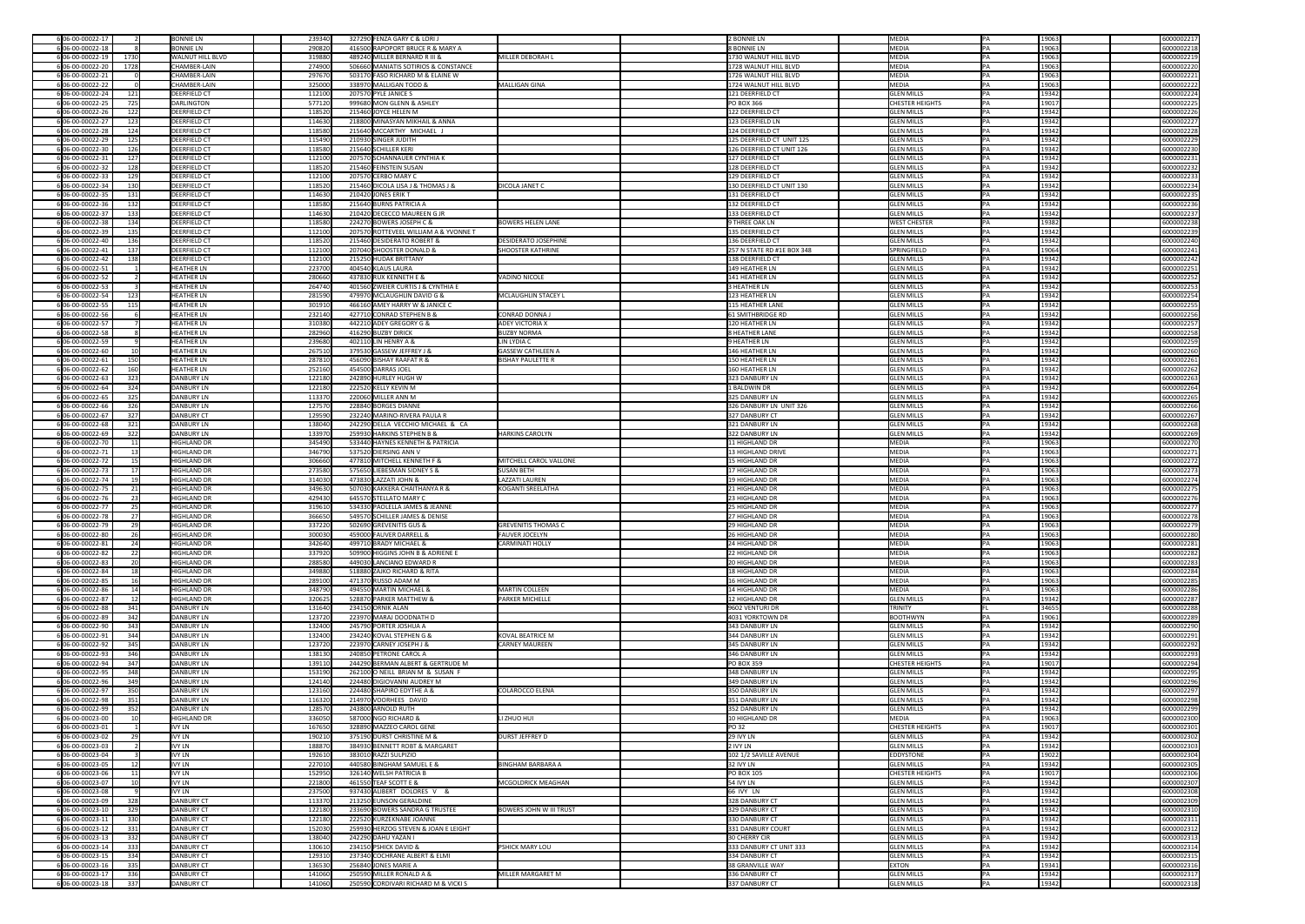| 6 06-00-00022-17                       |            | <b>BONNIE LN</b>                | 239340           | 327290 FENZA GARY C & LORIJ                                      |                                | 2 BONNIE LN                      | MEDIA                                  |    | 19063           | 6000002217               |
|----------------------------------------|------------|---------------------------------|------------------|------------------------------------------------------------------|--------------------------------|----------------------------------|----------------------------------------|----|-----------------|--------------------------|
| 6 06-00-00022-18                       |            | <b>BONNIE LN</b>                | 290820           | 416500 RAPOPORT BRUCE R & MARY A                                 |                                | 8 BONNIE LN                      | MEDIA                                  |    | 19063           | 6000002218               |
|                                        |            |                                 |                  |                                                                  |                                |                                  |                                        |    |                 |                          |
| 6 06-00-00022-19                       | 1730       | <b>WALNUT HILL BLVD</b>         | 319880           | 489240 MILLER BERNARD R III &                                    | MILLER DEBORAH L               | 1730 WALNUT HILL BLVD            | MEDIA                                  |    | 19063           | 6000002219               |
| 6 06-00-00022-20                       | 1728       | CHAMBER-LAIN                    | 274900           | 506660 MANIATIS SOTIRIOS & CONSTANCE                             |                                | 1728 WALNUT HILL BLVD            | MEDIA                                  |    | 19063           | 6000002220               |
| 6 06-00-00022-21                       |            | CHAMBER-LAIN                    | 297670           | 503170 FASO RICHARD M & ELAINE W                                 |                                | 1726 WALNUT HILL BLVD            | MEDIA                                  |    | 19063           | 6000002221               |
|                                        |            |                                 |                  |                                                                  |                                |                                  |                                        |    |                 |                          |
| 6 06-00-00022-22                       |            | CHAMBER-LAIN                    | 325000           | 338970 MALLIGAN TODD &                                           | MALLIGAN GINA                  | 1724 WALNUT HILL BLVD            | MEDIA                                  |    | 19063           | 6000002222               |
| 6 06-00-00022-24                       | 121        | <b>DEERFIELD CT</b>             | 112100           | 207570 PYLE JANICE S                                             |                                | 121 DEERFIELD CT                 | <b>GLEN MILLS</b>                      |    | 19342           | 6000002224               |
| 606-00-00022-25                        | 725        | DARLINGTON                      | 577120           | 999680 MON GLENN & ASHLEY                                        |                                | <b>PO BOX 366</b>                | <b>CHESTER HEIGHTS</b>                 |    | 19017           | 6000002225               |
|                                        |            |                                 |                  |                                                                  |                                |                                  |                                        |    |                 |                          |
| 606-00-00022-26                        | 122        | <b>DEERFIELD CT</b>             | 118520           | 215460 JOYCE HELEN M                                             |                                | 122 DEERFIELD CT                 | <b>GLEN MILLS</b>                      |    | 19342           | 6000002226               |
| 6 06-00-00022-27                       | 123        | <b>DEERFIELD CT</b>             | 114630           | 218800 MINASYAN MIKHAIL & ANNA                                   |                                | 123 DEERFIELD LN                 | <b>GLEN MILLS</b>                      |    | 19342           | 6000002227               |
| 606-00-00022-28                        | 124        | <b>DEERFIELD CT</b>             |                  | 215640 MCCARTHY MICHAEL J                                        |                                | 124 DEERFIELD CT                 | <b>GLEN MILLS</b>                      |    | 19342           | 6000002228               |
|                                        |            |                                 | 118580           |                                                                  |                                |                                  |                                        |    |                 |                          |
| 6 06-00-00022-29                       | 125        | <b>DEERFIELD CT</b>             | 115490           | 210930 SINGER JUDITH                                             |                                | 125 DEERFIELD CT UNIT 125        | <b>GLEN MILLS</b>                      |    | 19342           | 6000002229               |
| 606-00-00022-30                        | 126        | <b>DEERFIELD CT</b>             | 118580           | 215640 SCHILLER KERI                                             |                                | 126 DEERFIELD CT UNIT 126        | <b>GLEN MILLS</b>                      |    | 19342           | 6000002230               |
|                                        |            |                                 |                  |                                                                  |                                |                                  |                                        |    |                 |                          |
| 6 06-00-00022-31                       | 127        | <b>DEERFIELD CT</b>             | 112100           | 207570 SCHANNAUER CYNTHIA K                                      |                                | 127 DEERFIELD CT                 | <b>GLEN MILLS</b>                      |    | 19342           | 6000002231               |
| 606-00-00022-32                        | 128        | <b>DEERFIELD CT</b>             | 118520           | 215460 FEINSTEIN SUSAN                                           |                                | 128 DEERFIELD CT                 | <b>GLEN MILLS</b>                      |    | 19342           | 6000002232               |
| 6 06-00-00022-33                       | 129        | <b>DEERFIELD CT</b>             | 112100           | 207570 CERBO MARY C                                              |                                | 129 DEERFIELD CT                 | <b>GLEN MILLS</b>                      |    | 19342           | 6000002233               |
|                                        |            |                                 |                  |                                                                  |                                |                                  |                                        |    |                 |                          |
| 6 06-00-00022-34                       | 130        | <b>DEERFIELD CT</b>             | 118520           | 215460 DICOLA LISA J & THOMAS J &                                | <b>DICOLA JANET C</b>          | 130 DEERFIELD CT UNIT 130        | <b>GLEN MILLS</b>                      |    | 19342           | 6000002234               |
| 6 06-00-00022-35                       | 131        | <b>DEERFIELD CT</b>             | 114630           | 210420 JONES ERIK T                                              |                                | 131 DEERFIELD CT                 | <b>GLEN MILLS</b>                      |    | 19342           | 6000002235               |
| 6 06-00-00022-36                       | 132        | <b>DEERFIELD CT</b>             | 118580           | 215640 BURNS PATRICIA A                                          |                                | 132 DEERFIELD CT                 | <b>GLEN MILLS</b>                      |    | 19342           | 6000002236               |
|                                        |            |                                 |                  |                                                                  |                                |                                  |                                        |    |                 |                          |
| 6 06-00-00022-37                       | 133        | <b>DEERFIELD CT</b>             | 114630           | 210420 DECECCO MAUREEN G JR                                      |                                | 133 DEERFIELD CT                 | <b>GLEN MILLS</b>                      |    | 19342           | 6000002237               |
| 6 06-00-00022-38                       | 134        | <b>DEERFIELD CT</b>             | 118580           | 224270 BOWERS JOSEPH C &                                         | <b>BOWERS HELEN LANE</b>       | 9 THREE OAK LN                   | <b>WEST CHESTER</b>                    |    | 19382           | 6000002238               |
| 6 06-00-00022-39                       | 135        | <b>DEERFIELD CT</b>             | 112100           | 207570 ROTTEVEEL WILLIAM A & YVONNE T                            |                                | 135 DEERFIELD CT                 | <b>GLEN MILLS</b>                      |    | 19342           | 6000002239               |
|                                        |            |                                 |                  |                                                                  |                                |                                  |                                        |    |                 |                          |
| 6 06-00-00022-40                       | 136        | <b>DEERFIELD CT</b>             | 118520           | 215460 DESIDERATO ROBERT &                                       | <b>DESIDERATO JOSEPHINE</b>    | 136 DEERFIELD CT                 | <b>GLEN MILLS</b>                      |    | 19342           | 6000002240               |
| 6 06-00-00022-41                       | 137        | <b>DEERFIELD CT</b>             | 112100           | 207040 SHOOSTER DONALD &                                         | <b>SHOOSTER KATHRINE</b>       | 257 N STATE RD #1E BOX 348       | SPRINGFIELD                            |    | 19064           | 6000002241               |
| 606-00-00022-42                        | 138        | <b>DEERFIELD CT</b>             | 112100           | 215250 HUDAK BRITTANY                                            |                                | 138 DEERFIELD CT                 | <b>GLEN MILLS</b>                      |    | 19342           | 6000002242               |
|                                        |            |                                 |                  |                                                                  |                                |                                  |                                        |    |                 |                          |
| 6 06-00-00022-51                       |            | <b>HEATHER LN</b>               | 223700           | 404540 KLAUS LAURA                                               |                                | 149 HEATHER LN                   | <b>GLEN MILLS</b>                      |    | 19342           | 6000002251               |
| 6 06-00-00022-52                       |            | <b>HEATHER LN</b>               | 280660           | 437830 RUX KENNETH E &                                           | VADINO NICOLE                  | 141 HEATHER LN                   | <b>GLEN MILLS</b>                      |    | 19342           | 6000002252               |
|                                        |            | <b>HEATHER LN</b>               |                  |                                                                  |                                |                                  | <b>GLEN MILLS</b>                      |    |                 |                          |
| 6 06-00-00022-53                       |            |                                 | 264740           | 401560 ZWEIER CURTIS J & CYNTHIA E                               |                                | 3 HEATHER LN                     |                                        |    | 19342           | 6000002253               |
| 6 06-00-00022-54                       | 123        | <b>HEATHER LN</b>               | 281590           | 479970 MCLAUGHLIN DAVID G &                                      | MCLAUGHLIN STACEY L            | 123 HEATHER LN                   | <b>GLEN MILLS</b>                      |    | 19342           | 6000002254               |
| 606-00-00022-55                        | 115        | <b>HEATHER LN</b>               | 301910           | 466160 AMEY HARRY W & JANICE C                                   |                                | <b>115 HEATHER LANE</b>          | <b>GLEN MILLS</b>                      |    | 19342           | 6000002255               |
|                                        |            |                                 |                  |                                                                  |                                |                                  |                                        |    |                 |                          |
| 606-00-00022-56                        |            | <b>HEATHER LN</b>               | 232140           | 427710 CONRAD STEPHEN B &                                        | CONRAD DONNA J                 | 61 SMITHBRIDGE RD                | <b>GLEN MILLS</b>                      |    | 19342           | 6000002256               |
| 6 06-00-00022-57                       |            | <b>HEATHER LN</b>               | 310380           | 442210 ADEY GREGORY G &                                          | <b>ADEY VICTORIA X</b>         | 120 HEATHER LN                   | <b>GLEN MILLS</b>                      |    | 19342           | 6000002257               |
| 606-00-00022-58                        |            | <b>HEATHER LN</b>               | 282960           | 416290 BUZBY DIRICK                                              | <b>BUZBY NORMA</b>             | 8 HEATHER LANE                   | <b>GLEN MILLS</b>                      |    | 19342           | 6000002258               |
|                                        |            |                                 |                  |                                                                  |                                |                                  |                                        |    |                 |                          |
| 6 06-00-00022-59                       |            | <b>HEATHER LN</b>               | 239680           | 402110 LIN HENRY A &                                             | LIN LYDIA C                    | 9 HEATHER LN                     | <b>GLEN MILLS</b>                      |    | 19342           | 6000002259               |
| 6 06-00-00022-60                       |            | <b>HEATHER LN</b>               | 267510           | 379530 GASSEW JEFFREY J &                                        | <b>GASSEW CATHLEEN A</b>       | 146 HEATHER LN                   | <b>GLEN MILLS</b>                      |    | 19342           | 6000002260               |
| 6 06-00-00022-61                       | 150        | <b>HEATHER LN</b>               | 287810           | 456090 BISHAY RAAFAT R &                                         | <b>BISHAY PAULETTE R</b>       | 150 HEATHER LN                   | <b>GLEN MILLS</b>                      |    | 19342           | 6000002261               |
|                                        |            |                                 |                  |                                                                  |                                |                                  |                                        |    |                 |                          |
| 606-00-00022-62                        | 160        | <b>HEATHER LN</b>               | 252160           | 454500 DARRAS JOEL                                               |                                | 160 HEATHER LN                   | <b>GLEN MILLS</b>                      |    | 19342           | 6000002262               |
| 6 06-00-00022-63                       | 323        | DANBURY LN                      | 122180           | 242890 HURLEY HUGH W                                             |                                | 323 DANBURY LN                   | <b>GLEN MILLS</b>                      |    | 19342           | 6000002263               |
|                                        |            |                                 |                  |                                                                  |                                |                                  |                                        |    |                 |                          |
| 6 06-00-00022-64                       | 324        | DANBURY LN                      | 122180           | 222520 KELLY KEVIN M                                             |                                | 1 BALDWIN DR                     | <b>GLEN MILLS</b>                      |    | 19342           | 6000002264               |
| 6 06-00-00022-65                       | 325        | DANBURY LN                      | 113370           | 220060 MILLER ANN M                                              |                                | 325 DANBURY LN                   | <b>GLEN MILLS</b>                      |    | 19342           | 6000002265               |
| 6 06-00-00022-66                       | 326        | DANBURY LN                      | 127570           | 228840 BORGES DIANNE                                             |                                | 326 DANBURY LN UNIT 326          | <b>GLEN MILLS</b>                      |    | 19342           | 6000002266               |
|                                        |            |                                 |                  |                                                                  |                                |                                  |                                        |    |                 |                          |
| 6 06-00-00022-67                       | 327        | DANBURY CT                      | 129590           | 232240 MARINO-RIVERA PAULA R                                     |                                | 327 DANBURY CT                   | <b>GLEN MILLS</b>                      |    | 19342           | 6000002267               |
| 6 06-00-00022-68                       | 321        | DANBURY LN                      | 138040           | 242290 DELLA VECCHIO MICHAEL & CA                                |                                | 321 DANBURY LN                   | <b>GLEN MILLS</b>                      |    | 19342           | 6000002268               |
| 606-00-00022-69                        | 322        | DANBURY LN                      | 133970           | 259930 HARKINS STEPHEN B &                                       | <b>HARKINS CAROLYN</b>         | 322 DANBURY LN                   | <b>GLEN MILLS</b>                      |    | 19342           | 6000002269               |
|                                        |            |                                 |                  |                                                                  |                                |                                  |                                        |    |                 |                          |
| 6 06-00-00022-70                       | -11        | HIGHLAND DR                     | 345490           | 533440 HAYNES KENNETH & PATRICIA                                 |                                | 11 HIGHLAND DR                   | MEDIA                                  |    | 19063           | 6000002270               |
| 6 06-00-00022-71                       |            | <b>HIGHLAND DR</b>              | 346790           | 537520 DIERSING ANN V                                            |                                | 13 HIGHLAND DRIVE                | MEDIA                                  |    | 19063           | 6000002271               |
|                                        |            |                                 |                  |                                                                  |                                |                                  |                                        |    | 19063           |                          |
|                                        |            |                                 |                  |                                                                  |                                |                                  |                                        |    |                 |                          |
| 6 06-00-00022-72                       |            | <b>HIGHLAND DR</b>              | 306660           | 477810 MITCHELL KENNETH F &                                      | MITCHELL CAROL VALLONE         | 15 HIGHLAND DR                   | MEDIA                                  |    |                 | 6000002272               |
| 6 06-00-00022-73                       |            | <b>HIGHLAND DR</b>              | 273580           | 575650 LIEBESMAN SIDNEY S &                                      | <b>SUSAN BETH</b>              | 17 HIGHLAND DR                   | MEDIA                                  |    | 19063           | 6000002273               |
|                                        |            |                                 |                  |                                                                  |                                |                                  |                                        |    |                 |                          |
| 6 06-00-00022-74                       |            | HIGHLAND DR                     | 314030           | 473830 LAZZATI JOHN &                                            | LAZZATI LAUREN                 | 19 HIGHLAND DR                   | MEDIA                                  |    | 19063           | 6000002274               |
| 6 06-00-00022-75                       | 21         | HIGHLAND DR                     | 349630           | 507030 KAKKERA CHAITHANYA R &                                    | KOGANTI SREELATHA              | 21 HIGHLAND DR                   | MEDIA                                  |    | 19063           | 6000002275               |
| 606-00-00022-76                        |            | <b>HIGHLAND DR</b>              | 429430           | 645570 STELLATO MARY C                                           |                                | 23 HIGHLAND DR                   | MEDIA                                  |    | 19063           |                          |
|                                        |            |                                 |                  |                                                                  |                                |                                  |                                        |    |                 | 6000002276               |
| 6 06-00-00022-77                       |            | <b>HIGHLAND DR</b>              | 319610           | 534330 PAOLELLA JAMES & JEANNE                                   |                                | <b>25 HIGHLAND DR</b>            | MEDIA                                  |    | 19063           | 6000002277               |
| 6 06-00-00022-78                       | 27         | HIGHLAND DR                     | 366650           | 549570 SCHILLER JAMES & DENISE                                   |                                | 27 HIGHLAND DR                   | MEDIA                                  |    | 19063           | 6000002278               |
|                                        |            | HIGHLAND DR                     |                  | 502690 GREVENITIS GUS &                                          | <b>GREVENITIS THOMAS C</b>     | 29 HIGHLAND DR                   | MEDIA                                  |    |                 |                          |
| 6 06-00-00022-79                       |            |                                 | 337220           |                                                                  |                                |                                  |                                        |    | 19063           | 6000002279               |
| 606-00-00022-80                        |            | HIGHLAND DR                     | 300030           | 459000 FAUVER DARRELL &                                          | <b>FAUVER JOCELYN</b>          | 26 HIGHLAND DR                   | MEDIA                                  |    | 19063           | 6000002280               |
| 606-00-00022-81                        |            | HIGHLAND DR                     | 342640           | 499710 BRADY MICHAEL &                                           | <b>CARMINATI HOLLY</b>         | 24 HIGHLAND DR                   | MEDIA                                  |    | 19063           | 6000002281               |
|                                        | 22         | HIGHLAND DR                     |                  |                                                                  |                                |                                  |                                        |    |                 |                          |
| 6 06-00-00022-82                       |            |                                 | 337920           | 509900 HIGGINS JOHN B & ADRIENE E                                |                                | 22 HIGHLAND DR                   | MEDIA                                  |    | 19063           | 6000002282               |
| 606-00-00022-83                        |            | HIGHLAND DR                     | 288580           | 449030 LANCIANO EDWARD R                                         |                                | 20 HIGHLAND DR                   | MEDIA                                  |    | 19063           | 6000002283               |
| 6 06-00-00022-84                       |            | HIGHLAND DR                     | 349880           | 518880 ZAJKO RICHARD & RITA                                      |                                | <b>18 HIGHLAND DR</b>            | MEDIA                                  |    | 19063           | 6000002284               |
| 6 06-00-00022-85                       |            | <b>HIGHLAND DR</b>              | 289100           | 471370 RUSSO ADAM M                                              |                                | 16 HIGHLAND DR                   | MEDIA                                  |    | 19063           | 6000002285               |
|                                        |            |                                 |                  |                                                                  |                                |                                  |                                        |    |                 |                          |
| 6 06-00-00022-86                       |            | <b>HIGHLAND DR</b>              | 348790           | 494550 MARTIN MICHAEL &                                          | MARTIN COLLEEN                 | 14 HIGHLAND DR                   | MEDIA                                  |    | 19063           | 6000002286               |
| 606-00-00022-87                        |            | HIGHLAND DR                     | 320625           | 528870 PARKER MATTHEW &                                          | <b>PARKER MICHELLE</b>         | 12 HIGHLAND DR                   | <b>GLEN MILLS</b>                      |    | 19342           | 6000002287               |
| 606-00-00022-88                        | 341        | <b>DANBURY LN</b>               | 131640           | 234150 ORNIK ALAN                                                |                                | 9602 VENTURI DR                  | <b>TRINITY</b>                         |    | 34655           | 6000002288               |
|                                        |            |                                 |                  |                                                                  |                                |                                  |                                        |    |                 |                          |
| 6 06-00-00022-89                       | 342        | DANBURY LN                      | 123720           | 223970 MARAJ DOODNATH D                                          |                                | 4031 YORKTOWN DR                 | <b>BOOTHWYN</b>                        |    | 19061           | 6000002289               |
| 606-00-00022-90                        | 343        | DANBURY LN                      | 132400           | 245790 PORTER JOSHUA A                                           |                                | 343 DANBURY LN                   | <b>GLEN MILLS</b>                      |    | 19342           | 6000002290               |
| 6 06-00-00022-91                       | 344        | DANBURY LN                      | 132400           | 234240 KOVAL STEPHEN G &                                         | KOVAL BEATRICE M               | 344 DANBURY LN                   | <b>GLEN MILLS</b>                      |    | 19342           | 6000002291               |
|                                        |            |                                 |                  |                                                                  |                                |                                  |                                        |    |                 |                          |
| 6 06-00-00022-92                       | 345        | DANBURY LN                      | 123720           | 223970 CARNEY JOSEPH J &                                         | <b>CARNEY MAUREEN</b>          | 345 DANBURY LN                   | <b>GLEN MILLS</b>                      |    | 19342           | 6000002292               |
| 6 06-00-00022-93                       | 346        | DANBURY LN                      | 138130           | 240850 PETRONE CAROL A                                           |                                | 346 DANBURY LN                   | <b>GLEN MILLS</b>                      |    | 19342           | 6000002293               |
| 606-00-00022-94                        | 347        | DANBURY LN                      | 139110           | 244290 BERMAN ALBERT & GERTRUDE M                                |                                | <b>PO BOX 359</b>                | <b>CHESTER HEIGHTS</b>                 |    | 19017           | 6000002294               |
|                                        |            |                                 |                  |                                                                  |                                |                                  |                                        |    |                 |                          |
| 6 06-00-00022-95                       | 348        | DANBURY LN                      | 153190           | 262100 O NEILL BRIAN M & SUSAN F                                 |                                | 348 DANBURY LN                   | <b>GLEN MILLS</b>                      |    | 19342           | 6000002295               |
| 6 06-00-00022-96                       | 349        | DANBURY LN                      | 124140           | 224480 DIGIOVANNI AUDREY M                                       |                                | 349 DANBURY LN                   | <b>GLEN MILLS</b>                      |    | 19342           | 6000002296               |
|                                        | 350        | DANBURY LN                      |                  | 224480 SHAPIRO EDYTHE A &                                        |                                |                                  | <b>GLEN MILLS</b>                      |    |                 |                          |
| 606-00-00022-97                        |            |                                 | 123160           |                                                                  | COLAROCCO ELENA                | 350 DANBURY LN                   |                                        |    | 19342           | 6000002297               |
| 6 06-00-00022-98                       | 351        | DANBURY LN                      | 116320           | 214970 VOORHEES DAVID                                            |                                | 351 DANBURY LN                   | <b>GLEN MILLS</b>                      |    | 19342           | 6000002298               |
| 6 06-00-00022-99                       | 352        | DANBURY LN                      | 128570           | 243800 ARNOLD RUTH                                               |                                | 352 DANBURY LN                   | <b>GLEN MILLS</b>                      |    | 19342           | 6000002299               |
|                                        |            | HIGHLAND DR                     |                  |                                                                  |                                |                                  | MEDIA                                  |    |                 |                          |
| 606-00-00023-00                        |            |                                 | 336050           | 587000 NGO RICHARD &                                             | LI ZHUO HUI                    | 10 HIGHLAND DR                   |                                        |    | 19063           | 6000002300               |
| 6 06-00-00023-01                       |            | <b>IVY LN</b>                   | 167650           | 328890 MAZZEO CAROL GENE                                         |                                | <b>PO 32</b>                     | <b>CHESTER HEIGHTS</b>                 |    | 19017           | 6000002301               |
| 6 06-00-00023-02                       |            | <b>IVY LN</b>                   | 190210           | 375190 DURST CHRISTINE M &                                       | DURST JEFFREY D                | <b>29 IVY LN</b>                 | <b>GLEN MILLS</b>                      |    | 19342           | 6000002302               |
|                                        |            |                                 |                  |                                                                  |                                |                                  |                                        |    |                 |                          |
| 6 06-00-00023-03                       |            | <b>IVY LN</b>                   | 188870           | 384930 BENNETT ROBT & MARGARET                                   |                                | $2$ IVY LN                       | <b>GLEN MILLS</b>                      |    | 19342           | 6000002303               |
| 6 06-00-00023-04                       |            | <b>IVY LN</b>                   | 192610           | 383010 RAZZI SULPIZIO                                            |                                | 102 1/2 SAVILLE AVENUE           | <b>EDDYSTONE</b>                       |    | 19022           | 6000002304               |
| 6 06-00-00023-05                       |            | <b>IVY LN</b>                   | 227010           | 440580 BINGHAM SAMUEL E &                                        | <b>BINGHAM BARBARA A</b>       | 32 IVY LN                        | <b>GLEN MILLS</b>                      |    | 19342           | 6000002305               |
|                                        |            |                                 |                  |                                                                  |                                |                                  |                                        |    |                 |                          |
| 6 06-00-00023-06                       | 11         | <b>IVY LN</b>                   | 152950           | 326140 WELSH PATRICIA B                                          |                                | <b>PO BOX 105</b>                | <b>CHESTER HEIGHTS</b>                 |    | 19017           | 6000002306               |
| 606-00-00023-07                        |            | <b>IVY LN</b>                   | 221800           | 461550 TEAF SCOTT E &                                            | MCGOLDRICK MEAGHAN             | <b>54 IVY LN</b>                 | <b>GLEN MILLS</b>                      |    | 19342           | 6000002307               |
| 6 06-00-00023-08                       |            | <b>IVY LN</b>                   | 237500           | 937430 ALIBERT DOLORES V &                                       |                                | $ 66$ IVY LN                     | <b>GLEN MILLS</b>                      |    | 19342           | 6000002308               |
|                                        |            |                                 |                  |                                                                  |                                |                                  |                                        |    |                 |                          |
| 6 06-00-00023-09                       | 328        | <b>DANBURY CT</b>               | 113370           | 213250 EUNSON GERALDINE                                          |                                | 328 DANBURY CT                   | <b>GLEN MILLS</b>                      |    | 19342           | 6000002309               |
| 6 06-00-00023-10                       | 329        | DANBURY CT                      | 122180           | 233690 BOWERS SANDRA G TRUSTEE                                   | <b>BOWERS JOHN W III TRUST</b> | 329 DANBURY CT                   | <b>GLEN MILLS</b>                      |    | 19342           | 6000002310               |
| 6 06-00-00023-11                       | 330        | DANBURY CT                      | 122180           | 222520 KURZEKNABE JOANNE                                         |                                | 330 DANBURY CT                   | <b>GLEN MILLS</b>                      |    | 19342           | 6000002311               |
|                                        |            |                                 |                  |                                                                  |                                |                                  |                                        |    |                 |                          |
| 6 06-00-00023-12                       | 331        | DANBURY CT                      | 152030           | 259930 HERZOG STEVEN & JOAN E LEIGHT                             |                                | 331 DANBURY COURT                | <b>GLEN MILLS</b>                      |    | 19342           | 6000002312               |
| 6 06-00-00023-13                       | 332        | DANBURY CT                      | 138040           | 242290 DAHU YAZAN I                                              |                                | 30 CHERRY CIR                    | <b>GLEN MILLS</b>                      |    | 19342           | 6000002313               |
|                                        |            |                                 |                  |                                                                  |                                |                                  |                                        |    |                 |                          |
| 6 06-00-00023-14                       | 333        | DANBURY CT                      | 130610           | 234150 PSHICK DAVID &                                            | <b>PSHICK MARY LOU</b>         | 333 DANBURY CT UNIT 333          | <b>GLEN MILLS</b>                      |    | 19342           | 6000002314               |
| 6 06-00-00023-15                       | 334        | DANBURY CT                      | 129310           | 237340 COCHRANE ALBERT & ELMI                                    |                                | 334 DANBURY CT                   | <b>GLEN MILLS</b>                      |    | 19342           | 6000002315               |
| 6 06-00-00023-16                       | 335        | DANBURY CT                      | 136530           | 256840 JONES MARIE A                                             |                                | 38 GRANVILLE WAY                 | EXTON                                  |    | 19341           | 6000002316               |
|                                        |            |                                 |                  |                                                                  |                                |                                  |                                        |    |                 |                          |
| 606-00-00023-17<br>$6 06-00-00023-18 $ | 336<br>337 | <b>DANBURY CT</b><br>DANBURY CT | 141060<br>141060 | 250590 MILLER RONALD A &<br>250590 CORDIVARI RICHARD M & VICKI S | MILLER MARGARET M              | 336 DANBURY CT<br>337 DANBURY CT | <b>GLEN MILLS</b><br><b>GLEN MILLS</b> | PA | 19342<br> 19342 | 6000002317<br>6000002318 |

| 6000002217               |
|--------------------------|
| 6000002218               |
| 6000002219               |
| 6000002220               |
| 6000002221               |
|                          |
| 6000002222               |
| 6000002224               |
| 6000002225               |
| 6000002226               |
| 6000002227               |
| 6000002228               |
| 6000002229               |
| 6000002230               |
| 6000002231               |
| 6000002232               |
| 6000002233               |
|                          |
| 6000002234               |
| 6000002235               |
| 6000002236               |
| 6000002237               |
| 6000002238               |
| 6000002239               |
| 6000002240               |
| 6000002241               |
| 6000002242               |
| 6000002251               |
| 6000002252               |
| 6000002253               |
| 6000002254               |
| 6000002255               |
|                          |
| 6000002256               |
| 6000002257               |
| 6000002258               |
| 6000002259               |
| 6000002260               |
| 6000002261               |
| 6000002262               |
| 6000002263               |
| 6000002264               |
| 6000002265               |
| 6000002266               |
|                          |
| 6000002267<br>6000002268 |
|                          |
| 6000002269               |
|                          |
| 6000002270               |
| 6000002271               |
| 6000002272               |
| 6000002273               |
| 6000002274               |
| 6000002275               |
| 6000002276               |
| 6000002277               |
| 6000002278               |
| 6000002279               |
|                          |
| 6000002280               |
| 6000002281               |
| 6000002282               |
| 6000002283               |
| 6000002284               |
| 6000002285               |
| 6000002286               |
| 6000002287               |
| 6000002288               |
| 6000002289               |
| 6000002290               |
| 6000002291               |
| 6000002292               |
| 6000002293               |
| 6000002294               |
| 6000002295               |
| 6000002296               |
| 6000002297               |
| 6000002298               |
| 6000002299               |
|                          |
| 6000002300               |
| 6000002301               |
| 6000002302               |
| 6000002303               |
| 6000002304               |
| 6000002305               |
| 6000002306               |
| 6000002307               |
| 6000002308               |
| 6000002309               |
| 6000002310               |
| 6000002311               |
| 6000002312               |
|                          |
| 6000002313               |
| 6000002314               |
| 6000002315               |
| 6000002316               |
| 6000002317<br>6000002318 |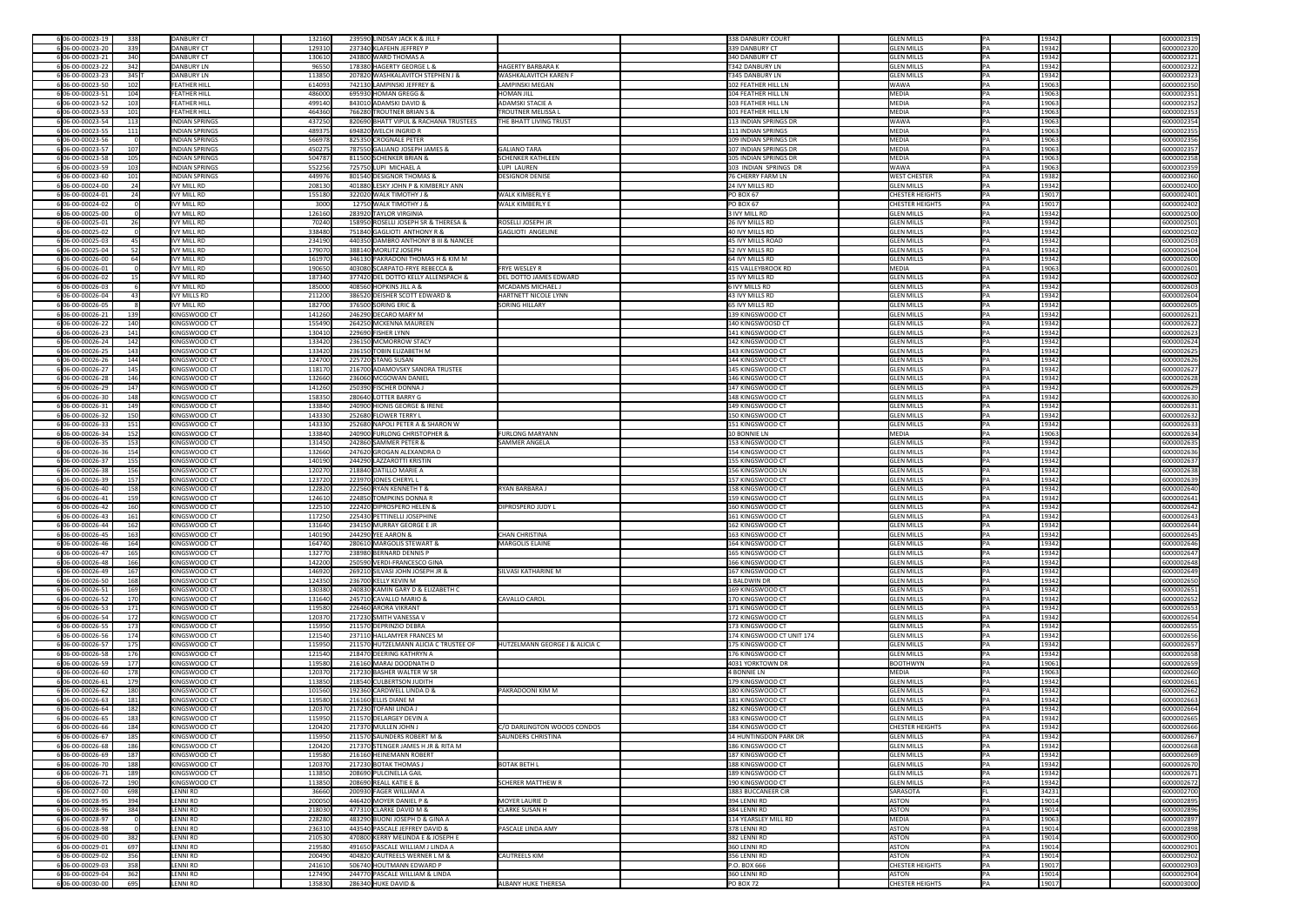| 6 06-00-00023-19                     | 338     | DANBURY CT            | 132160 | 239590 LINDSAY JACK K & JILL F                                          | 338 DANBURY COURT            | <b>GLEN MILLS</b>      | IPA.       | 19342 | 6000002319 |
|--------------------------------------|---------|-----------------------|--------|-------------------------------------------------------------------------|------------------------------|------------------------|------------|-------|------------|
| 6 06-00-00023-20                     | 339     | DANBURY CT            | 129310 | 237340 KLAFEHN JEFFREY P                                                | 339 DANBURY CT               | <b>GLEN MILLS</b>      | <b>IPA</b> | 19342 | 6000002320 |
| 6 06-00-00023-21                     | 340     | DANBURY CT            | 130610 | 243800 WARD THOMAS A                                                    | 340 DANBURY CT               | <b>GLEN MILLS</b>      |            | 19342 | 6000002321 |
| 6 06-00-00023-22                     |         | DANBURY LN            |        | HAGERTY BARBARA K<br>178380 HAGERTY GEORGE L &                          | <b>T342 DANBURY LN</b>       | <b>GLEN MILLS</b>      |            | 19342 | 6000002322 |
|                                      | 342     |                       | 96550  |                                                                         |                              |                        |            |       |            |
| 6 06-00-00023-23                     | $345$ T | DANBURY LN            | 113850 | 207820 WASHKALAVITCH STEPHEN J &<br><b>WASHKALAVITCH KAREN F</b>        | <b>T345 DANBURY LN</b>       | <b>GLEN MILLS</b>      |            | 19342 | 6000002323 |
| 6 06-00-00023-50                     | 102     | <b>FEATHER HILL</b>   | 614093 | 742130 LAMPINSKI JEFFREY &<br>LAMPINSKI MEGAN                           | 102 FEATHER HILL LN          | <b>WAWA</b>            | IPA.       | 19063 | 6000002350 |
| 6 06-00-00023-51                     | 104     | <b>FEATHER HILL</b>   | 486000 | 695930 HOMAN GREGG &<br><b>HOMAN JILL</b>                               | 104 FEATHER HILL LN          | MEDIA                  |            | 19063 | 6000002351 |
| 6 06-00-00023-52                     | 103     | <b>FEATHER HILL</b>   | 499140 | <b>ADAMSKI STACIE A</b><br>843010 ADAMSKI DAVID &                       | 103 FEATHER HILL LN          | MEDIA                  |            | 19063 | 6000002352 |
| 6 06-00-00023-53                     | 101     | <b>FEATHER HILL</b>   | 464360 | <b>TROUTNER MELISSA L</b><br>766280 TROUTNER BRIAN S &                  | 101 FEATHER HILL LN          | MEDIA                  |            | 19063 | 6000002353 |
| 6 06-00-00023-54                     | 113     | <b>INDIAN SPRINGS</b> | 437250 | 820690 BHATT VIPUL & RACHANA TRUSTEES<br><b>THE BHATT LIVING TRUST</b>  | 113 INDIAN SPRINGS DR        | <b>WAWA</b>            |            | 19063 | 6000002354 |
| 6 06-00-00023-55                     | 111     | <b>INDIAN SPRINGS</b> | 489375 | 694820 WELCH INGRID R                                                   | 111 INDIAN SPRINGS           | MEDIA                  |            | 19063 | 6000002355 |
| 6 06-00-00023-56                     |         | <b>INDIAN SPRINGS</b> | 566978 | 825350 CROGNALE PETER                                                   | 109 INDIAN SPRINGS DR        | MEDIA                  |            | 19063 | 6000002356 |
| 6 06-00-00023-57                     | 107     | <b>INDIAN SPRINGS</b> | 450275 | <b>GALIANO TARA</b><br>787550 GALIANO JOSEPH JAMES &                    | 107 INDIAN SPRINGS DR        | MEDIA                  |            | 19063 | 6000002357 |
| 6 06-00-00023-58                     | 105     | <b>INDIAN SPRINGS</b> | 504787 | <b>SCHENKER KATHLEEN</b><br>811500 SCHENKER BRIAN &                     | 105 INDIAN SPRINGS DR        | MEDIA                  |            | 19063 | 6000002358 |
| 6 06-00-00023-59                     | 103     | <b>INDIAN SPRINGS</b> | 552256 | 725750 LUPI MICHAEL A<br>LUPI LAUREN                                    | 103 INDIAN SPRINGS DR        | <b>WAWA</b>            |            | 19063 | 6000002359 |
| 6 06-00-00023-60                     | 101     | <b>INDIAN SPRINGS</b> | 449976 | 801540 DESIGNOR THOMAS &<br><b>DESIGNOR DENISE</b>                      | 76 CHERRY FARM LN            | <b>WEST CHESTER</b>    |            | 19382 | 6000002360 |
| 6 06-00-00024-00                     | -241    | IVY MILL RD           | 208130 | 401880 LESKY JOHN P & KIMBERLY ANN                                      | 24 IVY MILLS RD              | <b>GLEN MILLS</b>      |            | 19342 | 6000002400 |
| 6 06-00-00024-01                     | 24      | IVY MILL RD           | 155180 | <b>WALK KIMBERLY E</b><br>322020 WALK TIMOTHY J &                       | $PO$ BOX 67                  | <b>CHESTER HEIGHTS</b> |            | 19017 | 6000002401 |
|                                      |         | IVY MILL RD           |        | 12750 WALK TIMOTHY J &                                                  | $PO$ BOX 67                  |                        |            | 19017 |            |
| 6 06-00-00024-02                     |         |                       | 3000   | <b>WALK KIMBERLY E</b>                                                  |                              | <b>CHESTER HEIGHTS</b> |            |       | 6000002402 |
| 6 06-00-00025-00                     |         | IVY MILL RD           | 126160 | 283920 TAYLOR VIRGINIA                                                  | 3 IVY MILL RD                | <b>GLEN MILLS</b>      | IPA.       | 19342 | 6000002500 |
| 6 06-00-00025-01                     | 26      | IVY MILL RD           | 70240  | <b>ROSELLI JOSEPH JR</b><br>158950 ROSELLI JOSEPH SR & THERESA &        | 26 IVY MILLS RD              | <b>GLEN MILLS</b>      |            | 19342 | 6000002501 |
| 6 06-00-00025-02                     |         | IVY MILL RD           | 338480 | 751840 GAGLIOTI ANTHONY R &<br><b>GAGLIOTI ANGELINE</b>                 | 40 IVY MILLS RD              | <b>GLEN MILLS</b>      |            | 19342 | 6000002502 |
| 6 06-00-00025-03                     | 45      | IVY MILL RD           | 234190 | 440350 DAMBRO ANTHONY B III & NANCEE                                    | 45 IVY MILLS ROAD            | <b>GLEN MILLS</b>      |            | 19342 | 6000002503 |
| 6 06-00-00025-04                     | 52      | <b>IVY MILL RD</b>    | 179070 | 388140 MORLITZ JOSEPH                                                   | 52 IVY MILLS RD              | <b>GLEN MILLS</b>      |            | 19342 | 6000002504 |
| 6 06-00-00026-00                     |         | IVY MILL RD           | 161970 | 346130 PAKRADONI THOMAS H & KIM M                                       | 64 IVY MILLS RD              | <b>GLEN MILLS</b>      |            | 19342 | 6000002600 |
| 6 06-00-00026-01                     |         | IVY MILL RD           | 190650 | 403080 SCARPATO-FRYE REBECCA &<br><b>FRYE WESLEY R</b>                  | 415 VALLEYBROOK RD           | MEDIA                  |            | 19063 | 6000002601 |
| 6 06-00-00026-02                     |         | IVY MILL RD           | 187340 | 377420 DEL DOTTO KELLY ALLENSPACH &<br><b>DEL DOTTO JAMES EDWARD</b>    | 15 IVY MILLS RD              | <b>GLEN MILLS</b>      |            | 19342 | 6000002602 |
| 6 06-00-00026-03                     |         | IVY MILL RD           | 185000 | MCADAMS MICHAEL J<br>408560 HOPKINS JILL A &                            | 6 IVY MILLS RD               | <b>GLEN MILLS</b>      |            | 19342 | 6000002603 |
| 6 06-00-00026-04                     |         | IVY MILLS RD          | 211200 | HARTNETT NICOLE LYNN<br>386520 DEISHER SCOTT EDWARD &                   | 43 IVY MILLS RD              | <b>GLEN MILLS</b>      |            | 19342 | 6000002604 |
| 6 06-00-00026-05                     |         | IVY MILL RD           | 182700 | 376500 SORING ERIC &<br><b>SORING HILLARY</b>                           | 65 IVY MILLS RD              | <b>GLEN MILLS</b>      |            | 19342 | 6000002605 |
| $6 06-00-00026-21 $                  | 139     | KINGSWOOD CT          | 141260 | 246290 DECARO MARY M                                                    | 139 KINGSWOOD CT             | <b>GLEN MILLS</b>      |            | 19342 | 6000002621 |
| 6 06-00-00026-22                     | 140     | KINGSWOOD CT          | 155490 | 264250 MCKENNA MAUREEN                                                  | 140 KINGSWOOSD CT            | <b>GLEN MILLS</b>      |            | 19342 | 6000002622 |
| 6 06-00-00026-23                     | 141     | KINGSWOOD CT          | 130410 | 229690 FISHER LYNN                                                      | 141 KINGSWOOD CT             | <b>GLEN MILLS</b>      |            | 19342 | 6000002623 |
| 6 06-00-00026-24                     | 142     | KINGSWOOD CT          | 133420 | 236150 MCMORROW STACY                                                   | 142 KINGSWOOD CT             | <b>GLEN MILLS</b>      |            | 19342 | 6000002624 |
| 6 06-00-00026-25                     | 143     | KINGSWOOD CT          | 133420 | 236150 TOBIN ELIZABETH M                                                | 143 KINGSWOOD CT             | <b>GLEN MILLS</b>      |            | 19342 | 6000002625 |
| 6 06-00-00026-26                     | 144     | KINGSWOOD CT          | 124700 | 225720 STANG SUSAN                                                      | 144 KINGSWOOD CT             | <b>GLEN MILLS</b>      |            | 19342 | 6000002626 |
|                                      |         |                       |        |                                                                         |                              |                        |            |       |            |
| 6 06-00-00026-27                     | 145     | KINGSWOOD CT          | 118170 | 216700 ADAMOVSKY SANDRA TRUSTEE                                         | 145 KINGSWOOD CT             | <b>GLEN MILLS</b>      |            | 19342 | 6000002627 |
| 6 06-00-00026-28                     | 146     | KINGSWOOD CT          | 132660 | 236060 MCGOWAN DANIEL                                                   | 146 KINGSWOOD CT             | <b>GLEN MILLS</b>      |            | 19342 | 6000002628 |
| 6 06-00-00026-29                     | 147     | KINGSWOOD CT          | 141260 | 250390 FISCHER DONNA J                                                  | 147 KINGSWOOD CT             | <b>GLEN MILLS</b>      |            | 19342 | 6000002629 |
| 6 06-00-00026-30                     | 148     | KINGSWOOD CT          | 158350 | 280640 LOTTER BARRY G                                                   | 148 KINGSWOOD CT             | <b>GLEN MILLS</b>      |            | 19342 | 6000002630 |
| 6 06-00-00026-31                     | 149     | KINGSWOOD CT          | 133840 | 240900 HIONIS GEORGE & IRENE                                            | 149 KINGSWOOD CT             | <b>GLEN MILLS</b>      |            | 19342 | 6000002631 |
| 6 06-00-00026-32                     | 150     | KINGSWOOD CT          | 143330 | 252680 FLOWER TERRY L                                                   | 150 KINGSWOOD CT             | <b>GLEN MILLS</b>      |            | 19342 | 6000002632 |
| 6 06-00-00026-33                     | 151     | KINGSWOOD CT          | 143330 | 252680 NAPOLI PETER A & SHARON W                                        | 151 KINGSWOOD CT             | <b>GLEN MILLS</b>      |            | 19342 | 6000002633 |
| 6 06-00-00026-34                     | 152     | KINGSWOOD CT          | 133840 | <b>FURLONG MARYANN</b><br>240900 FURLONG CHRISTOPHER &                  | 10 BONNIE LN                 | MEDIA                  |            | 19063 | 6000002634 |
| 6 06-00-00026-35                     | 153     | KINGSWOOD CT          | 131450 | 242860 SAMMER PETER &<br><b>SAMMER ANGELA</b>                           | 153 KINGSWOOD CT             | <b>GLEN MILLS</b>      |            | 19342 | 6000002635 |
| 6 06-00-00026-36                     | 154     | KINGSWOOD CT          | 132660 | 247620 GROGAN ALEXANDRA D                                               | 154 KINGSWOOD CT             | <b>GLEN MILLS</b>      |            | 19342 | 6000002636 |
| 6 06-00-00026-37                     | 155     | KINGSWOOD CT          | 140190 | 244290 LAZZAROTTI KRISTIN                                               | 155 KINGSWOOD CT             | <b>GLEN MILLS</b>      |            | 19342 | 6000002637 |
| 6 06-00-00026-38                     | 156     | KINGSWOOD CT          | 120270 | 218840 DATILLO MARIE A                                                  | 156 KINGSWOOD LN             | <b>GLEN MILLS</b>      |            | 19342 | 6000002638 |
| 6 06-00-00026-39                     | 157     | KINGSWOOD CT          | 123720 | 223970 JONES CHERYL L                                                   | 157 KINGSWOOD CT             | <b>GLEN MILLS</b>      |            | 19342 | 6000002639 |
| 6 06-00-00026-40                     | 158     | KINGSWOOD CT          | 122820 | <b>RYAN BARBARAJ</b><br>222560 RYAN KENNETH T &                         | 158 KINGSWOOD CT             | <b>GLEN MILLS</b>      |            | 19342 | 6000002640 |
| 6 06-00-00026-41                     | 159     | KINGSWOOD CT          | 124610 | 224850 TOMPKINS DONNA R                                                 | 159 KINGSWOOD CT             | <b>GLEN MILLS</b>      |            | 19342 | 6000002641 |
| 6 06-00-00026-42                     | 160     | KINGSWOOD CT          | 122510 | 222420 DIPROSPERO HELEN &<br><b>DIPROSPERO JUDY L</b>                   | 160 KINGSWOOD CT             | <b>GLEN MILLS</b>      |            | 19342 | 6000002642 |
| 6 06-00-00026-43                     | 161     | KINGSWOOD CT          | 117250 | 225430 PETTINELLI JOSEPHINE                                             | 161 KINGSWOOD CT             | <b>GLEN MILLS</b>      |            | 19342 | 6000002643 |
| 6 06-00-00026-44                     |         | KINGSWOOD CT          |        | 234150 MURRAY GEORGE E JR                                               | 162 KINGSWOOD CT             | <b>GLEN MILLS</b>      |            |       |            |
|                                      | 162     |                       | 131640 |                                                                         |                              |                        |            | 19342 | 6000002644 |
| 6 06-00-00026-45                     | 163     | KINGSWOOD CT          | 140190 | <b>CHAN CHRISTINA</b><br>244290 YEE AARON &                             | 163 KINGSWOOD CT             | <b>GLEN MILLS</b>      |            | 19342 | 6000002645 |
| 606-00-00026-46                      | 164     | KINGSWOOD CT          | 164740 | 280610 MARGOLIS STEWART &<br>MARGOLIS ELAINE                            | 164 KINGSWOOD CT             | <b>GLEN MILLS</b>      |            | 19342 | 6000002646 |
| 6 06-00-00026-47                     | 165     | KINGSWOOD CT          | 132770 | 238980 BERNARD DENNIS P                                                 | 165 KINGSWOOD CT             | <b>GLEN MILLS</b>      |            | 19342 | 6000002647 |
| 6 06-00-00026-48                     | 166     | KINGSWOOD CT          | 142200 | 250590 VERDI-FRANCESCO GINA                                             | 166 KINGSWOOD CT             | <b>GLEN MILLS</b>      |            | 19342 | 6000002648 |
| 6 06-00-00026-49                     | 167     | KINGSWOOD CT          | 146920 | 269210 SILVASI JOHN JOSEPH JR &<br><b>SILVASI KATHARINE M</b>           | 167 KINGSWOOD CT             | <b>GLEN MILLS</b>      |            | 19342 | 6000002649 |
| 6 06-00-00026-50                     | 168     | KINGSWOOD CT          | 124350 | 236700 KELLY KEVIN M                                                    | 1 BALDWIN DR                 | <b>GLEN MILLS</b>      |            | 19342 | 6000002650 |
| 606-00-00026-51                      | 169     | KINGSWOOD CT          | 130380 | 240830 KAMIN GARY D & ELIZABETH C                                       | 169 KINGSWOOD CT             | <b>GLEN MILLS</b>      |            | 19342 | 6000002651 |
| 606-00-00026-52                      | 170     | KINGSWOOD CT          | 131640 | 245710 CAVALLO MARIO &<br>CAVALLO CAROL                                 | 170 KINGSWOOD CT             | <b>GLEN MILLS</b>      |            | 19342 | 6000002652 |
| 6 06-00-00026-53                     | 171     | KINGSWOOD CT          | 119580 | 226460 ARORA VIKRANT                                                    | 171 KINGSWOOD CT             | <b>GLEN MILLS</b>      |            | 19342 | 6000002653 |
| 6 06-00-00026-54                     | 172     | KINGSWOOD CT          | 120370 | 217230 SMITH VANESSA V                                                  | 172 KINGSWOOD CT             | <b>GLEN MILLS</b>      |            | 19342 | 6000002654 |
| 6 06-00-00026-55                     | 173     | KINGSWOOD CT          | 115950 | 211570 DEPRINZIO DEBRA                                                  | 173 KINGSWOOD CT             | <b>GLEN MILLS</b>      |            | 19342 | 6000002655 |
| 6 06-00-00026-56                     | 174     | KINGSWOOD CT          | 121540 | 237110 HALLAMYER FRANCES M                                              | 174 KINGSWOOD CT UNIT 174    | <b>GLEN MILLS</b>      |            | 19342 | 6000002656 |
| 6 06-00-00026-57                     | 175     | KINGSWOOD CT          | 115950 | 211570 HUTZELMANN ALICIA C TRUSTEE OF<br>HUTZELMANN GEORGE J & ALICIA C | 175 KINGSWOOD CT             | <b>GLEN MILLS</b>      |            | 19342 | 6000002657 |
| 6 06-00-00026-58                     | 176     | KINGSWOOD CT          | 121540 | 218470 DEERING KATHRYN A                                                | 176 KINGSWOOD CT             | <b>GLEN MILLS</b>      |            | 19342 | 6000002658 |
| 6 06-00-00026-59                     | 177     | KINGSWOOD CT          | 119580 | 216160 MARAJ DOODNATH D                                                 | 4031 YORKTOWN DR             | BOOTHWYN               |            | 19061 | 6000002659 |
| 6 06-00-00026-60                     | 178     | KINGSWOOD CT          | 120370 | 217230 BASHER WALTER W SR                                               | 4 BONNIE LN                  | MEDIA                  |            | 19063 | 6000002660 |
| 6 06-00-00026-61                     | 179     | KINGSWOOD CT          | 113850 | 218540 CULBERTSON JUDITH                                                | 179 KINGSWOOD CT             | <b>GLEN MILLS</b>      |            | 19342 | 6000002661 |
| 6 06-00-00026-62                     | 180     | KINGSWOOD CT          | 101560 | PAKRADOONI KIM M<br>192360 CARDWELL LINDA D &                           | 180 KINGSWOOD CT             | <b>GLEN MILLS</b>      |            | 19342 | 6000002662 |
| 6 06-00-00026-63                     | 181     | KINGSWOOD CT          | 119580 | 216160 ELLIS DIANE M                                                    | 181 KINGSWOOD CT             | <b>GLEN MILLS</b>      |            | 19342 | 6000002663 |
| 6 06-00-00026-64                     | 182     | KINGSWOOD CT          | 120370 | 217230 TOFANI LINDA J                                                   | 182 KINGSWOOD CT             | <b>GLEN MILLS</b>      |            | 19342 | 6000002664 |
| 6 06-00-00026-65                     | 183     | KINGSWOOD CT          | 115950 | 211570 DELARGEY DEVIN A                                                 | 183 KINGSWOOD CT             | <b>GLEN MILLS</b>      |            | 19342 | 6000002665 |
| 6 06-00-00026-66                     | 184     | KINGSWOOD CT          | 120420 | C/O DARLINGTON WOODS CONDOS<br>217370 MULLEN JOHN J                     | 184 KINGSWOOD CT             | <b>CHESTER HEIGHTS</b> |            | 19342 | 6000002666 |
| 6 06-00-00026-67                     | 185     | KINGSWOOD CT          | 115950 | 211570 SAUNDERS ROBERT M &<br><b>SAUNDERS CHRISTINA</b>                 | <b>14 HUNTINGDON PARK DR</b> | <b>GLEN MILLS</b>      |            | 19342 | 6000002667 |
| 606-00-00026-68                      | 186     | KINGSWOOD CT          | 120420 | 217370 STENGER JAMES H JR & RITA M                                      | 186 KINGSWOOD CT             | <b>GLEN MILLS</b>      |            | 19342 | 6000002668 |
| 6 06-00-00026-69                     | 187     | KINGSWOOD CT          | 119580 | 216160 HEINEMANN ROBERT                                                 | 187 KINGSWOOD CT             | <b>GLEN MILLS</b>      |            | 19342 | 6000002669 |
|                                      |         |                       |        |                                                                         |                              |                        |            |       |            |
| 6 06-00-00026-70<br>6 06-00-00026-71 | 188     | KINGSWOOD CT          | 120370 | 217230 BOTAK THOMAS J<br><b>BOTAK BETH L</b>                            | 188 KINGSWOOD CT             | <b>GLEN MILLS</b>      |            | 19342 | 6000002670 |
|                                      | 189     | KINGSWOOD CT          | 113850 | 208690 PULCINELLA GAIL                                                  | 189 KINGSWOOD CT             | <b>GLEN MILLS</b>      |            | 19342 | 6000002671 |
|                                      |         | KINGSWOOD CT          | 113850 | 208690 REALL KATIE E &<br><b>SCHERER MATTHEW R</b>                      | 190 KINGSWOOD CT             | <b>GLEN MILLS</b>      |            | 19342 | 6000002672 |
| 6 06-00-00026-72                     | 190     | LENNI RD              |        | 200930 FAGER WILLIAM A                                                  | 1883 BUCCANEER CIR           | SARASOTA               |            | 34231 | 6000002700 |
| 6 06-00-00027-00                     | 698     |                       | 36660  |                                                                         | 394 LENNI RD                 |                        |            |       |            |
| 6 06-00-00028-95                     | 394     | LENNI RD              | 200050 | 446420 MOYER DANIEL P &<br>MOYER LAURIE D                               |                              | ASTON                  |            | 19014 | 6000002895 |
| 6 06-00-00028-96                     | 384     | LENNI RD              | 218030 | <b>CLARKE SUSAN H</b><br>477310 CLARKE DAVID M &                        | 384 LENNI RD                 | ASTON                  |            | 19014 | 6000002896 |
| 6 06-00-00028-97                     |         | LENNI RD              | 228280 | 483290 BUONI JOSEPH D & GINA A                                          | 114 YEARSLEY MILL RD         | MEDIA                  |            | 19063 | 6000002897 |
| 6 06-00-00028-98                     |         | LENNI RD              | 236310 | 443540 PASCALE JEFFREY DAVID &<br><b>PASCALE LINDA AMY</b>              | 378 LENNI RD                 | ASTON                  |            | 19014 | 6000002898 |
| 6 06-00-00029-00                     | 382     | LENNI RD              | 210530 | 470800 KERRY MELINDA E & JOSEPH E                                       | 382 LENNI RD                 | ASTON                  |            | 19014 | 6000002900 |
| 6 06-00-00029-01                     | 697     | LENNI RD              | 219580 | 491650 PASCALE WILLIAM J LINDA A                                        | 360 LENNI RD                 | ASTON                  |            | 19014 | 6000002901 |
| 6 06-00-00029-02                     | 356     | LENNI RD              | 200490 | <b>CAUTREELS KIM</b><br>404820 CAUTREELS WERNER L M &                   | 356 LENNI RD                 | ASTON                  |            | 19014 | 6000002902 |
| 6 06-00-00029-03                     | 358     | LENNI RD              | 241610 | 506740 HOUTMANN EDWARD P                                                | P.O. BOX 666                 | <b>CHESTER HEIGHTS</b> |            | 19017 | 6000002903 |
| 6 06-00-00029-04                     | 362     | LENNI RD              | 127490 | 244770 PASCALE WILLIAM & LINDA                                          | 360 LENNI RD                 | ASTON                  |            | 19014 | 6000002904 |
| $6 06-00-00030-00 $                  | 695     | LENNI RD              | 135830 | 286340 HUKE DAVID &<br><b>ALBANY HUKE THERESA</b>                       | $PO$ BOX 72                  | CHESTER HEIGHTS        | PA         | 19017 | 6000003000 |

| 6000002319               |
|--------------------------|
| 6000002320               |
| 6000002321               |
| 6000002322               |
| 6000002323               |
| 6000002350<br>6000002351 |
| 6000002352               |
| 6000002353               |
| 6000002354               |
| 6000002355               |
| 6000002356               |
| 6000002357               |
| 6000002358               |
| 6000002359               |
| 6000002360               |
| 6000002400<br>6000002401 |
| 6000002402               |
| 6000002500               |
| 6000002501               |
| 6000002502               |
| 6000002503               |
| 6000002504               |
| 6000002600               |
| 6000002601               |
| 6000002602               |
| 6000002603<br>6000002604 |
| 6000002605               |
| 6000002621               |
| 6000002622               |
| 6000002623               |
| 6000002624               |
| 6000002625               |
| 6000002626               |
| 6000002627               |
| 6000002628               |
| 6000002629<br>6000002630 |
| 6000002631               |
| 6000002632               |
| 6000002633               |
| 6000002634               |
| 6000002635               |
| 6000002636               |
| 6000002637               |
| 6000002638<br>6000002639 |
|                          |
|                          |
| 6000002640<br>6000002641 |
| 6000002642               |
| 6000002643               |
| 6000002644               |
| 6000002645               |
| 6000002646               |
| 6000002647               |
| 6000002648               |
| 6000002649               |
| 6000002650<br>6000002651 |
| 6000002652               |
| 6000002653               |
| 6000002654               |
| 6000002655               |
| 6000002656               |
| 6000002657               |
| 6000002658               |
| 6000002659<br>6000002660 |
| 6000002661               |
| 6000002662               |
| 6000002663               |
| 6000002664               |
| 6000002665               |
| 6000002666               |
| 6000002667               |
| 6000002668<br>6000002669 |
| 6000002670               |
| 6000002671               |
| 6000002672               |
| 6000002700               |
| 6000002895               |
| 6000002896               |
| 6000002897               |
| 6000002898<br>6000002900 |
| 6000002901               |
| 6000002902               |
| 6000002903               |
| 6000002904<br>6000003000 |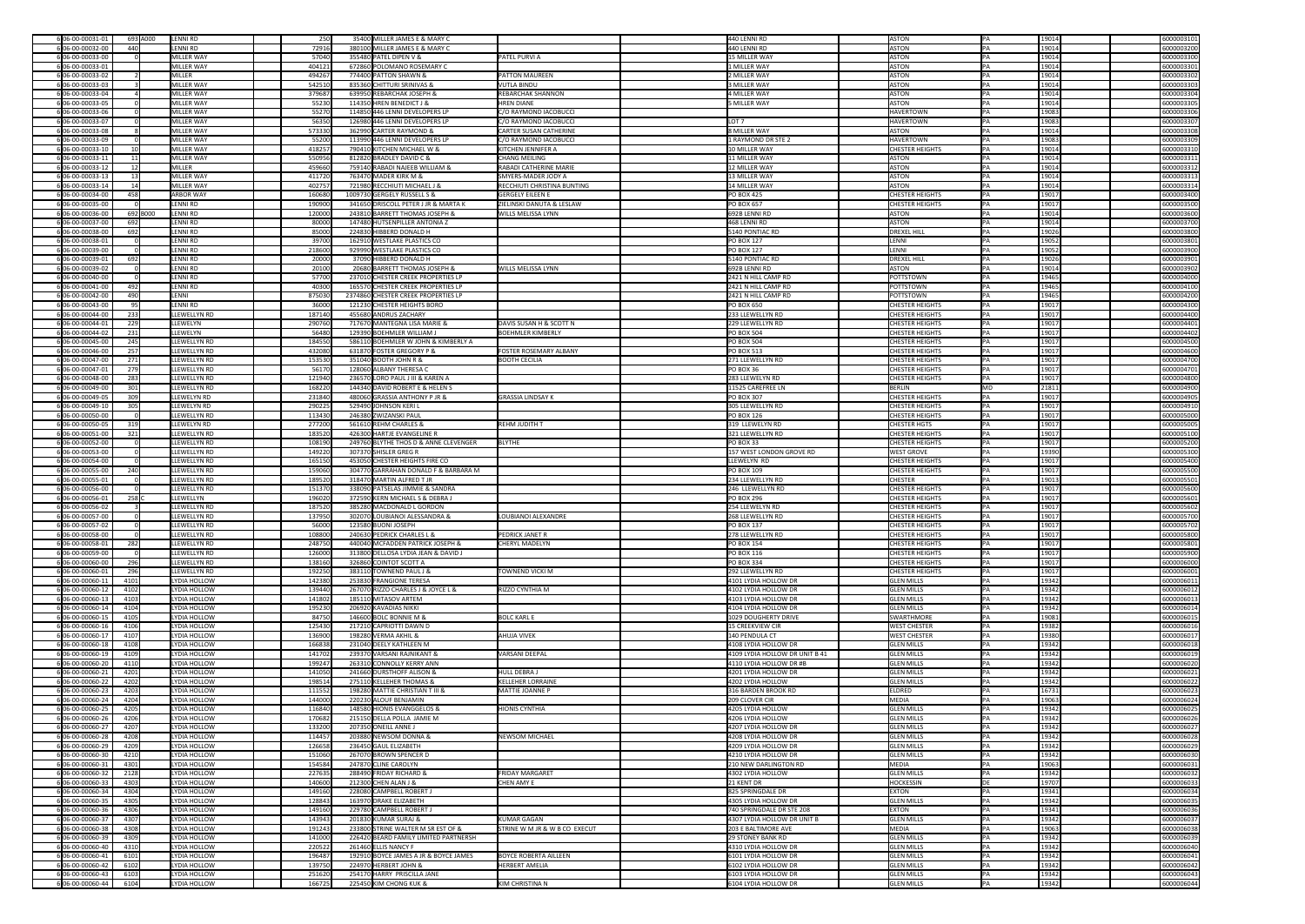| 6 06-00-00031-01<br>LENNI RD<br>693 A000                                             | 250              | 35400 MILLER JAMES E & MARY C                         |                                      | 440 LENNI RD                                 | ASTON                                  | IPA.      | 6000003101<br>19014                          |
|--------------------------------------------------------------------------------------|------------------|-------------------------------------------------------|--------------------------------------|----------------------------------------------|----------------------------------------|-----------|----------------------------------------------|
| 6 06-00-00032-00<br>440<br>LENNI RD                                                  | 72916            | 380100 MILLER JAMES E & MARY C                        |                                      | 440 LENNI RD                                 | ASTON                                  |           | 19014<br>6000003200                          |
| 6 06-00-00033-00<br>MILLER WAY                                                       | 57040            | 355480 PATEL DIPEN V &                                | <b>PATEL PURVI A</b>                 | 15 MILLER WAY                                | <b>ASTON</b>                           |           | 19014<br>6000003300                          |
| 6 06-00-00033-01<br>MILLER WAY                                                       | 404121           | 672860 POLOMANO ROSEMARY C                            |                                      | 1 MILLER WAY                                 | <b>ASTON</b>                           |           | 19014<br>6000003301                          |
| MILLER<br>6 06-00-00033-02                                                           | 494267           | 774400 PATTON SHAWN &                                 | <b>PATTON MAUREEN</b>                | 2 MILLER WAY                                 | ASTON                                  |           | 19014<br>6000003302                          |
|                                                                                      |                  |                                                       |                                      |                                              |                                        |           |                                              |
| 6 06-00-00033-03<br>MILLER WAY                                                       | 542510           | 835360 CHITTURI SRINIVAS &                            | <b>VUTLA BINDU</b>                   | 3 MILLER WAY                                 | ASTON                                  |           | 19014<br>6000003303                          |
| 6 06-00-00033-04<br>MILLER WAY                                                       | 379687           | 639950 REBARCHAK JOSEPH &                             | <b>REBARCHAK SHANNON</b>             | 4 MILLER WAY                                 | ASTON                                  |           | 19014<br>6000003304                          |
| 6 06-00-00033-05<br>MILLER WAY                                                       | 55230            | 114350 HREN BENEDICT J &                              | <b>HREN DIANE</b>                    | 5 MILLER WAY                                 | <b>ASTON</b>                           |           | 19014<br>6000003305                          |
| 6 06-00-00033-06<br>MILLER WAY                                                       | 55270            | 114850 446 LENNI DEVELOPERS LP                        | C/O RAYMOND IACOBUCCI                |                                              | <b>HAVERTOWN</b>                       |           | 6000003306<br>19083                          |
| 6 06-00-00033-07<br>MILLER WAY                                                       | 56350            | 126980 446 LENNI DEVELOPERS LP                        | C/O RAYMOND IACOBUCCI                | LOT <sub>7</sub>                             | <b>HAVERTOWN</b>                       |           | 19083<br>6000003307                          |
| 6 06-00-00033-08<br>MILLER WAY                                                       | 573330           | 362990 CARTER RAYMOND &                               | <b>CARTER SUSAN CATHERINE</b>        | 8 MILLER WAY                                 | <b>ASTON</b>                           |           | 6000003308<br>19014                          |
| MILLER WAY                                                                           |                  |                                                       | C/O RAYMOND IACOBUCCI                | 1 RAYMOND DR STE 2                           | <b>HAVERTOWN</b>                       |           | 19083                                        |
| 6 06-00-00033-09                                                                     | 55200            | 113990 446 LENNI DEVELOPERS LP                        |                                      |                                              |                                        |           | 6000003309                                   |
| 6 06-00-00033-10<br>MILLER WAY                                                       | 418257           | 790410 KITCHEN MICHAEL W &                            | <b>KITCHEN JENNIFER A</b>            | 10 MILLER WAY                                | CHESTER HEIGHTS                        |           | 19014<br>6000003310                          |
| 6 06-00-00033-11<br>MILLER WAY<br> 11                                                | 550956           | 812820 BRADLEY DAVID C &                              | <b>CHANG MEILING</b>                 | 11 MILLER WAY                                | ASTON                                  |           | 19014<br>6000003311                          |
| 6 06-00-00033-12<br>MILLER                                                           | 459660           | 759140 RABADI NAJEEB WILLIAM &                        | <b>RABADI CATHERINE MARIE</b>        | 12 MILLER WAY                                | <b>ASTON</b>                           |           | 19014<br>6000003312                          |
| 6 06-00-00033-13<br>13<br>MILLER WAY                                                 | 411720           | 763470 MADER KIRK M &                                 | SMYERS-MADER JODY A                  | 13 MILLER WAY                                | <b>ASTON</b>                           |           | 19014<br>6000003313                          |
| 6 06-00-00033-14<br>14<br>MILLER WAY                                                 | 402757           | 721980 RECCHIUTI MICHAEL J &                          | <b>RECCHIUTI CHRISTINA BUNTING</b>   | 14 MILLER WAY                                | ASTON                                  |           | 19014<br>6000003314                          |
| 6 06-00-00034-00<br>458<br><b>ARBOR WAY</b>                                          | 160680           | 1009730 GERGELY RUSSELL S &                           | <b>GERGELY EILEEN E</b>              | <b>PO BOX 425</b>                            | <b>CHESTER HEIGHTS</b>                 |           | 19017<br>6000003400                          |
|                                                                                      |                  |                                                       |                                      |                                              |                                        |           |                                              |
| 6 06-00-00035-00<br>LENNI RD                                                         | 190900           | 341650 DRISCOLL PETER J JR & MARTA K                  | <b>ZIELINSKI DANUTA &amp; LESLAW</b> | <b>PO BOX 657</b>                            | <b>CHESTER HEIGHTS</b>                 |           | 19017<br>6000003500                          |
| 6 06-00-00036-00<br>692 B000<br>LENNI RD                                             | 120000           | 243810 BARRETT THOMAS JOSEPH &                        | <b>WILLS MELISSA LYNN</b>            | 692B LENNI RD                                | <b>ASTON</b>                           |           | 19014<br>6000003600                          |
| 6 06-00-00037-00<br>692<br>LENNI RD                                                  | 80000            | 147480 HUTSENPILLER ANTONIA Z                         |                                      | 468 LENNI RD                                 | ASTON                                  |           | 19014<br>6000003700                          |
| 6 06-00-00038-00<br>692<br>LENNI RD                                                  | 85000            | 224830 HIBBERD DONALD H                               |                                      | 5140 PONTIAC RD                              | <b>DREXEL HILL</b>                     |           | 19026<br>6000003800                          |
| 6 06-00-00038-01<br>LENNI RD                                                         | 39700            | 162910 WESTLAKE PLASTICS CO                           |                                      | <b>PO BOX 127</b>                            | LENNI                                  |           | 19052<br>6000003801                          |
| 6 06-00-00039-00<br><b>LENNI RD</b>                                                  | 218600           | 929990 WESTLAKE PLASTICS CO                           |                                      | <b>PO BOX 127</b>                            | LENNI                                  |           | 19052<br>6000003900                          |
| 692<br>6 06-00-00039-01<br>LENNI RD                                                  | 20000            | 37090 HIBBERD DONALD H                                |                                      | 5140 PONTIAC RD                              | <b>DREXEL HILL</b>                     |           | 19026<br>6000003901                          |
|                                                                                      |                  |                                                       |                                      |                                              |                                        |           |                                              |
| 6 06-00-00039-02<br><b>LENNI RD</b>                                                  | 20100            | 20680 BARRETT THOMAS JOSEPH &                         | <b>WILLS MELISSA LYNN</b>            | 692B LENNI RD                                | ASTON                                  |           | 19014<br>6000003902                          |
| 6 06-00-00040-00<br>LENNI RD                                                         | 57700            | 237010 CHESTER CREEK PROPERTIES LP                    |                                      | 2421 N HILL CAMP RD                          | POTTSTOWN                              |           | 19465<br>6000004000                          |
| 6 06-00-00041-00<br>492<br><b>LENNI RD</b>                                           | 40300            | 165570 CHESTER CREEK PROPERTIES LP                    |                                      | 2421 N HILL CAMP RD                          | POTTSTOWN                              |           | 19465<br>6000004100                          |
| 6 06-00-00042-00<br>490<br>LENNI                                                     | 875030           | 2374860 CHESTER CREEK PROPERTIES LP                   |                                      | 2421 N HILL CAMP RD                          | POTTSTOWN                              |           | 19465<br>6000004200                          |
| 6 06-00-00043-00<br>LENNI RD                                                         | 36000            | 121230 CHESTER HEIGHTS BORO                           |                                      | <b>PO BOX 650</b>                            | <b>CHESTER HEIGHTS</b>                 |           | 19017<br>6000004300                          |
| 606-00-00044-00<br>233<br>LLEWELLYN RD                                               | 187140           | 455680 ANDRUS ZACHARY                                 |                                      | 233 LLEWELLYN RD                             | <b>CHESTER HEIGHTS</b>                 | PA        | 19017 <br>6000004400                         |
| 229<br>6 06-00-00044-01<br><b>LLEWELYN</b>                                           | 290760           | 717670 MANTEGNA LISA MARIE &                          | DAVIS SUSAN H & SCOTT N              | 229 LLEWELLYN RD                             | <b>CHESTER HEIGHTS</b>                 |           | 19017<br>6000004401                          |
|                                                                                      |                  |                                                       |                                      |                                              |                                        |           |                                              |
| 6 06-00-00044-02<br>231<br>LLEWELYN                                                  | 56480            | 129390 BOEHMLER WILLIAM J                             | <b>BOEHMLER KIMBERLY</b>             | <b>PO BOX 504</b>                            | CHESTER HEIGHTS                        |           | 19017<br>6000004402                          |
| 6 06-00-00045-00<br>245<br>LLEWELLYN RD                                              | 184550           | 586110 BOEHMLER W JOHN & KIMBERLY A                   |                                      | <b>PO BOX 504</b>                            | <b>CHESTER HEIGHTS</b>                 |           | 19017<br>6000004500                          |
| 6 06-00-00046-00<br>257<br>LLEWELLYN RD                                              | 432080           | 631870 FOSTER GREGORY P &                             | <b>FOSTER ROSEMARY ALBANY</b>        | $PO$ BOX 513                                 | <b>CHESTER HEIGHTS</b>                 |           | 19017<br>6000004600                          |
| 271<br>6 06-00-00047-00<br>LLEWELLYN RD                                              | 153530           | 351040 BOOTH JOHN R &                                 | <b>BOOTH CECILIA</b>                 | 271 LLEWELLYN RD                             | <b>CHESTER HEIGHTS</b>                 |           | 19017<br>6000004700                          |
| 279<br>6 06-00-00047-01<br>LLEWELLYN RD                                              | 56170            | 128060 ALBANY THERESA C                               |                                      | $PO$ BOX 36                                  | <b>CHESTER HEIGHTS</b>                 |           | 19017<br>6000004701                          |
| 6 06-00-00048-00<br>283<br>LLEWELLYN RD                                              | 121940           | 236570 LORO PAUL J III & KAREN A                      |                                      | 283 LLEWELYN RD                              | <b>CHESTER HEIGHTS</b>                 |           | 19017<br>6000004800                          |
|                                                                                      |                  |                                                       |                                      |                                              |                                        |           |                                              |
| 6 06-00-00049-00<br>301<br>LLEWELLYN RD                                              | 168220           | 144340 DAVID ROBERT E & HELEN S                       |                                      | 11525 CAREFREE LN                            | <b>BERLIN</b>                          | <b>MD</b> | 21811<br>6000004900                          |
| 606-00-00049-05<br>309<br>LLEWELYN RD                                                | 231840           | 480060 GRASSIA ANTHONY P JR &                         | <b>GRASSIA LINDSAY K</b>             | <b>PO BOX 307</b>                            | <b>CHESTER HEIGHTS</b>                 |           | 6000004905<br>19017                          |
| 305<br>6 06-00-00049-10<br>LLEWELYN RD                                               | 290225           | 529490 JOHNSON KERIL                                  |                                      | 305 LLEWELLYN RD                             | <b>CHESTER HEIGHTS</b>                 |           | 19017<br>6000004910                          |
| 6 06-00-00050-00<br>LLEWELLYN RD                                                     | 113430           | 246380 ZWIZANSKI PAUL                                 |                                      | <b>PO BOX 126</b>                            | <b>CHESTER HEIGHTS</b>                 |           | 19017<br>6000005000                          |
| 319<br>6 06-00-00050-05<br>LLEWELYN RD                                               | 277200           | 561610 REHM CHARLES &                                 | <b>REHM JUDITH T</b>                 | 319 LLEWELYN RD                              | <b>CHESTER HGTS</b>                    |           | 19017<br>6000005005                          |
| 6 06-00-00051-00<br>321<br>LLEWELLYN RD                                              | 183520           | 426300 HARTJE EVANGELINE R                            |                                      | 321 LLEWELLYN RD                             | <b>CHESTER HEIGHTS</b>                 |           | 19017<br>6000005100                          |
| 6 06-00-00052-00<br>LLEWELLYN RD                                                     | 108190           | 249760 BLYTHE THOS D & ANNE CLEVENGER                 | BLYTHE                               | $PO$ BOX 33                                  | <b>CHESTER HEIGHTS</b>                 |           | 19017<br>6000005200                          |
|                                                                                      |                  |                                                       |                                      |                                              |                                        |           |                                              |
| 6 06-00-00053-00<br><b>LLEWELLYN RD</b>                                              | 149220           | 307370 SHISLER GREG R                                 |                                      | 157 WEST LONDON GROVE RD                     |                                        |           | 19390<br>6000005300                          |
|                                                                                      |                  |                                                       |                                      |                                              | <b>WEST GROVE</b>                      |           |                                              |
| 6 06-00-00054-00<br>LLEWELLYN RD                                                     | 165150           | 453050 CHESTER HEIGHTS FIRE CO                        |                                      | LLEWELYN RD                                  | <b>CHESTER HEIGHTS</b>                 |           | 19017<br>6000005400                          |
| 240<br>6 06-00-00055-00<br>LLEWELLYN RD                                              | 159060           | 304770 GARRAHAN DONALD F & BARBARA M                  |                                      | <b>PO BOX 109</b>                            | <b>CHESTER HEIGHTS</b>                 |           | 19017<br>6000005500                          |
| 6 06-00-00055-01<br>LLEWELLYN RD                                                     | 189520           | 318470 MARTIN ALFRED TJR                              |                                      | 234 LLEWELLYN RD                             | <b>CHESTER</b>                         |           | 19013<br>6000005501                          |
| LLEWELLYN RD                                                                         |                  | 338090 PATSELAS JIMMIE & SANDRA                       |                                      | 246 LLEWELLYN RD                             |                                        |           |                                              |
| 6 06-00-00056-00                                                                     | 151370           |                                                       |                                      |                                              | <b>CHESTER HEIGHTS</b>                 |           | 19017<br>6000005600                          |
| 258<br>6 06-00-00056-01<br><b>LLEWELLYN</b>                                          | 196020           | 372590 KERN MICHAEL S & DEBRA J                       |                                      | <b>PO BOX 296</b>                            | <b>CHESTER HEIGHTS</b>                 |           | 19017<br>6000005601                          |
| 6 06-00-00056-02<br>LLEWELLYN RD                                                     | 187520           | 385280 MACDONALD L GORDON                             |                                      | 254 LLEWELYN RD                              | <b>CHESTER HEIGHTS</b>                 |           | 19017<br>6000005602                          |
| 6 06-00-00057-00<br><b>LLEWELLYN RD</b>                                              | 137950           | 302070 LOUBIANOI ALESSANDRA &                         | LOUBIANOI ALEXANDRE                  | 268 LLEWELLYN RD                             | <b>CHESTER HEIGHTS</b>                 |           | 19017<br>6000005700                          |
| 6 06-00-00057-02<br>LLEWELLYN RD                                                     | 56000            | 123580 BUONI JOSEPH                                   |                                      | <b>PO BOX 137</b>                            | <b>CHESTER HEIGHTS</b>                 |           | 19017<br>6000005702                          |
| 6 06-00-00058-00<br>LLEWELLYN RD                                                     | 108800           | 240630 PEDRICK CHARLES L &                            | <b>PEDRICK JANET R</b>               | 278 LLEWELLYN RD                             | <b>CHESTER HEIGHTS</b>                 |           | 19017<br>6000005800                          |
| 6 06-00-00058-01<br>282<br>LLEWELLYN RD                                              | 248750           | 440040 MCFADDEN PATRICK JOSEPH &                      | <b>CHERYL MADELYN</b>                | <b>PO BOX 154</b>                            | <b>CHESTER HEIGHTS</b>                 |           | 19017<br>6000005801                          |
| 6 06-00-00059-00<br>LLEWELLYN RD                                                     | 126000           | 313800 DELLOSA LYDIA JEAN & DAVID J                   |                                      | <b>PO BOX 116</b>                            | <b>CHESTER HEIGHTS</b>                 |           | 19017<br>6000005900                          |
| 6 06-00-00060-00<br>296<br>LLEWELLYN RD                                              | 138160           | 326860 COINTOT SCOTT A                                |                                      | <b>PO BOX 334</b>                            | <b>CHESTER HEIGHTS</b>                 |           | 19017<br>6000006000                          |
|                                                                                      |                  |                                                       |                                      |                                              |                                        |           |                                              |
| 6 06-00-00060-01<br>296<br>LLEWELLYN RD                                              | 192250           | 383110 TOWNEND PAUL J &                               | <b>TOWNEND VICKI M</b>               | 292 LLEWELLYN RD                             | <b>CHESTER HEIGHTS</b>                 |           | 19017<br>6000006001                          |
| 6 06-00-00060-11<br>4101<br>LYDIA HOLLOW                                             | 142380           | 253830 FRANGIONE TERESA                               |                                      | 4101 LYDIA HOLLOW DR                         | <b>GLEN MILLS</b>                      |           | 19342<br>6000006011                          |
| 6 06-00-00060-12<br>4102<br>LYDIA HOLLOW                                             | 139440           | 267070 RIZZO CHARLES J & JOYCE L &                    | <b>RIZZO CYNTHIA M</b>               | 4102 LYDIA HOLLOW DR                         | <b>GLEN MILLS</b>                      |           | 6000006012<br>19342                          |
| 606-00-00060-13<br>LYDIA HOLLOW<br>4103                                              | 141802           | 185110 MITASOV ARTEM                                  |                                      | 4103 LYDIA HOLLOW DR                         | <b>GLEN MILLS</b>                      |           | 19342 <br>6000006013                         |
| 6 06-00-00060-14<br>4104<br>LYDIA HOLLOW                                             | 195230           | 206920 KAVADIAS NIKKI                                 |                                      | 4104 LYDIA HOLLOW DR                         | <b>GLEN MILLS</b>                      |           | 6000006014<br>19342                          |
| 6 06-00-00060-15<br>LYDIA HOLLOW<br>4105                                             | 84750            | 146600 BOLC BONNIE M &                                | <b>BOLC KARL E</b>                   | 1029 DOUGHERTY DRIVE                         | <b>SWARTHMORE</b>                      |           | 19081<br>6000006015                          |
| 6 06-00-00060-16<br>4106<br>LYDIA HOLLOW                                             | 125430           | 217210 CAPRIOTTI DAWN D                               |                                      | <b>15 CREEKVIEW CIR</b>                      | <b>WEST CHESTER</b>                    |           | 19382<br>6000006016                          |
| 6 06-00-00060-17<br>4107<br>LYDIA HOLLOW                                             | 136900           | 198280 VERMA AKHIL &                                  | <b>AHUJA VIVEK</b>                   | 140 PENDULA CT                               | <b>WEST CHESTER</b>                    |           | 19380<br>6000006017                          |
| 6 06-00-00060-18<br>4108<br>LYDIA HOLLOW                                             | 166838           | 231040 DEELY KATHLEEN M                               |                                      | 4108 LYDIA HOLLOW DR                         | <b>GLEN MILLS</b>                      |           | 19342<br>6000006018                          |
| 6 06-00-00060-19<br>4109<br>LYDIA HOLLOW                                             |                  | 239370 VARSANI RAJNIKANT &                            | <b>VARSANI DEEPAL</b>                | 4109 LYDIA HOLLOW DR UNIT B 41               | <b>GLEN MILLS</b>                      |           | 19342                                        |
|                                                                                      | 141702           |                                                       |                                      |                                              |                                        |           | 6000006019                                   |
| 6 06-00-00060-20<br>4110<br>LYDIA HOLLOW                                             | 199247           | 263310 CONNOLLY KERRY ANN                             |                                      | 4110 LYDIA HOLLOW DR #B                      | <b>GLEN MILLS</b>                      |           | 19342<br>6000006020                          |
| 6 06-00-00060-21<br>4201<br>LYDIA HOLLOW                                             | 141050           | 241660 DURSTHOFF ALISON &                             | HULL DEBRA J                         | 4201 LYDIA HOLLOW DR                         | <b>GLEN MILLS</b>                      |           | 19342<br>6000006021                          |
| 6 06-00-00060-22<br>4202<br>LYDIA HOLLOW                                             | 198514           | 275110 KELLEHER THOMAS &                              | <b>KELLEHER LORRAINE</b>             | 4202 LYDIA HOLLOW                            | <b>GLEN MILLS</b>                      |           | 19342<br>6000006022                          |
| 6 06-00-00060-23<br>4203<br>LYDIA HOLLOW                                             | 111552           | 198280 MATTIE CHRISTIAN T III &                       | MATTIE JOANNE P                      | 316 BARDEN BROOK RD                          | <b>ELDRED</b>                          |           | 16731<br>6000006023                          |
| 606-00-00060-24<br>4204<br>LYDIA HOLLOW                                              | 144000           | 220230 ALOUF BENJAMIN                                 |                                      | 209 CLOVER CIR                               | MEDIA                                  |           | 19063<br>6000006024                          |
| 6 06-00-00060-25<br>4205<br>LYDIA HOLLOW                                             | 116840           | 148580 HIONIS EVANGGELOS &                            | <b>HIONIS CYNTHIA</b>                | 4205 LYDIA HOLLOW                            | <b>GLEN MILLS</b>                      |           | 19342<br>6000006025                          |
| 6 06-00-00060-26<br>4206<br>LYDIA HOLLOW                                             | 170682           | 215150 DELLA POLLA JAMIE M                            |                                      | 4206 LYDIA HOLLOW                            | <b>GLEN MILLS</b>                      |           | 6000006026<br>19342                          |
| 4207<br>6 06-00-00060-27<br>LYDIA HOLLOW                                             | 133200           | 207350 ONEILL ANNE J                                  |                                      | 4207 LYDIA HOLLOW DR                         | <b>GLEN MILLS</b>                      |           | 19342<br>6000006027                          |
|                                                                                      |                  |                                                       |                                      |                                              |                                        |           |                                              |
| 6 06-00-00060-28<br>4208<br>LYDIA HOLLOW                                             | 114457           | 203880 NEWSOM DONNA &                                 | NEWSOM MICHAEL                       | 4208 LYDIA HOLLOW DR                         | <b>GLEN MILLS</b>                      |           | 19342<br>6000006028                          |
| 6 06-00-00060-29<br>4209<br>LYDIA HOLLOW                                             | 126658           | 236450 GAUL ELIZABETH                                 |                                      | 4209 LYDIA HOLLOW DR                         | <b>GLEN MILLS</b>                      |           | 19342<br>6000006029                          |
| 6 06-00-00060-30<br>4210<br>LYDIA HOLLOW                                             | 151060           | 267070 BROWN SPENCER D                                |                                      | 4210 LYDIA HOLLOW DR                         | <b>GLEN MILLS</b>                      |           | 19342<br>6000006030                          |
| 6 06-00-00060-31<br>4301<br>LYDIA HOLLOW                                             | 154584           | 247870 CLINE CAROLYN                                  |                                      | 210 NEW DARLINGTON RD                        | MEDIA                                  |           | 19063<br>6000006031                          |
| 6 06-00-00060-32<br>2128<br>LYDIA HOLLOW                                             | 227635           | 288490 FRIDAY RICHARD &                               | <b>FRIDAY MARGARET</b>               | 4302 LYDIA HOLLOW                            | <b>GLEN MILLS</b>                      |           | 19342<br>6000006032                          |
| 6 06-00-00060-33<br>4303<br>LYDIA HOLLOW                                             | 140600           | 212300 CHEN ALAN J &                                  | <b>CHEN AMY E</b>                    | 21 KENT DR                                   | <b>HOCKESSIN</b>                       |           | 19707<br>6000006033                          |
| 6 06-00-00060-34<br>4304<br>LYDIA HOLLOW                                             | 149160           | 228080 CAMPBELL ROBERT J                              |                                      | 825 SPRINGDALE DR                            | EXTON                                  |           | 19341<br>6000006034                          |
| 6 06-00-00060-35<br>4305<br>LYDIA HOLLOW                                             | 128843           | 163970 DRAKE ELIZABETH                                |                                      | 4305 LYDIA HOLLOW DR                         | <b>GLEN MILLS</b>                      |           | 19342                                        |
|                                                                                      |                  |                                                       |                                      |                                              |                                        |           | 6000006035                                   |
| 6 06-00-00060-36<br>4306<br>LYDIA HOLLOW                                             | 149160           | 229780 CAMPBELL ROBERT J                              |                                      | 740 SPRINGDALE DR STE 208                    | EXTON                                  |           | 19341<br>6000006036                          |
| 4307<br>6 06-00-00060-37<br>LYDIA HOLLOW                                             | 143943           | 201830 KUMAR SURAJ &                                  | KUMAR GAGAN                          | 4307 LYDIA HOLLOW DR UNIT B                  | <b>GLEN MILLS</b>                      |           | 19342<br>6000006037                          |
| 6 06-00-00060-38<br>4308<br>LYDIA HOLLOW                                             | 191243           | 233800 STRINE WALTER M SR EST OF &                    | STRINE W M JR & W B CO EXECUT        | 203 E BALTIMORE AVE                          | MEDIA                                  |           | 19063<br>6000006038                          |
| 6 06-00-00060-39<br>4309<br>LYDIA HOLLOW                                             | 141000           | 226420 BEARD FAMILY LIMITED PARTNERSH                 |                                      | <b>29 STONEY BANK RD</b>                     | <b>GLEN MILLS</b>                      |           | 19342<br>6000006039                          |
| 6 06-00-00060-40<br>4310<br>LYDIA HOLLOW                                             | 220522           | 261460 ELLIS NANCY F                                  |                                      | 4310 LYDIA HOLLOW DR                         | <b>GLEN MILLS</b>                      |           | 19342<br>6000006040                          |
| 606-00-00060-41<br>6101<br>LYDIA HOLLOW                                              | 196487           | 192910 BOYCE JAMES A JR & BOYCE JAMES                 | <b>BOYCE ROBERTA AILLEEN</b>         | 6101 LYDIA HOLLOW DR                         | <b>GLEN MILLS</b>                      |           | 19342<br>6000006041                          |
| 6 06-00-00060-42<br>6102<br>LYDIA HOLLOW                                             | 139750           | 224970 HERBERT JOHN &                                 | <b>HERBERT AMELIA</b>                | 6102 LYDIA HOLLOW DR                         | <b>GLEN MILLS</b>                      |           | 19342<br>6000006042                          |
|                                                                                      |                  |                                                       |                                      |                                              |                                        |           |                                              |
| 6 06-00-00060-43<br>6103<br>LYDIA HOLLOW<br>$6 06-00-00060-44 $ 6104<br>LYDIA HOLLOW | 251620<br>166725 | 254170 HARRY PRISCILLA JANE<br>225450 KIM CHONG KUK & | KIM CHRISTINA N                      | 6103 LYDIA HOLLOW DR<br>6104 LYDIA HOLLOW DR | <b>GLEN MILLS</b><br><b>GLEN MILLS</b> | PA        | 6000006043<br>19342<br> 19342 <br>6000006044 |

| 6000003101               |
|--------------------------|
| 6000003200               |
| 6000003300<br>6000003301 |
| 6000003302               |
| 6000003303               |
| 6000003304               |
| 6000003305<br>6000003306 |
| 6000003307               |
| 6000003308               |
| 6000003309               |
| 6000003310<br>6000003311 |
| 6000003312               |
| 6000003313               |
| 6000003314<br>6000003400 |
| 6000003500               |
| 6000003600               |
| 6000003700               |
| 6000003800<br>6000003801 |
| 6000003900               |
| 6000003901               |
| 6000003902               |
| 6000004000<br>6000004100 |
| 6000004200               |
| 6000004300               |
| 6000004400               |
| 6000004401<br>6000004402 |
| 6000004500               |
| 6000004600               |
| 6000004700<br>6000004701 |
| 6000004800               |
| 6000004900               |
| 6000004905<br>6000004910 |
| 6000005000               |
| 6000005005               |
| 6000005100               |
| 6000005200<br>6000005300 |
| 6000005400               |
| 6000005500               |
| 6000005501<br>6000005600 |
| 6000005601               |
| 6000005602               |
|                          |
| 6000005700               |
| 6000005702<br>6000005800 |
| 6000005801               |
| 6000005900               |
| 6000006000<br>6000006001 |
| 6000006011               |
| 6000006012               |
| 6000006013<br>6000006014 |
| 6000006015               |
| 6000006016               |
| 6000006017               |
| 6000006018<br>6000006019 |
| 6000006020               |
| 6000006021               |
| 6000006022<br>6000006023 |
| 6000006024               |
| 6000006025               |
| 6000006026<br>6000006027 |
| 6000006028               |
| 6000006029               |
| 6000006030<br>6000006031 |
| 6000006032               |
| 6000006033               |
| 6000006034               |
| 6000006035<br>6000006036 |
| 6000006037               |
| 6000006038               |
| 6000006039<br>6000006040 |
| 6000006041               |
| 6000006042               |
| 6000006043<br>6000006044 |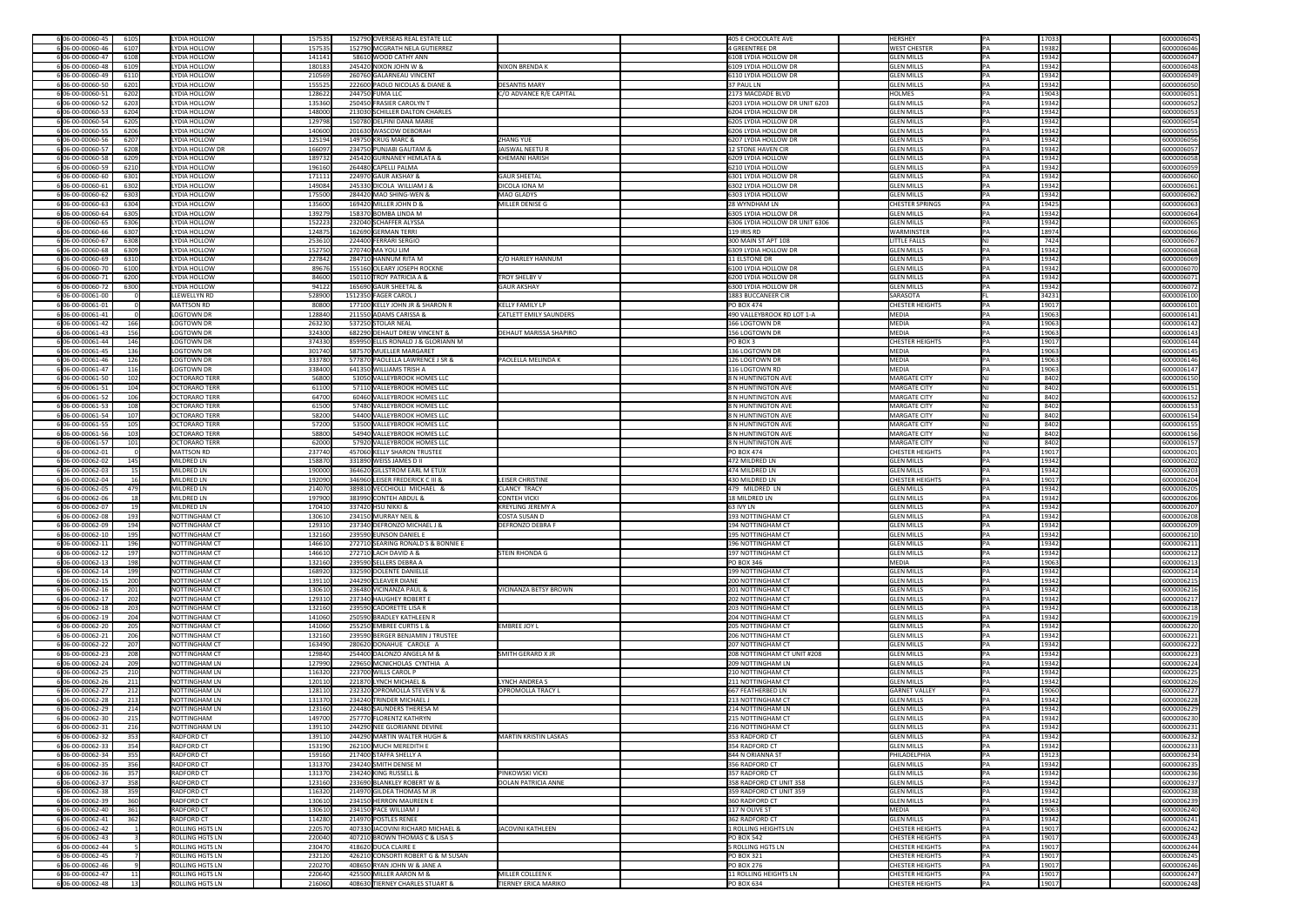| 6 06-00-00060-45    | 6105 | LYDIA HOLLOW           | 157535 | 152790 OVERSEAS REAL ESTATE LLC    |                               | 405 E CHOCOLATE AVE            | HERSHEY                | IPA. | 17033 | 6000006045 |
|---------------------|------|------------------------|--------|------------------------------------|-------------------------------|--------------------------------|------------------------|------|-------|------------|
| 6 06-00-00060-46    | 6107 | LYDIA HOLLOW           | 157535 | 152790 MCGRATH NELA GUTIERREZ      |                               | 4 GREENTREE DR                 | <b>WEST CHESTER</b>    |      | 19382 | 6000006046 |
|                     |      |                        |        |                                    |                               |                                |                        |      |       |            |
| 606-00-00060-47     | 6108 | LYDIA HOLLOW           | 141141 | 58610 WOOD CATHY ANN               |                               | 6108 LYDIA HOLLOW DR           | <b>GLEN MILLS</b>      |      | 19342 | 6000006047 |
| 6 06-00-00060-48    | 6109 | LYDIA HOLLOW           | 180183 | 245420 NIXON JOHN W &              | <b>NIXON BRENDA K</b>         | 6109 LYDIA HOLLOW DR           | <b>GLEN MILLS</b>      |      | 19342 | 6000006048 |
| 6 06-00-00060-49    | 6110 | LYDIA HOLLOW           | 210569 | 260760 GALARNEAU VINCENT           |                               | 6110 LYDIA HOLLOW DR           | <b>GLEN MILLS</b>      |      | 19342 | 6000006049 |
|                     |      |                        |        |                                    | <b>DESANTIS MARY</b>          |                                |                        |      |       |            |
| 6 06-00-00060-50    | 6201 | LYDIA HOLLOW           | 155525 | 222600 PAOLO NICOLAS & DIANE &     |                               | 37 PAUL LN                     | <b>GLEN MILLS</b>      |      | 19342 | 6000006050 |
| 6 06-00-00060-51    | 6202 | LYDIA HOLLOW           | 128622 | 244750 FUMA LLC                    | C/O ADVANCE R/E CAPITAL       | 2173 MACDADE BLVD              | <b>HOLMES</b>          |      | 19043 | 6000006051 |
| 606-00-00060-52     | 6203 | LYDIA HOLLOW           | 135360 | 250450 FRASIER CAROLYN T           |                               | 6203 LYDIA HOLLOW DR UNIT 6203 | <b>GLEN MILLS</b>      |      | 19342 | 6000006052 |
| 6 06-00-00060-53    | 6204 | LYDIA HOLLOW           | 148000 | 213030 SCHILLER DALTON CHARLES     |                               | 6204 LYDIA HOLLOW DR           | <b>GLEN MILLS</b>      |      | 19342 | 6000006053 |
|                     |      |                        |        |                                    |                               |                                |                        |      |       |            |
| 6 06-00-00060-54    | 6205 | LYDIA HOLLOW           | 129798 | 150780 DELFINI DANA MARIE          |                               | 6205 LYDIA HOLLOW DR           | <b>GLEN MILLS</b>      |      | 19342 | 6000006054 |
| 6 06-00-00060-55    | 6206 | LYDIA HOLLOW           | 140600 | 201630 WASCOW DEBORAH              |                               | 6206 LYDIA HOLLOW DR           | <b>GLEN MILLS</b>      |      | 19342 | 6000006055 |
| 6 06-00-00060-56    | 6207 | LYDIA HOLLOW           | 125194 | 149750 KRUG MARC &                 | <b>ZHANG YUE</b>              | 6207 LYDIA HOLLOW DR           | <b>GLEN MILLS</b>      |      | 19342 | 6000006056 |
|                     |      |                        |        |                                    |                               |                                |                        |      |       |            |
| 6 06-00-00060-57    | 6208 | LYDIA HOLLOW DR        | 166097 | 234750 PUNJABI GAUTAM &            | JAISWAL NEETU R               | 12 STONE HAVEN CIR             | <b>GLEN MILLS</b>      |      | 19342 | 6000006057 |
| 6 06-00-00060-58    | 6209 | LYDIA HOLLOW           | 189732 | 245420 GURNANEY HEMLATA &          | <b>KHEMANI HARISH</b>         | 6209 LYDIA HOLLOW              | <b>GLEN MILLS</b>      |      | 19342 | 6000006058 |
| 6 06-00-00060-59    | 6210 | LYDIA HOLLOW           | 196160 | 264480 CAPELLI PALMA               |                               | 6210 LYDIA HOLLOW              | <b>GLEN MILLS</b>      |      | 19342 | 6000006059 |
|                     |      |                        |        |                                    |                               |                                |                        |      |       |            |
| 6 06-00-00060-60    | 6301 | LYDIA HOLLOW           | 171111 | 224970 GAUR AKSHAY &               | <b>GAUR SHEETAL</b>           | 6301 LYDIA HOLLOW DR           | <b>GLEN MILLS</b>      |      | 19342 | 6000006060 |
| 6 06-00-00060-61    | 6302 | LYDIA HOLLOW           | 149084 | 245330 DICOLA WILLIAM J &          | <b>DICOLA IONA M</b>          | 6302 LYDIA HOLLOW DR           | <b>GLEN MILLS</b>      |      | 19342 | 6000006061 |
| 6 06-00-00060-62    | 6303 | LYDIA HOLLOW           | 175500 | 284420 MAO SHING-WEN &             | MAO GLADYS                    | 6303 LYDIA HOLLOW              | <b>GLEN MILLS</b>      |      | 19342 | 6000006062 |
|                     |      |                        |        |                                    |                               |                                |                        |      |       |            |
| 6 06-00-00060-63    | 6304 | LYDIA HOLLOW           | 135600 | 169420 MILLER JOHN D &             | MILLER DENISE G               | 28 WYNDHAM LN                  | <b>CHESTER SPRINGS</b> |      | 19425 | 6000006063 |
| 6 06-00-00060-64    | 6305 | LYDIA HOLLOW           | 139279 | 158370 BOMBA LINDA M               |                               | 6305 LYDIA HOLLOW DR           | <b>GLEN MILLS</b>      |      | 19342 | 6000006064 |
| 6 06-00-00060-65    | 6306 | LYDIA HOLLOW           | 152223 | 232040 SCHAFFER ALYSSA             |                               | 6306 LYDIA HOLLOW DR UNIT 6306 | <b>GLEN MILLS</b>      |      | 19342 | 6000006065 |
|                     |      |                        |        |                                    |                               |                                |                        |      |       |            |
| 606-00-00060-66     | 6307 | LYDIA HOLLOW           | 124875 | 162690 GERMAN TERRI                |                               | 119 IRIS RD                    | <b>WARMINSTER</b>      |      | 18974 | 6000006066 |
| 6 06-00-00060-67    | 6308 | LYDIA HOLLOW           | 253610 | 224400 FERRARI SERGIO              |                               | 300 MAIN ST APT 108            | <b>LITTLE FALLS</b>    |      | 7424  | 6000006067 |
| 6 06-00-00060-68    | 6309 | LYDIA HOLLOW           | 152750 | 270740 MA YOU LIM                  |                               | 6309 LYDIA HOLLOW DR           | <b>GLEN MILLS</b>      |      | 19342 | 6000006068 |
| 6 06-00-00060-69    | 6310 | LYDIA HOLLOW           | 227842 | 284710 HANNUM RITA M               | C/O HARLEY HANNUM             | <b>11 ELSTONE DR</b>           | <b>GLEN MILLS</b>      |      | 19342 | 6000006069 |
|                     |      |                        |        |                                    |                               |                                |                        |      |       |            |
| 6 06-00-00060-70    | 6100 | LYDIA HOLLOW           | 89676  | 155160 OLEARY JOSEPH ROCKNE        |                               | 6100 LYDIA HOLLOW DR           | <b>GLEN MILLS</b>      |      | 19342 | 6000006070 |
| 6 06-00-00060-71    | 6200 | LYDIA HOLLOW           | 84600  | 150110 TROY PATRICIA A &           | <b>TROY SHELBY V</b>          | 6200 LYDIA HOLLOW DR           | <b>GLEN MILLS</b>      |      | 19342 | 6000006071 |
| 6 06-00-00060-72    | 6300 | LYDIA HOLLOW           | 94122  | 165690 GAUR SHEETAL &              | <b>GAUR AKSHAY</b>            | 6300 LYDIA HOLLOW DR           | <b>GLEN MILLS</b>      |      | 19342 | 6000006072 |
|                     |      |                        |        |                                    |                               |                                |                        |      |       |            |
| 6 06-00-00061-00    |      | LLEWELLYN RD           | 528900 | 1512350 FAGER CAROL J              |                               | 1883 BUCCANEER CIR             | SARASOTA               |      | 34231 | 6000006100 |
| 6 06-00-00061-01    |      | MATTSON RD             | 80800  | 177100 KELLY JOHN JR & SHARON R    | KELLY FAMILY LP               | <b>PO BOX 474</b>              | <b>CHESTER HEIGHTS</b> |      | 19017 | 6000006101 |
| 606-00-00061-41     |      | LOGTOWN DR             | 128840 | 211550 ADAMS CARISSA &             | CATLETT EMILY SAUNDERS        | 490 VALLEYBROOK RD LOT 1-A     | MEDIA                  |      | 19063 | 6000006141 |
|                     |      |                        |        |                                    |                               |                                |                        |      |       |            |
| 6 06-00-00061-42    | 166  | LOGTOWN DR             | 263230 | 537250 STOLAR NEAL                 |                               | 166 LOGTOWN DR                 | MEDIA                  |      | 19063 | 6000006142 |
| 6 06-00-00061-43    | 156  | LOGTOWN DR             | 324300 | 682290 DEHAUT DREW VINCENT &       | <b>DEHAUT MARISSA SHAPIRO</b> | 156 LOGTOWN DR                 | MEDIA                  |      | 19063 | 6000006143 |
| 6 06-00-00061-44    | 146  | LOGTOWN DR             | 374330 | 859950 ELLIS RONALD J & GLORIANN M |                               | $PO$ BOX 3                     | <b>CHESTER HEIGHTS</b> |      | 19017 | 6000006144 |
| 6 06-00-00061-45    | 136  | LOGTOWN DR             |        | 587570 MUELLER MARGARET            |                               | 136 LOGTOWN DR                 | MEDIA                  |      | 19063 |            |
|                     |      |                        | 301740 |                                    |                               |                                |                        |      |       | 6000006145 |
| 6 06-00-00061-46    | 126  | LOGTOWN DR             | 333780 | 577870 PAOLELLA LAWRENCE J SR &    | <b>PAOLELLA MELINDA K</b>     | 126 LOGTOWN DR                 | MEDIA                  |      | 19063 | 6000006146 |
| 6 06-00-00061-47    | 116  | LOGTOWN DR             | 338400 | 641350 WILLIAMS TRISH A            |                               | 116 LOGTOWN RD                 | MEDIA                  |      | 19063 | 6000006147 |
| 6 06-00-00061-50    | 102  | <b>OCTORARO TERR</b>   | 56800  | 53050 VALLEYBROOK HOMES LLC        |                               | 8 N HUNTINGTON AVE             | MARGATE CITY           |      | 8402  | 6000006150 |
|                     |      |                        |        |                                    |                               |                                |                        |      |       |            |
| 6 06-00-00061-51    | 104  | <b>OCTORARO TERR</b>   | 61100  | 57110 VALLEYBROOK HOMES LLC        |                               | 8 N HUNTINGTON AVE             | MARGATE CITY           |      | 8402  | 6000006151 |
| 6 06-00-00061-52    | 106  | OCTORARO TERR          | 64700  | 60460 VALLEYBROOK HOMES LLC        |                               | 8 N HUNTINGTON AVE             | MARGATE CITY           |      | 8402  | 6000006152 |
| 6 06-00-00061-53    | 108  | <b>OCTORARO TERR</b>   | 61500  | 57480 VALLEYBROOK HOMES LLC        |                               | 8 N HUNTINGTON AVE             | <b>MARGATE CITY</b>    |      | 8402  | 6000006153 |
|                     |      |                        |        |                                    |                               |                                |                        |      |       |            |
| 6 06-00-00061-54    | 107  | <b>OCTORARO TERR</b>   | 58200  | 54400 VALLEYBROOK HOMES LLC        |                               | 8 N HUNTINGTON AVE             | <b>MARGATE CITY</b>    |      | 8402  | 6000006154 |
| 6 06-00-00061-55    | 105  | <b>OCTORARO TERR</b>   | 57200  | 53500 VALLEYBROOK HOMES LLC        |                               | 8 N HUNTINGTON AVE             | <b>MARGATE CITY</b>    |      | 8402  | 6000006155 |
| 6 06-00-00061-56    | 103  | OCTORARO TERR          | 58800  | 54940 VALLEYBROOK HOMES LLC        |                               | 8 N HUNTINGTON AVE             | MARGATE CITY           |      | 8402  | 6000006156 |
| 6 06-00-00061-57    | 101  | <b>OCTORARO TERR</b>   | 62000  | 57920 VALLEYBROOK HOMES LLC        |                               | 8 N HUNTINGTON AVE             | MARGATE CITY           |      | 8402  | 6000006157 |
|                     |      |                        |        |                                    |                               |                                |                        |      |       |            |
| 6 06-00-00062-01    |      | MATTSON RD             | 237740 | 457060 KELLY SHARON TRUSTEE        |                               | <b>PO BOX 474</b>              | <b>CHESTER HEIGHTS</b> |      | 19017 | 6000006201 |
| 6 06-00-00062-02    | 145  | MILDRED LN             | 158870 | 331890 WEISS JAMES D II            |                               | 472 MILDRED LN                 | <b>GLEN MILLS</b>      |      | 19342 | 6000006202 |
|                     |      |                        |        |                                    |                               |                                |                        |      |       |            |
|                     |      |                        |        |                                    |                               |                                |                        |      |       |            |
| 6 06-00-00062-03    |      | MILDRED LN             | 190000 | 364620 GILLSTROM EARL M ETUX       |                               | 474 MILDRED LN                 | <b>GLEN MILLS</b>      |      | 19342 | 6000006203 |
| 6 06-00-00062-04    |      | MILDRED LN             | 192090 | 346960 LEISER FREDERICK C III &    | <b>LEISER CHRISTINE</b>       | 430 MILDRED LN                 | <b>CHESTER HEIGHTS</b> |      | 19017 | 6000006204 |
| 6 06-00-00062-05    | 479  | MILDRED LN             | 214070 | 389810 VECCHIOLLI MICHAEL &        | <b>CLANCY TRACY</b>           | 479 MILDRED LN                 | <b>GLEN MILLS</b>      |      | 19342 | 6000006205 |
|                     |      |                        |        |                                    |                               |                                |                        |      |       |            |
| 6 06-00-00062-06    |      | MILDRED LN             | 197900 | 383990 CONTEH ABDUL &              | <b>CONTEH VICKI</b>           | 18 MILDRED LN                  | <b>GLEN MILLS</b>      |      | 19342 | 6000006206 |
| 6 06-00-00062-07    | 19   | MILDRED LN             | 170410 | 337420 HSU NIKKI &                 | <b>KREYLING JEREMY A</b>      | 63 IVY LN                      | <b>GLEN MILLS</b>      |      | 19342 | 6000006207 |
| 6 06-00-00062-08    | 193  | NOTTINGHAM CT          | 130610 | 234150 MURRAY NEIL &               | COSTA SUSAN D                 | 193 NOTTINGHAM CT              | <b>GLEN MILLS</b>      |      | 19342 | 6000006208 |
| 6 06-00-00062-09    | 194  | NOTTINGHAM CT          | 129310 | 237340 DEFRONZO MICHAEL J &        | <b>DEFRONZO DEBRA F</b>       | 194 NOTTINGHAM CT              | <b>GLEN MILLS</b>      |      | 19342 | 6000006209 |
|                     |      |                        |        |                                    |                               |                                |                        |      |       |            |
| 6 06-00-00062-10    | 195  | NOTTINGHAM CT          | 132160 | 239590 EUNSON DANIEL E             |                               | 195 NOTTINGHAM CT              | <b>GLEN MILLS</b>      |      | 19342 | 6000006210 |
| 606-00-00062-11     | 196  | NOTTINGHAM CT          | 146610 | 272710 SEARING RONALD S & BONNIE E |                               | 196 NOTTINGHAM CT              | <b>GLEN MILLS</b>      |      | 19342 | 6000006211 |
| 6 06-00-00062-12    | 197  | NOTTINGHAM CT          | 146610 | 272710 LACH DAVID A &              | <b>STEIN RHONDA G</b>         | 197 NOTTINGHAM CT              | <b>GLEN MILLS</b>      |      | 19342 | 6000006212 |
|                     |      |                        |        |                                    |                               |                                |                        |      |       |            |
| 6 06-00-00062-13    | 198  | NOTTINGHAM CT          | 132160 | 239590 SELLERS DEBRA A             |                               | <b>PO BOX 346</b>              | MEDIA                  |      | 19063 | 6000006213 |
| 6 06-00-00062-14    | 199  | NOTTINGHAM CT          | 168920 | 332590 DOLENTE DANIELLE            |                               | 199 NOTTINGHAM CT              | <b>GLEN MILLS</b>      |      | 19342 | 6000006214 |
| 6 06-00-00062-15    | 200  | NOTTINGHAM CT          | 139110 | 244290 CLEAVER DIANE               |                               | 200 NOTTINGHAM CT              | <b>GLEN MILLS</b>      |      | 19342 | 6000006215 |
| 6 06-00-00062-16    | 201  | NOTTINGHAM CT          | 130610 | 236480 VICINANZA PAUL &            | <b>VICINANZA BETSY BROWN</b>  | 201 NOTTINGHAM CT              | <b>GLEN MILLS</b>      |      | 19342 | 6000006216 |
|                     |      |                        |        |                                    |                               |                                |                        |      |       |            |
| 606-00-00062-17     | 202  | NOTTINGHAM CT          | 129310 | 237340 HAUGHEY ROBERT E            |                               | 202 NOTTINGHAM CT              | <b>GLEN MILLS</b>      |      | 19342 | 6000006217 |
| 6 06-00-00062-18    | 203  | NOTTINGHAM CT          | 132160 | 239590 CADORETTE LISA R            |                               | 203 NOTTINGHAM CT              | <b>GLEN MILLS</b>      |      | 19342 | 6000006218 |
| 6 06-00-00062-19    | 204  | NOTTINGHAM CT          | 141060 | 250590 BRADLEY KATHLEEN R          |                               | 204 NOTTINGHAM CT              | <b>GLEN MILLS</b>      |      | 19342 | 6000006219 |
| 606-00-00062-20     | 205  | NOTTINGHAM CT          | 141060 | 255250 EMBREE CURTIS L &           | <b>EMBREE JOY L</b>           | 205 NOTTINGHAM CT              | <b>GLEN MILLS</b>      |      | 19342 | 6000006220 |
|                     |      |                        |        |                                    |                               |                                |                        |      |       |            |
| 6 06-00-00062-21    | 206  | NOTTINGHAM CT          | 132160 | 239590 BERGER BENJAMIN J TRUSTEE   |                               | 206 NOTTINGHAM CT              | <b>GLEN MILLS</b>      |      | 19342 | 6000006221 |
| 6 06-00-00062-22    | 207  | <b>NOTTINGHAM CT</b>   | 163490 | 280620 DONAHUE CAROLE A            |                               | 207 NOTTINGHAM CT              | <b>GLEN MILLS</b>      |      | 19342 | 6000006222 |
| 6 06-00-00062-23    | 208  | NOTTINGHAM CT          | 129840 | 254400 DALONZO ANGELA M &          | <b>SMITH GERARD X JR</b>      | 208 NOTTINGHAM CT UNIT #208    | <b>GLEN MILLS</b>      |      | 19342 | 6000006223 |
| 6 06-00-00062-24    | 209  | NOTTINGHAM LN          | 127990 | 229650 MCNICHOLAS CYNTHIA A        |                               | 209 NOTTINGHAM LN              | <b>GLEN MILLS</b>      |      | 19342 | 6000006224 |
|                     |      |                        |        |                                    |                               |                                |                        |      |       |            |
| 6 06-00-00062-25    | 210  | NOTTINGHAM LN          | 116320 | 223700 WILLS CAROL P               |                               | 210 NOTTINGHAM CT              | <b>GLEN MILLS</b>      |      | 19342 | 6000006225 |
| 6 06-00-00062-26    | 211  | NOTTINGHAM LN          | 120110 | 221870 LYNCH MICHAEL &             | LYNCH ANDREA S                | 211 NOTTINGHAM CT              | <b>GLEN MILLS</b>      |      | 19342 | 6000006226 |
| 606-00-00062-27     | 212  | NOTTINGHAM LN          | 128110 | 232320 OPROMOLLA STEVEN V &        | <b>OPROMOLLA TRACY L</b>      | 667 FEATHERBED LN              | <b>GARNET VALLEY</b>   |      | 19060 | 6000006227 |
|                     |      |                        |        |                                    |                               |                                |                        |      |       |            |
| 6 06-00-00062-28    | 213  | NOTTINGHAM LN          | 131370 | 234240 TRINDER MICHAEL J           |                               | 213 NOTTINGHAM CT              | <b>GLEN MILLS</b>      |      | 19342 | 6000006228 |
| 6 06-00-00062-29    | 214  | NOTTINGHAM LN          | 123160 | 224480 SAUNDERS THERESA M          |                               | 214 NOTTINGHAM LN              | <b>GLEN MILLS</b>      |      | 19342 | 6000006229 |
| 6 06-00-00062-30    | 215  | NOTTINGHAM             | 149700 | 257770 FLORENTZ KATHRYN            |                               | 215 NOTTINGHAM CT              | <b>GLEN MILLS</b>      |      | 19342 | 6000006230 |
| 6 06-00-00062-31    | 216  | NOTTINGHAM LN          | 139110 | 244290 NEE GLORIANNE DEVINE        |                               | 216 NOTTINGHAM CT              | <b>GLEN MILLS</b>      |      | 19342 | 6000006231 |
|                     |      |                        |        |                                    |                               |                                |                        |      |       |            |
| 606-00-00062-32     | 353  | <b>RADFORD CT</b>      | 139110 | 244290 MARTIN WALTER HUGH &        | MARTIN KRISTIN LASKAS         | 353 RADFORD CT                 | <b>GLEN MILLS</b>      |      | 19342 | 6000006232 |
| 6 06-00-00062-33    | 354  | <b>RADFORD CT</b>      | 153190 | 262100 MUCH MEREDITH E             |                               | 354 RADFORD CT                 | <b>GLEN MILLS</b>      |      | 19342 | 6000006233 |
| 606-00-00062-34     | 355  | <b>RADFORD CT</b>      | 159160 | 217400 STAFFA SHELLY A             |                               | 844 N ORIANNA ST               | PHILADELPHIA           |      | 19123 | 6000006234 |
|                     |      |                        |        |                                    |                               |                                |                        |      |       |            |
| 6 06-00-00062-35    | 356  | <b>RADFORD CT</b>      | 131370 | 234240 SMITH DENISE M              |                               | 356 RADFORD CT                 | <b>GLEN MILLS</b>      |      | 19342 | 6000006235 |
| 6 06-00-00062-36    | 357  | <b>RADFORD CT</b>      | 131370 | 234240 KING RUSSELL &              | <b>PINKOWSKI VICKI</b>        | 357 RADFORD CT                 | <b>GLEN MILLS</b>      |      | 19342 | 6000006236 |
| 6 06-00-00062-37    | 358  | RADFORD CT             | 123160 | 233690 BLANKLEY ROBERT W &         | <b>DOLAN PATRICIA ANNE</b>    | 358 RADFORD CT UNIT 358        | <b>GLEN MILLS</b>      |      | 19342 | 6000006237 |
|                     |      | <b>RADFORD CT</b>      |        | 214970 GILDEA THOMAS M JR          |                               |                                |                        |      |       |            |
| 6 06-00-00062-38    | 359  |                        | 116320 |                                    |                               | 359 RADFORD CT UNIT 359        | <b>GLEN MILLS</b>      |      | 19342 | 6000006238 |
| 6 06-00-00062-39    | 360  | RADFORD CT             | 130610 | 234150 HERRON MAUREEN E            |                               | 360 RADFORD CT                 | <b>GLEN MILLS</b>      |      | 19342 | 6000006239 |
| 6 06-00-00062-40    | 361  | <b>RADFORD CT</b>      | 130610 | 234150 PACE WILLIAM J              |                               | 117 N OLIVE ST                 | MEDIA                  |      | 19063 | 6000006240 |
| 6 06-00-00062-41    | 362  | <b>RADFORD CT</b>      | 114280 | 214970 POSTLES RENEE               |                               | 362 RADFORD CT                 | <b>GLEN MILLS</b>      |      | 19342 | 6000006241 |
|                     |      |                        |        |                                    |                               |                                |                        |      |       |            |
| 6 06-00-00062-42    |      | <b>ROLLING HGTS LN</b> | 220570 | 407330 JACOVINI RICHARD MICHAEL &  | JACOVINI KATHLEEN             | 1 ROLLING HEIGHTS LN           | <b>CHESTER HEIGHTS</b> |      | 19017 | 6000006242 |
| 6 06-00-00062-43    |      | <b>ROLLING HGTS LN</b> | 220040 | 407210 BROWN THOMAS C & LISA S     |                               | <b>PO BOX 542</b>              | <b>CHESTER HEIGHTS</b> |      | 19017 | 6000006243 |
| 6 06-00-00062-44    |      | <b>ROLLING HGTS LN</b> | 230470 | 418620 DUCA CLAIRE E               |                               | 5 ROLLING HGTS LN              | CHESTER HEIGHTS        |      | 19017 | 6000006244 |
|                     |      |                        |        |                                    |                               |                                |                        |      |       |            |
| 6 06-00-00062-45    |      | <b>ROLLING HGTS LN</b> | 232120 | 426210 CONSORTI ROBERT G & M SUSAN |                               | <b>PO BOX 321</b>              | <b>CHESTER HEIGHTS</b> |      | 19017 | 6000006245 |
| 606-00-00062-46     |      | <b>ROLLING HGTS LN</b> | 220270 | 408650 RYAN JOHN W & JANE A        |                               | <b>PO BOX 276</b>              | <b>CHESTER HEIGHTS</b> |      | 19017 | 6000006246 |
| 6 06-00-00062-47    |      | <b>ROLLING HGTS LN</b> | 220640 | 425500 MILLER AARON M &            | MILLER COLLEEN K              | 11 ROLLING HEIGHTS LN          | <b>CHESTER HEIGHTS</b> |      | 19017 | 6000006247 |
| $6 06-00-00062-48 $ | 13   | ROLLING HGTS LN        | 216060 | 408630 TIERNEY CHARLES STUART &    | TIERNEY ERICA MARIKO          | $PO$ BOX 634                   | <b>CHESTER HEIGHTS</b> | PA   | 19017 | 6000006248 |

| 6000006045               |
|--------------------------|
| 6000006046               |
| 6000006047               |
| 6000006048<br>6000006049 |
| 6000006050               |
| 6000006051               |
| 6000006052               |
| 6000006053               |
| 6000006054               |
| 6000006055               |
| 6000006056               |
| 6000006057<br>6000006058 |
| 6000006059               |
| 6000006060               |
| 6000006061               |
| 6000006062               |
| 6000006063               |
| 6000006064               |
| 6000006065<br>6000006066 |
| 6000006067               |
| 6000006068               |
| 6000006069               |
| 6000006070               |
| 6000006071               |
| 6000006072               |
| 6000006100<br>6000006101 |
| 6000006141               |
| 6000006142               |
| 6000006143               |
| 6000006144               |
| 6000006145               |
| 6000006146<br>6000006147 |
| 6000006150               |
| 6000006151               |
| 6000006152               |
| 6000006153               |
| 6000006154               |
| 6000006155               |
| 6000006156<br>6000006157 |
|                          |
| 6000006201               |
| 6000006202               |
| 6000006203               |
| 6000006204               |
| 6000006205               |
| 6000006206<br>6000006207 |
| 6000006208               |
| 6000006209               |
| 6000006210               |
| 6000006211               |
| 6000006212<br>6000006213 |
| 6000006214               |
| 6000006215               |
| 6000006216               |
| 6000006217               |
| 6000006218               |
| 6000006219<br>6000006220 |
| 6000006221               |
| 6000006222               |
| 6000006223               |
| 6000006224               |
| 6000006225<br>6000006226 |
| 6000006227               |
| 6000006228               |
| 6000006229               |
| 6000006230               |
| 6000006231<br>6000006232 |
| 6000006233               |
| 6000006234               |
| 6000006235               |
| 6000006236               |
| 6000006237               |
| 6000006238<br>6000006239 |
| 6000006240               |
| 6000006241               |
| 6000006242               |
| 6000006243               |
| 6000006244               |
| 6000006245<br>6000006246 |
| 6000006247               |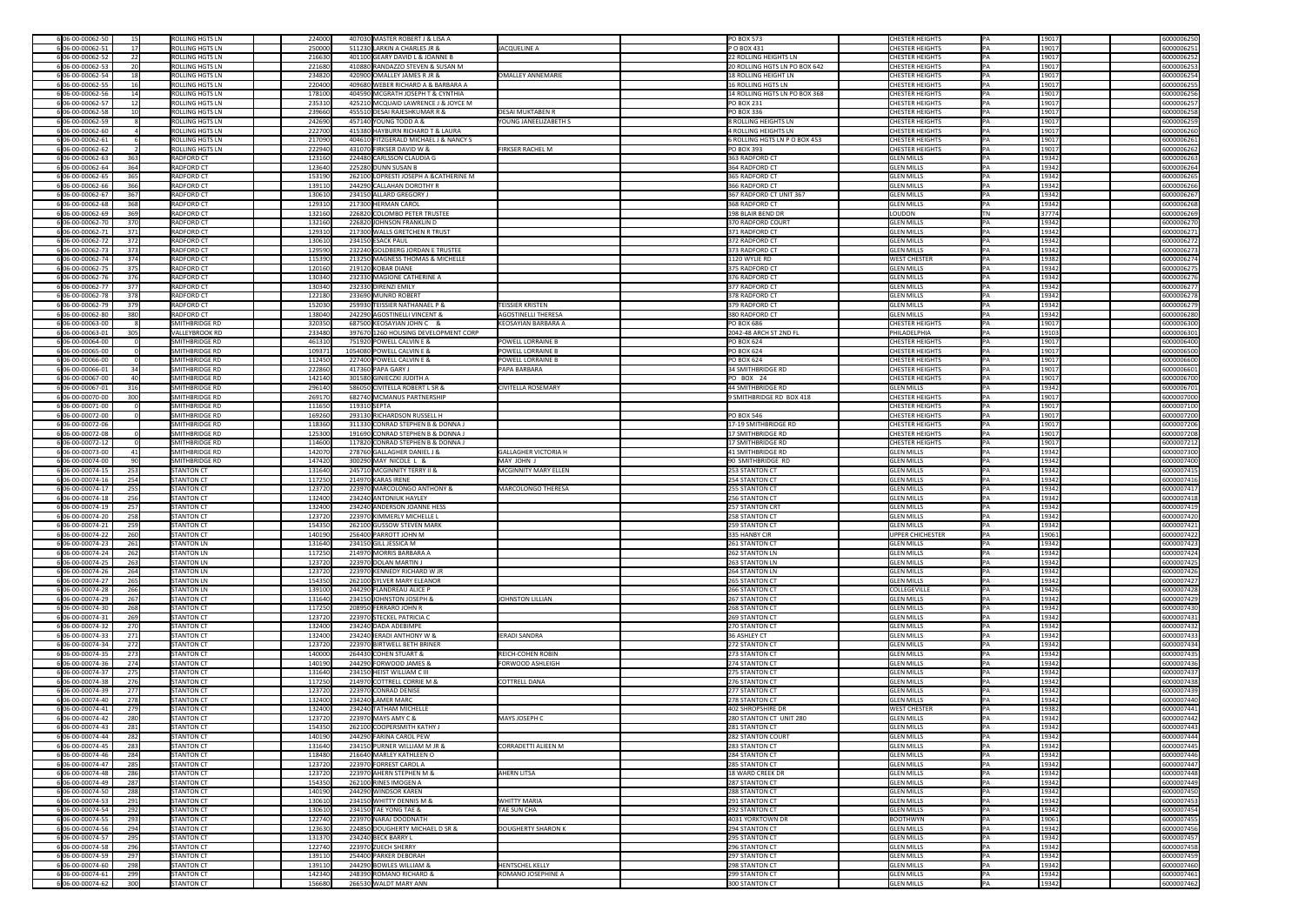| 6 06-00-00062-50                            | 15              | <b>ROLLING HGTS LN</b>          | 224000           |              | 407030 MASTER ROBERT J & LISA A                                               | <b>PO BOX 573</b>                | <b>CHESTER HEIGHTS</b>                 | 19017           | 6000006250               |
|---------------------------------------------|-----------------|---------------------------------|------------------|--------------|-------------------------------------------------------------------------------|----------------------------------|----------------------------------------|-----------------|--------------------------|
| 6 06-00-00062-51                            | 17 <sup>1</sup> | <b>ROLLING HGTS LN</b>          | 250000           |              | 511230 LARKIN A CHARLES JR &<br>JACQUELINE A                                  | $ P$ O BOX 431                   | <b>CHESTER HEIGHTS</b>                 | 19017           | 6000006251               |
| 6 06-00-00062-52                            |                 | <b>ROLLING HGTS LN</b>          | 216630           |              | 401100 GEARY DAVID L & JOANNE B                                               | <b>22 ROLLING HEIGHTS LN</b>     | <b>CHESTER HEIGHTS</b>                 | 19017           | 6000006252               |
|                                             |                 |                                 |                  |              |                                                                               |                                  |                                        |                 |                          |
| 6 06-00-00062-53                            |                 | <b>ROLLING HGTS LN</b>          | 221680           |              | 410880 RANDAZZO STEVEN & SUSAN M                                              | 20 ROLLING HGTS LN PO BOX 642    | <b>CHESTER HEIGHTS</b>                 | 19017           | 6000006253               |
| 6 06-00-00062-54                            |                 | <b>ROLLING HGTS LN</b>          | 234820           |              | 420900 OMALLEY JAMES R JR &<br><b>OMALLEY ANNEMARIE</b>                       | 18 ROLLING HEIGHT LN             | CHESTER HEIGHTS                        | 19017           | 6000006254               |
| 6 06-00-00062-55                            | 16              | <b>ROLLING HGTS LN</b>          | 220400           |              | 409680 WEBER RICHARD A & BARBARA A                                            | 16 ROLLING HGTS LN               | CHESTER HEIGHTS                        | 19017           | 6000006255               |
| 6 06-00-00062-56                            |                 | <b>ROLLING HGTS LN</b>          | 178100           |              | 404590 MCGRATH JOSEPH T & CYNTHIA                                             | 14 ROLLING HGTS LN PO BOX 368    | <b>CHESTER HEIGHTS</b>                 | 19017           | 6000006256               |
|                                             |                 |                                 |                  |              |                                                                               |                                  |                                        |                 |                          |
| 6 06-00-00062-57                            |                 | <b>ROLLING HGTS LN</b>          | 235310           |              | 425210 MCQUAID LAWRENCE J & JOYCE M                                           | <b>PO BOX 231</b>                | <b>CHESTER HEIGHTS</b>                 | 19017           | 6000006257               |
| 6 06-00-00062-58                            |                 | <b>ROLLING HGTS LN</b>          | 239660           |              | 455510 DESAI RAJESHKUMAR R &<br><b>DESAI MUKTABEN R</b>                       | <b>PO BOX 336</b>                | <b>CHESTER HEIGHTS</b>                 | 19017           | 6000006258               |
| 6 06-00-00062-59                            |                 | <b>ROLLING HGTS LN</b>          | 242690           |              | 457140 YOUNG TODD A &<br>YOUNG JANEELIZABETH S                                | 8 ROLLING HEIGHTS LN             | <b>CHESTER HEIGHTS</b>                 | 19017           | 6000006259               |
|                                             |                 |                                 |                  |              |                                                                               |                                  |                                        | 19017           |                          |
| 6 06-00-00062-60                            |                 | <b>ROLLING HGTS LN</b>          | 222700           |              | 415380 HAYBURN RICHARD T & LAURA                                              | 4 ROLLING HEIGHTS LN             | <b>CHESTER HEIGHTS</b>                 |                 | 6000006260               |
| 6 06-00-00062-61                            |                 | ROLLING HGTS LN                 | 217090           |              | 404610 FITZGERALD MICHAEL J & NANCY S                                         | 6 ROLLING HGTS LN P O BOX 453    | <b>CHESTER HEIGHTS</b>                 | 19017           | 6000006261               |
| 6 06-00-00062-62                            |                 | <b>ROLLING HGTS LN</b>          | 222940           |              | 431070 FIRKSER DAVID W &<br><b>FIRKSER RACHEL M</b>                           | <b>PO BOX 393</b>                | <b>CHESTER HEIGHTS</b>                 | 19017           | 6000006262               |
| 6 06-00-00062-63                            | 363             | RADFORD CT                      | 123160           |              | 224480 CARLSSON CLAUDIA G                                                     | 363 RADFORD CT                   | <b>GLEN MILLS</b>                      | 19342           | 6000006263               |
| 6 06-00-00062-64                            | 364             | <b>RADFORD CT</b>               |                  |              | 225280 DUNN SUSAN B                                                           | 364 RADFORD CT                   | <b>GLEN MILLS</b>                      | 19342           | 6000006264               |
|                                             |                 |                                 | 123640           |              |                                                                               |                                  |                                        |                 |                          |
| 6 06-00-00062-65                            | 365             | <b>RADFORD CT</b>               | 153190           |              | 262100 LOPRESTI JOSEPH A & CATHERINE M                                        | 365 RADFORD CT                   | <b>GLEN MILLS</b>                      | 19342           | 6000006265               |
| 6 06-00-00062-66                            | 366             | <b>RADFORD CT</b>               | 139110           |              | 244290 CALLAHAN DOROTHY R                                                     | 366 RADFORD CT                   | <b>GLEN MILLS</b>                      | 19342           | 6000006266               |
| 6 06-00-00062-67                            | 367             | <b>RADFORD CT</b>               | 130610           |              | 234150 ALLARD GREGORY J                                                       | 367 RADFORD CT UNIT 367          | <b>GLEN MILLS</b>                      | 19342           | 6000006267               |
| 6 06-00-00062-68                            | 368             | RADFORD CT                      |                  |              | 217300 HERMAN CAROL                                                           | 368 RADFORD CT                   | <b>GLEN MILLS</b>                      | 19342           | 6000006268               |
|                                             |                 |                                 | 129310           |              |                                                                               |                                  |                                        |                 |                          |
| 6 06-00-00062-69                            | 369             | <b>RADFORD CT</b>               | 132160           |              | 226820 COLOMBO PETER TRUSTEE                                                  | 198 BLAIR BEND DR                | LOUDON                                 | 37774           | 6000006269               |
| 6 06-00-00062-70                            | 370             | <b>RADFORD CT</b>               | 132160           |              | 226820 JOHNSON FRANKLIN D                                                     | 370 RADFORD COURT                | <b>GLEN MILLS</b>                      | 19342           | 6000006270               |
| 6 06-00-00062-71                            | 371             | <b>RADFORD CT</b>               | 129310           |              | 217300 WALLS GRETCHEN R TRUST                                                 | 371 RADFORD CT                   | <b>GLEN MILLS</b>                      | 19342           | 6000006271               |
| 6 06-00-00062-72                            | 372             | <b>RADFORD CT</b>               | 130610           |              | 234150 ESACK PAUL                                                             | 372 RADFORD CT                   | <b>GLEN MILLS</b>                      | 19342           | 6000006272               |
|                                             |                 |                                 |                  |              |                                                                               |                                  |                                        |                 |                          |
| 6 06-00-00062-73                            | 373             | <b>RADFORD CT</b>               | 129590           |              | 232240 GOLDBERG JORDAN E TRUSTEE                                              | 373 RADFORD CT                   | <b>GLEN MILLS</b>                      | 19342           | 6000006273               |
| 6 06-00-00062-74                            | 374             | <b>RADFORD CT</b>               | 115390           |              | 213250 MAGNESS THOMAS & MICHELLE                                              | 1120 WYLIE RD                    | <b>WEST CHESTER</b>                    | 19382           | 6000006274               |
| 6 06-00-00062-75                            | 375             | <b>RADFORD CT</b>               | 120160           |              | 219120 KOBAR DIANE                                                            | 375 RADFORD CT                   | <b>GLEN MILLS</b>                      | 19342           | 6000006275               |
| 6 06-00-00062-76                            | 376             | <b>RADFORD CT</b>               | 130340           |              | 232330 MAGIONE CATHERINE A                                                    | 376 RADFORD CT                   | <b>GLEN MILLS</b>                      | 19342           | 6000006276               |
| 6 06-00-00062-77                            | 377             | <b>RADFORD CT</b>               |                  |              | 232330 DIRENZI EMILY                                                          | 377 RADFORD CT                   | <b>GLEN MILLS</b>                      | 19342           | 6000006277               |
|                                             |                 |                                 | 130340           |              |                                                                               |                                  |                                        |                 |                          |
| 6 06-00-00062-78                            | 378             | <b>RADFORD CT</b>               | 122180           |              | 233690 MUNRO ROBERT                                                           | 378 RADFORD CT                   | <b>GLEN MILLS</b>                      | 19342           | 6000006278               |
| 6 06-00-00062-79                            | -379 l          | <b>RADFORD CT</b>               | 152030           |              | <b>TEISSIER KRISTEN</b><br>259930 TEISSIER NATHANAEL P &                      | 379 RADFORD CT                   | <b>GLEN MILLS</b>                      | 19342           | 6000006279               |
| 606-00-00062-80                             | 380 l           | RADFORD CT                      | 138040           |              | 242290 AGOSTINELLI VINCENT &<br>AGOSTINELLI THERESA                           | 380 RADFORD CT                   | <b>GLEN MILLS</b>                      | 19342           | 6000006280               |
| 6 06-00-00063-00                            |                 | SMITHBRIDGE RD                  | 320350           |              | <b>KEOSAYIAN BARBARA A</b><br>687500 KEOSAYIAN JOHN C &                       | <b>PO BOX 686</b>                | <b>CHESTER HEIGHTS</b>                 | 19017           | 6000006300               |
|                                             |                 |                                 |                  |              |                                                                               |                                  |                                        |                 |                          |
| 6 06-00-00063-01                            | 305             | VALLEYBROOK RD                  | 233480           |              | 397670 1260 HOUSING DEVELOPMENT CORP                                          | 2042-48 ARCH ST 2ND FL           | PHILADELPHIA                           | 19103           | 6000006301               |
| 6 06-00-00064-00                            |                 | SMITHBRIDGE RD                  | 461310           |              | 751920 POWELL CALVIN E &<br><b>POWELL LORRAINE B</b>                          | <b>PO BOX 624</b>                | CHESTER HEIGHTS                        | 19017           | 6000006400               |
| 6 06-00-00065-00                            |                 | SMITHBRIDGE RD                  | 109371           |              | 1054080 POWELL CALVIN E &<br><b>POWELL LORRAINE B</b>                         | <b>PO BOX 624</b>                | <b>CHESTER HEIGHTS</b>                 | 19017           | 6000006500               |
| 6 06-00-00066-00                            |                 | SMITHBRIDGE RD                  | 112450           |              | <b>POWELL LORRAINE B</b><br>227400 POWELL CALVIN E &                          | <b>PO BOX 624</b>                | <b>CHESTER HEIGHTS</b>                 | 19017           | 6000006600               |
|                                             |                 |                                 |                  |              |                                                                               |                                  |                                        |                 |                          |
| 6 06-00-00066-01                            |                 | SMITHBRIDGE RD                  | 222860           |              | 417360 PAPA GARY J<br><b>PAPA BARBARA</b>                                     | 34 SMITHBRIDGE RD                | CHESTER HEIGHTS                        | 19017           | 6000006601               |
| 6 06-00-00067-00                            |                 | SMITHBRIDGE RD                  | 142140           |              | 301580 GINIECZKI JUDITH A                                                     | $ PO$ BOX 24                     | <b>CHESTER HEIGHTS</b>                 | 19017           | 6000006700               |
| 6 06-00-00067-01                            | 316             | SMITHBRIDGE RD                  | 296140           |              | 586050 CIVITELLA ROBERT L SR &<br><b>CIVITELLA ROSEMARY</b>                   | 44 SMITHBRIDGE RD                | <b>GLEN MILLS</b>                      | 19342           | 6000006701               |
| 6 06-00-00070-00                            | 300             | SMITHBRIDGE RD                  | 269170           |              | 682740 MCMANUS PARTNERSHIP                                                    | 9 SMITHBRIDGE RD BOX 418         | <b>CHESTER HEIGHTS</b>                 | 19017           | 6000007000               |
|                                             |                 |                                 |                  |              |                                                                               |                                  |                                        |                 |                          |
| 6 06-00-00071-00                            |                 | SMITHBRIDGE RD                  | 111650           | 119310 SEPTA |                                                                               |                                  | <b>CHESTER HEIGHTS</b>                 | 19017           | 6000007100               |
| 6 06-00-00072-00                            |                 | SMITHBRIDGE RD                  | 169260           |              | 293130 RICHARDSON RUSSELL H                                                   | <b>PO BOX 546</b>                | <b>CHESTER HEIGHTS</b>                 | 19017           | 6000007200               |
| 6 06-00-00072-06                            |                 | SMITHBRIDGE RD                  | 118360           |              | 311330 CONRAD STEPHEN B & DONNA J                                             | 17-19 SMITHBRIDGE RD             | <b>CHESTER HEIGHTS</b>                 | 19017           | 6000007206               |
| 6 06-00-00072-08                            |                 | SMITHBRIDGE RD                  | 125300           |              | 191690 CONRAD STEPHEN B & DONNA J                                             | 17 SMITHBRIDGE RD                | <b>CHESTER HEIGHTS</b>                 | 19017           | 6000007208               |
| 6 06-00-00072-12                            |                 | SMITHBRIDGE RD                  | 114600           |              | 117820 CONRAD STEPHEN B & DONNA J                                             | 17 SMITHBRIDGE RD                | <b>CHESTER HEIGHTS</b>                 | 19017           | 6000007212               |
| 6 06-00-00073-00                            | 41              | SMITHBRIDGE RD                  | 142070           |              | 278760 GALLAGHER DANIEL J &<br><b>GALLAGHER VICTORIA H</b>                    | 41 SMITHBRIDGE RD                | <b>GLEN MILLS</b>                      | 19342           | 6000007300               |
|                                             |                 |                                 |                  |              |                                                                               |                                  |                                        |                 |                          |
| 6 06-00-00074-00                            |                 | SMITHBRIDGE RD                  | 147420           |              | 300290 MAY NICOLE L &<br><b>NAY JOHN J</b>                                    | 90 SMITHBRIDGE RD                | <b>GLEN MILLS</b>                      | 19342           | 6000007400               |
| 6 06-00-00074-15                            | 253             | <b>STANTON CT</b>               | 131640           |              | 245710 MCGINNITY TERRY II &<br>MCGINNITY MARY ELLEN                           | 253 STANTON CT                   | <b>GLEN MILLS</b>                      | 19342           | 6000007415               |
| 6 06-00-00074-16                            | 254             | <b>STANTON CT</b>               | 117250           |              | 214970 KARAS IRENE                                                            | 254 STANTON CT                   | <b>GLEN MILLS</b>                      | 19342           | 6000007416               |
| 6 06-00-00074-17                            | 255             | <b>STANTON CT</b>               | 123720           |              | 223970 MARCOLONGO ANTHONY &<br>MARCOLONGO THERESA                             | 255 STANTON CT                   | <b>GLEN MILLS</b>                      | 19342           | 6000007417               |
| 6 06-00-00074-18                            | 256             | <b>STANTON CT</b>               | 132400           |              | 234240 ANTONIUK HAYLEY                                                        | 256 STANTON CT                   | <b>GLEN MILLS</b>                      | 19342           | 6000007418               |
| 6 06-00-00074-19                            | 257             | <b>STANTON CT</b>               | 132400           |              | 234240 ANDERSON JOANNE HESS                                                   | 257 STANTON CRT                  | <b>GLEN MILLS</b>                      | 19342           | 6000007419               |
| 6 06-00-00074-20                            | 258             | <b>STANTON CT</b>               |                  |              | 223970 KIMMERLY MICHELLE L                                                    | 258 STANTON CT                   | <b>GLEN MILLS</b>                      | 19342           |                          |
|                                             |                 |                                 | 123720           |              |                                                                               |                                  |                                        |                 | 6000007420               |
| 6 06-00-00074-21                            | 259             | <b>STANTON CT</b>               | 154350           |              | 262100 GUSSOW STEVEN MARK                                                     | 259 STANTON CT                   | <b>GLEN MILLS</b>                      | 19342           | 6000007421               |
| 6 06-00-00074-22                            | 260             | <b>STANTON CT</b>               | 140190           |              | 256400 PARROTT JOHN M                                                         | 335 HANBY CIR                    | <b>UPPER CHICHESTER</b>                | 19061           | 6000007422               |
| 6 06-00-00074-23                            | 261             | <b>STANTON LN</b>               | 131640           |              | 234150 GILL JESSICA M                                                         | 261 STANTON CT                   | <b>GLEN MILLS</b>                      | 19342           | 6000007423               |
| 6 06-00-00074-24                            | 262             | <b>STANTON LN</b>               | 117250           |              | 214970 MORRIS BARBARA A                                                       | 262 STANTON LN                   | <b>GLEN MILLS</b>                      | 19342           | 6000007424               |
| 6 06-00-00074-25                            | 263             | <b>STANTON LN</b>               | 123720           |              | 223970 DOLAN MARTIN J                                                         | 263 STANTON LN                   | <b>GLEN MILLS</b>                      | 19342           | 6000007425               |
|                                             |                 |                                 |                  |              |                                                                               |                                  |                                        |                 |                          |
| 6 06-00-00074-26                            | 264             | <b>STANTON LN</b>               | 123720           |              | 223970 KENNEDY RICHARD W JR                                                   | <b>264 STANTON LN</b>            | <b>GLEN MILLS</b>                      | 19342           | 6000007426               |
| 6 06-00-00074-27                            | 265             | <b>STANTON LN</b>               | 154350           |              | 262100 SYLVER MARY ELEANOR                                                    | 265 STANTON CT                   | <b>GLEN MILLS</b>                      | 19342           | 6000007427               |
| 6 06-00-00074-28                            | 266             | <b>STANTON LN</b>               | 139100           |              | 244290 FLANDREAU ALICE P                                                      | 266 STANTON CT                   | COLLEGEVILLE                           | 19426           | 6000007428               |
| 6 06-00-00074-29                            | 267             | STANTON CT                      | 131640           |              | 234150 JOHNSTON JOSEPH &<br>JOHNSTON LILLIAN                                  | 267 STANTON CT                   | <b>GLEN MILLS</b>                      | 19342           | 6000007429               |
| 6 06-00-00074-30                            | 268             | <b>STANTON CT</b>               | 117250           |              | 208950 FERRARO JOHN R                                                         | 268 STANTON CT                   | <b>GLEN MILLS</b>                      | 19342           | 6000007430               |
| 6 06-00-00074-31                            | 269             | <b>STANTON CT</b>               | 123720           |              | 223970 STECKEL PATRICIA C                                                     | 269 STANTON CT                   | <b>GLEN MILLS</b>                      | 19342           | 6000007431               |
|                                             |                 |                                 |                  |              |                                                                               |                                  |                                        |                 |                          |
| 6 06-00-00074-32                            | 270             | <b>STANTON CT</b>               | 132400           |              | 234240 DADA ADEBIMPE                                                          | 270 STANTON CT                   | <b>GLEN MILLS</b>                      | 19342           | 6000007432               |
| 6 06-00-00074-33                            | 271             | <b>STANTON CT</b>               | 132400           |              | <b>IERADI SANDRA</b><br>234240 IERADI ANTHONY W &                             | 36 ASHLEY CT                     | <b>GLEN MILLS</b>                      | 19342           | 6000007433               |
| 6 06-00-00074-34                            | 272             | <b>STANTON CT</b>               | 123720           |              | 223970 BIRTWELL BETH BRINER                                                   | 272 STANTON CT                   | <b>GLEN MILLS</b>                      | 19342           | 6000007434               |
| 6 06-00-00074-35                            | 273             | <b>STANTON CT</b>               | 140000           |              | <b>REICH-COHEN ROBIN</b><br>264430 COHEN STUART &                             | 273 STANTON CT                   | <b>GLEN MILLS</b>                      | 19342           | 6000007435               |
| 6 06-00-00074-36                            | 274             | <b>STANTON CT</b>               | 140190           |              | 244290 FORWOOD JAMES &<br><b>FORWOOD ASHLEIGH</b>                             | 274 STANTON CT                   | <b>GLEN MILLS</b>                      | 19342           | 6000007436               |
|                                             |                 |                                 |                  |              |                                                                               |                                  |                                        |                 |                          |
| 6 06-00-00074-37                            | 275             | <b>STANTON CT</b>               | 131640           |              | 234150 HEIST WILLIAM C III                                                    | 275 STANTON CT                   | <b>GLEN MILLS</b>                      | 19342           | 6000007437               |
| 6 06-00-00074-38                            | 276             | <b>STANTON CT</b>               | 117250           |              | 214970 COTTRELL CORRIE M &<br>COTTRELL DANA                                   | 276 STANTON CT                   | <b>GLEN MILLS</b>                      | 19342           | 6000007438               |
| 6 06-00-00074-39                            | 277             | <b>STANTON CT</b>               | 123720           |              | 223970 CONRAD DENISE                                                          | 277 STANTON CT                   | <b>GLEN MILLS</b>                      | 19342           | 6000007439               |
| 6 06-00-00074-40                            | 278             | <b>STANTON CT</b>               | 132400           |              | 234240 LAMER MARC                                                             | 278 STANTON CT                   | <b>GLEN MILLS</b>                      | 19342           | 6000007440               |
| 6 06-00-00074-41                            | 279             | <b>STANTON CT</b>               | 132400           |              | 234240 TATHAM MICHELLE                                                        | 402 SHROPSHIRE DR                | <b>WEST CHESTER</b>                    | 19382           | 6000007441               |
| 6 06-00-00074-42                            | 280             | <b>STANTON CT</b>               | 123720           |              | MAYS JOSEPH C<br>223970 MAYS AMY C &                                          | 280 STANTON CT UNIT 280          | <b>GLEN MILLS</b>                      | 19342           | 6000007442               |
|                                             |                 |                                 |                  |              |                                                                               |                                  |                                        |                 |                          |
| 6 06-00-00074-43                            | 281             | <b>STANTON CT</b>               | 154350           |              | 262100 COOPERSMITH KATHY J                                                    | 281 STANTON CT                   | <b>GLEN MILLS</b>                      | 19342           | 6000007443               |
| 6 06-00-00074-44                            | 282             | <b>STANTON CT</b>               | 140190           |              | 244290 FARINA CAROL PEW                                                       | 282 STANTON COURT                | <b>GLEN MILLS</b>                      | 19342           | 6000007444               |
| 6 06-00-00074-45                            | 283             | <b>STANTON CT</b>               | 131640           |              | 234150 PURNER WILLIAM M JR &<br>CORRADETTI ALIEEN M                           | 283 STANTON CT                   | <b>GLEN MILLS</b>                      | 19342           | 6000007445               |
| 6 06-00-00074-46                            | 284             | <b>STANTON CT</b>               | 118480           |              | 216640 MARLEY KATHLEEN O                                                      | 284 STANTON CT                   | <b>GLEN MILLS</b>                      | 19342           | 6000007446               |
| 606-00-00074-47                             | 285             | <b>STANTON CT</b>               | 123720           |              | 223970 FORREST CAROL A                                                        | 285 STANTON CT                   | <b>GLEN MILLS</b>                      | 19342           | 6000007447               |
| 6 06-00-00074-48                            | 286             | <b>STANTON CT</b>               | 123720           |              | 223970 AHERN STEPHEN M &<br><b>AHERN LITSA</b>                                | 18 WARD CREEK DR                 | <b>GLEN MILLS</b>                      | 19342           | 6000007448               |
|                                             |                 |                                 |                  |              |                                                                               |                                  |                                        |                 |                          |
|                                             | 287             | <b>STANTON CT</b>               | 154350           |              | 262100 RINES IMOGEN A                                                         | 287 STANTON CT                   | <b>GLEN MILLS</b>                      | 19342           | 6000007449               |
| 6 06-00-00074-49                            |                 | <b>STANTON CT</b>               | 140190           |              | 244290 WINDSOR KAREN                                                          | 288 STANTON CT                   | <b>GLEN MILLS</b>                      | 19342           | 6000007450               |
| 6 06-00-00074-50                            | 288             |                                 |                  |              | <b>WHITTY MARIA</b><br>234150 WHITTY DENNIS M &                               | 291 STANTON CT                   | <b>GLEN MILLS</b>                      |                 |                          |
| 6 06-00-00074-53                            | 291             | <b>STANTON CT</b>               | 130610           |              |                                                                               |                                  |                                        | 19342           | 6000007453               |
| 6 06-00-00074-54                            | 292             | <b>STANTON CT</b>               | 130610           |              | 234150 TAE YONG TAE &<br><b>TAE SUN CHA</b>                                   | 292 STANTON CT                   | <b>GLEN MILLS</b>                      | 19342           | 6000007454               |
|                                             |                 |                                 |                  |              |                                                                               |                                  |                                        |                 |                          |
| 6 06-00-00074-55                            | 293             | <b>STANTON CT</b>               | 122740           |              | 223970 NARAJ DOODNATH                                                         | 4031 YORKTOWN DR                 | BOOTHWYN                               | 19061           | 6000007455               |
| 6 06-00-00074-56                            | 294             | <b>STANTON CT</b>               | 123630           |              | <b>DOUGHERTY SHARON K</b><br>224850 DOUGHERTY MICHAEL D SR &                  | 294 STANTON CT                   | <b>GLEN MILLS</b>                      | 19342           | 6000007456               |
| 6 06-00-00074-57                            | 295             | <b>STANTON CT</b>               | 131370           |              | 234240 BECK BARRY L                                                           | 295 STANTON CT                   | <b>GLEN MILLS</b>                      | 19342           | 6000007457               |
| 6 06-00-00074-58                            | 296             | <b>STANTON CT</b>               | 122740           |              | 223970 ZUECH SHERRY                                                           | 296 STANTON CT                   | <b>GLEN MILLS</b>                      | 19342           | 6000007458               |
| 6 06-00-00074-59                            | 297             | <b>STANTON CT</b>               | 139110           |              | 254400 PARKER DEBORAH                                                         | 297 STANTON CT                   | <b>GLEN MILLS</b>                      | 19342           | 6000007459               |
| 6 06-00-00074-60                            | 298             | <b>STANTON CT</b>               | 139110           |              | 244290 BOWLES WILLIAM &                                                       | 298 STANTON CT                   | <b>GLEN MILLS</b>                      | 19342           |                          |
|                                             |                 |                                 |                  |              | <b>HENTSCHEL KELLY</b>                                                        |                                  |                                        |                 | 6000007460               |
| 6 06-00-00074-61<br>$6 06-00-00074-62 $ 300 |                 | <b>STANTON CT</b><br>STANTON CT | 142340<br>156680 |              | 248390 ROMANO RICHARD &<br><b>ROMANO JOSEPHINE A</b><br>266530 WALDT MARY ANN | 299 STANTON CT<br>300 STANTON CT | <b>GLEN MILLS</b><br><b>GLEN MILLS</b> | 19342<br> 19342 | 6000007461<br>6000007462 |

| 6000006250               |
|--------------------------|
| 6000006251               |
| 6000006252               |
| 6000006253               |
|                          |
| 6000006254               |
| 6000006255               |
| 6000006256               |
| 6000006257               |
| 6000006258               |
| 6000006259               |
| 6000006260               |
|                          |
| 6000006261               |
| 6000006262               |
| 6000006263               |
| 6000006264               |
| 6000006265               |
| 6000006266               |
| 6000006267               |
| 6000006268               |
| 6000006269               |
|                          |
| 6000006270               |
| 6000006271               |
| 6000006272               |
| 6000006273               |
| 6000006274               |
| 6000006275               |
| 6000006276               |
|                          |
| 6000006277               |
| 6000006278               |
| 6000006279               |
| 6000006280               |
| 6000006300               |
| 6000006301               |
| 6000006400               |
| 6000006500               |
| 6000006600               |
|                          |
| 6000006601               |
| 6000006700               |
| 6000006701               |
| 6000007000               |
| 6000007100               |
| 6000007200               |
| 6000007206               |
| 6000007208               |
| 6000007212               |
| 6000007300               |
|                          |
|                          |
| 6000007400               |
| 6000007415               |
| 6000007416               |
| 6000007417               |
| 6000007418               |
| 6000007419               |
| 6000007420               |
| 6000007421               |
| 6000007422               |
| 6000007423               |
| 6000007424               |
|                          |
| 6000007425               |
| 6000007426               |
| 6000007427               |
| 6000007428               |
| 6000007429               |
| 6000007430               |
| 6000007431               |
| 6000007432               |
| 6000007433               |
|                          |
| 6000007434               |
| 6000007435               |
| 6000007436               |
| 6000007437               |
| 6000007438               |
| 6000007439               |
| 6000007440               |
| 6000007441               |
| 6000007442               |
| 6000007443               |
| 6000007444               |
| 6000007445               |
| 6000007446               |
| 6000007447               |
|                          |
| 6000007448               |
| 6000007449               |
| 6000007450               |
| 6000007453               |
| 6000007454               |
| 6000007455               |
| 6000007456               |
| 6000007457               |
| 6000007458               |
| 6000007459               |
|                          |
| 6000007460               |
| 6000007461<br>6000007462 |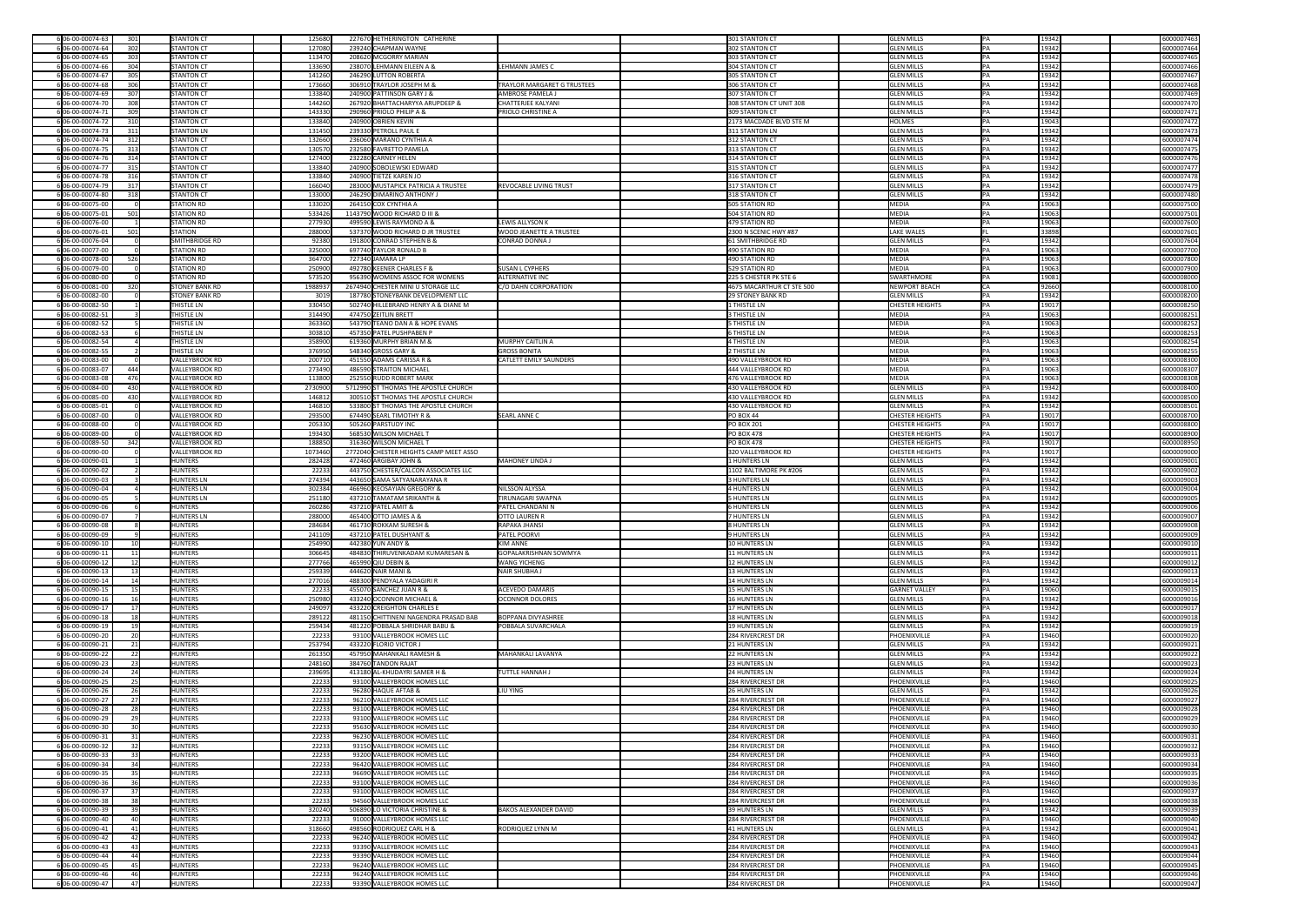| 6 06-00-00074-63                     | 301             | <b>STANTON CT</b>                | 125680           | 227670 HETHERINGTON CATHERINE                              |                                    | 301 STANTON CT                         | <b>GLEN MILLS</b>                      | IPA.            | 19342           | 6000007463               |
|--------------------------------------|-----------------|----------------------------------|------------------|------------------------------------------------------------|------------------------------------|----------------------------------------|----------------------------------------|-----------------|-----------------|--------------------------|
| 6 06-00-00074-64                     | 302             | <b>STANTON CT</b>                | 127080           | 239240 CHAPMAN WAYNE                                       |                                    | 302 STANTON CT                         | <b>GLEN MILLS</b>                      |                 | 19342           | 6000007464               |
| 6 06-00-00074-65                     | 303             | <b>STANTON CT</b>                | 113470           | 208620 MCGORRY MARIAN                                      |                                    | 303 STANTON CT                         | <b>GLEN MILLS</b>                      |                 | 19342           | 6000007465               |
| 6 06-00-00074-66                     | 304             | <b>STANTON CT</b>                | 133690           | 238070 LEHMANN EILEEN A &                                  | LEHMANN JAMES C                    | 304 STANTON CT                         | <b>GLEN MILLS</b>                      |                 | 19342           | 6000007466               |
|                                      |                 |                                  |                  |                                                            |                                    |                                        |                                        |                 |                 |                          |
| 606-00-00074-67                      | 305             | <b>STANTON CT</b>                | 141260           | 246290 LUTTON ROBERTA                                      |                                    | 305 STANTON CT                         | <b>GLEN MILLS</b>                      |                 | 19342           | 6000007467               |
| 6 06-00-00074-68                     | 306             | <b>STANTON CT</b>                | 173660           | 306910 TRAYLOR JOSEPH M &                                  | <b>TRAYLOR MARGARET G TRUSTEES</b> | 306 STANTON CT                         | <b>GLEN MILLS</b>                      |                 | 19342           | 6000007468               |
| 6 06-00-00074-69                     | 307             | <b>STANTON CT</b>                | 133840           | 240900 PATTINSON GARY J &                                  | <b>AMBROSE PAMELA J</b>            | 307 STANTON CT                         | <b>GLEN MILLS</b>                      |                 | 19342           | 6000007469               |
| 6 06-00-00074-70                     | 308             | <b>STANTON CT</b>                | 144260           | 267920 BHATTACHARYYA ARUPDEEP &                            | <b>CHATTERJEE KALYANI</b>          | 308 STANTON CT UNIT 308                | <b>GLEN MILLS</b>                      |                 | 19342           | 6000007470               |
| 606-00-00074-71                      | 309             | <b>STANTON CT</b>                | 143330           | 290960 PRIOLO PHILIP A &                                   | <b>PRIOLO CHRISTINE A</b>          | 309 STANTON CT                         | <b>GLEN MILLS</b>                      |                 | 19342           | 6000007471               |
| 6 06-00-00074-72                     | 310             | <b>STANTON CT</b>                | 133840           | 240900 OBRIEN KEVIN                                        |                                    | 2173 MACDADE BLVD STE M                | HOLMES                                 |                 | 19043           | 6000007472               |
| 6 06-00-00074-73                     | 311             | <b>STANTON LN</b>                | 131450           | 239330 PETROLL PAUL E                                      |                                    | 311 STANTON LN                         | <b>GLEN MILLS</b>                      |                 | 19342           | 6000007473               |
| 6 06-00-00074-74                     | 312             | <b>STANTON CT</b>                | 132660           | 236060 MARANO CYNTHIA A                                    |                                    | 312 STANTON CT                         | <b>GLEN MILLS</b>                      |                 | 19342           | 6000007474               |
| 6 06-00-00074-75                     | 313             | <b>STANTON CT</b>                | 130570           | 232580 FAVRETTO PAMELA                                     |                                    | 313 STANTON CT                         | <b>GLEN MILLS</b>                      |                 | 19342           | 6000007475               |
| 6 06-00-00074-76                     | 314             | <b>STANTON CT</b>                | 127400           | 232280 CARNEY HELEN                                        |                                    | 314 STANTON CT                         | <b>GLEN MILLS</b>                      |                 | 19342           | 6000007476               |
| 6 06-00-00074-77                     | 315             | <b>STANTON CT</b>                | 133840           | 240900 SOBOLEWSKI EDWARD                                   |                                    | 315 STANTON CT                         | <b>GLEN MILLS</b>                      |                 | 19342           | 6000007477               |
| 6 06-00-00074-78                     | 316             | <b>STANTON CT</b>                | 133840           | 240900 TIETZE KAREN JO                                     |                                    | 316 STANTON CT                         | <b>GLEN MILLS</b>                      |                 | 19342           | 6000007478               |
| 6 06-00-00074-79                     | 317             | <b>STANTON CT</b>                | 166040           | 283000 MUSTAPICK PATRICIA A TRUSTEE                        | <b>REVOCABLE LIVING TRUST</b>      | 317 STANTON CT                         | <b>GLEN MILLS</b>                      |                 | 19342           | 6000007479               |
| 6 06-00-00074-80                     | 318             | <b>STANTON CT</b>                | 133000           | 246290 DIMARINO ANTHONY J                                  |                                    | 318 STANTON CT                         | <b>GLEN MILLS</b>                      |                 | 19342           | 6000007480               |
| 6 06-00-00075-00                     |                 | <b>STATION RD</b>                | 133020           | 264150 COX CYNTHIA A                                       |                                    | 505 STATION RD                         | MEDIA                                  |                 | 19063           | 6000007500               |
| 6 06-00-00075-01                     | 501             | <b>STATION RD</b>                | 533426           | 1143790 WOOD RICHARD D III &                               |                                    | 504 STATION RD                         | MEDIA                                  |                 | 19063           | 6000007501               |
| 6 06-00-00076-00                     |                 | <b>STATION RD</b>                | 277930           | 499590 LEWIS RAYMOND A &                                   | <b>LEWIS ALLYSON K</b>             | 479 STATION RD                         | MEDIA                                  |                 | 19063           | 6000007600               |
|                                      |                 | STATION                          |                  | 537370 WOOD RICHARD D JR TRUSTEE                           | <b>WOOD JEANETTE A TRUSTEE</b>     |                                        |                                        |                 | 33898           |                          |
| 6 06-00-00076-01                     | 501             |                                  | 288000           |                                                            |                                    | 2300 N SCENIC HWY #87                  | LAKE WALES                             |                 |                 | 6000007601               |
| 6 06-00-00076-04                     |                 | SMITHBRIDGE RD                   | 92380            | 191800 CONRAD STEPHEN B &                                  | CONRAD DONNA J                     | 61 SMITHBRIDGE RD                      | <b>GLEN MILLS</b>                      |                 | 19342           | 6000007604               |
| 6 06-00-00077-00                     |                 | <b>STATION RD</b>                | 325000           | 697740 TAYLOR RONALD B                                     |                                    | 490 STATION RD                         | MEDIA                                  |                 | 19063           | 6000007700               |
| 6 06-00-00078-00                     | 526             | <b>STATION RD</b>                | 364700           | 727340 JAMARA LP                                           |                                    | 490 STATION RD                         | MEDIA                                  |                 | 19063           | 6000007800               |
| 6 06-00-00079-00                     |                 | <b>STATION RD</b>                | 250900           | 492780 KEENER CHARLES F &                                  | <b>SUSAN L CYPHERS</b>             | 529 STATION RD                         | MEDIA                                  |                 | 19063           | 6000007900               |
| 6 06-00-00080-00                     |                 | <b>STATION RD</b>                | 573520           | 956390 WOMENS ASSOC FOR WOMENS                             | <b>ALTERNATIVE INC</b>             | 225 S CHESTER PK STE 6                 | SWARTHMORE                             |                 | 19081           | 6000008000               |
| 6 06-00-00081-00                     | 320             | <b>STONEY BANK RD</b>            | 198893           | 2674940 CHESTER MINI U STORAGE LLC                         | C/O DAHN CORPORATION               | 4675 MACARTHUR CT STE 500              | NEWPORT BEACH                          |                 | 92660           | 6000008100               |
| 6 06-00-00082-00                     |                 | <b>STONEY BANK RD</b>            | 3019             | 187780 STONEYBANK DEVELOPMENT LLC                          |                                    | <b>29 STONEY BANK RD</b>               | <b>GLEN MILLS</b>                      |                 | 19342           | 6000008200               |
| 6 06-00-00082-50                     |                 | <b>THISTLE LN</b>                | 330450           | 502740 HILLEBRAND HENRY A & DIANE M                        |                                    | 1 THISTLE LN                           | <b>CHESTER HEIGHTS</b>                 |                 | 19017           | 6000008250               |
| 606-00-00082-51                      |                 | <b>THISTLE LN</b>                | 314490           | 474750 ZEITLIN BRETT                                       |                                    | 3 THISTLE LN                           | MEDIA                                  | PA              | 19063           | 6000008251               |
| 6 06-00-00082-52                     |                 | <b>THISTLE LN</b>                | 363360           | 543790 TEANO DAN A & HOPE EVANS                            |                                    | 5 THISTLE LN                           | MEDIA                                  |                 | 19063           | 6000008252               |
| 6 06-00-00082-53                     |                 | <b>THISTLE LN</b>                | 303810           | 457350 PATEL PUSHPABEN P                                   |                                    | 6 THISTLE LN                           | MEDIA                                  |                 | 19063           | 6000008253               |
| 6 06-00-00082-54                     |                 | <b>THISTLE LN</b>                | 358900           | 619360 MURPHY BRIAN M &                                    | MURPHY CAITLIN A                   | <b>4 THISTLE LN</b>                    | MEDIA                                  |                 | 19063           | 6000008254               |
| 6 06-00-00082-55                     |                 | <b>THISTLE LN</b>                | 376950           | 548340 GROSS GARY &                                        | <b>GROSS BONITA</b>                | 2 THISTLE LN                           | MEDIA                                  |                 | 19063           | 6000008255               |
| 6 06-00-00083-00                     |                 | VALLEYBROOK RD                   | 200710           | 451550 ADAMS CARISSA R &                                   | <b>CATLETT EMILY SAUNDERS</b>      | 490 VALLEYBROOK RD                     | MEDIA                                  |                 | 19063           | 6000008300               |
| 6 06-00-00083-07                     | 444             | VALLEYBROOK RD                   | 273490           | 486590 STRAITON MICHAEL                                    |                                    | 444 VALLEYBROOK RD                     | MEDIA                                  |                 | 19063           | 6000008307               |
| 6 06-00-00083-08                     | 476             | VALLEYBROOK RD                   | 113800           | 252550 RUDD ROBERT MARK                                    |                                    | 476 VALLEYBROOK RD                     | MEDIA                                  |                 | 19063           | 6000008308               |
| 6 06-00-00084-00                     | 430             | VALLEYBROOK RD                   | 2730900          | 5712990 ST THOMAS THE APOSTLE CHURCH                       |                                    | 430 VALLEYBROOK RD                     | <b>GLEN MILLS</b>                      |                 | 19342           | 6000008400               |
| 6 06-00-00085-00                     | 430             | VALLEYBROOK RD                   | 146812           | 300510 ST THOMAS THE APOSTLE CHURCH                        |                                    | 430 VALLEYBROOK RD                     | <b>GLEN MILLS</b>                      |                 | 19342           | 6000008500               |
| 6 06-00-00085-01                     |                 | VALLEYBROOK RD                   | 146810           | 533800 ST THOMAS THE APOSTLE CHURCH                        |                                    | 430 VALLEYBROOK RD                     | <b>GLEN MILLS</b>                      |                 | 19342           | 6000008501               |
| 6 06-00-00087-00                     |                 | VALLEYBROOK RD                   | 293500           | 674490 SEARL TIMOTHY R &                                   | SEARL ANNE C                       | $PO$ BOX 44                            | <b>CHESTER HEIGHTS</b>                 |                 | 19017           | 6000008700               |
|                                      |                 |                                  |                  |                                                            |                                    |                                        |                                        |                 |                 |                          |
| 6 06-00-00088-00                     |                 | VALLEYBROOK RD                   | 205330           | 505260 PARSTUDY INC                                        |                                    | <b>PO BOX 201</b>                      | <b>CHESTER HEIGHTS</b>                 |                 | 19017           | 6000008800               |
| 6 06-00-00089-00                     |                 | VALLEYBROOK RD                   | 193430           | 568530 WILSON MICHAEL T                                    |                                    | <b>PO BOX 478</b>                      | <b>CHESTER HEIGHTS</b>                 |                 | 19017           | 6000008900               |
| 6 06-00-00089-50                     | 342             | VALLEYBROOK RD                   | 188850           | 316360 WILSON MICHAEL T                                    |                                    | <b>PO BOX 478</b>                      | <b>CHESTER HEIGHTS</b>                 |                 | 19017           | 6000008950               |
| 6 06-00-00090-00                     |                 | VALLEYBROOK RD                   | 1073460          | 2772040 CHESTER HEIGHTS CAMP MEET ASSO                     |                                    | 320 VALLEYBROOK RD                     | <b>CHESTER HEIGHTS</b>                 |                 | 19017           | 6000009000               |
| 6 06-00-00090-01                     |                 | <b>HUNTERS</b>                   | 282428           | 472460 ARGIBAY JOHN &                                      | MAHONEY LINDA J                    | <b>1 HUNTERS LN</b>                    | <b>GLEN MILLS</b>                      |                 | 19342           | 6000009001               |
|                                      |                 |                                  |                  |                                                            |                                    |                                        |                                        |                 |                 |                          |
| 6 06-00-00090-02                     |                 | HUNTERS                          | 22233            | 443750 CHESTER/CALCON ASSOCIATES LLC                       |                                    | 1102 BALTIMORE PK #206                 | <b>GLEN MILLS</b>                      |                 | 19342           | 6000009002               |
| 6 06-00-00090-03                     |                 | HUNTERS LN                       | 274394           | 443650 SAMA SATYANARAYANA R                                |                                    | 3 HUNTERS LN                           | <b>GLEN MILLS</b>                      |                 | 19342           | 6000009003               |
| 6 06-00-00090-04                     |                 | HUNTERS LN                       | 302384           | 466960 KEOSAYIAN GREGORY &                                 | NILSSON ALYSSA                     | 4 HUNTERS LN                           | <b>GLEN MILLS</b>                      |                 | 19342           | 6000009004               |
| 6 06-00-00090-05                     |                 | HUNTERS LN                       | 251180           | 437210 TAMATAM SRIKANTH &                                  | <b>TIRUNAGARI SWAPNA</b>           | <b>5 HUNTERS LN</b>                    | <b>GLEN MILLS</b>                      |                 | 19342           | 6000009005               |
| 6 06-00-00090-06                     |                 | HUNTERS                          | 260286           | 437210 PATEL AMIT &                                        | <b>PATEL CHANDANI N</b>            | 6 HUNTERS LN                           | <b>GLEN MILLS</b>                      |                 | 19342           | 6000009006               |
| 6 06-00-00090-07                     |                 | <b>HUNTERS LN</b>                | 288000           | 465400 OTTO JAMES A &                                      | <b>OTTO LAUREN R</b>               | <b>7 HUNTERS LN</b>                    | <b>GLEN MILLS</b>                      |                 | 19342           | 6000009007               |
| 6 06-00-00090-08                     |                 | <b>HUNTERS</b>                   | 284684           | 461730 ROKKAM SURESH &                                     | RAPAKA JHANSI                      | 8 HUNTERS LN                           | <b>GLEN MILLS</b>                      |                 | 19342           | 6000009008               |
| 6 06-00-00090-09                     |                 | <b>HUNTERS</b>                   | 241109           | 437210 PATEL DUSHYANT &                                    | <b>PATEL POORVI</b>                | 9 HUNTERS LN                           | <b>GLEN MILLS</b>                      |                 | 19342           | 6000009009               |
| 6 06-00-00090-10                     |                 | <b>HUNTERS</b>                   | 254990           | 442380 YUN ANDY &                                          | KIM ANNE                           | <b>10 HUNTERS LN</b>                   | <b>GLEN MILLS</b>                      |                 | 19342           | 6000009010               |
| 6 06-00-00090-11                     | 11              | <b>HUNTERS</b>                   | 306645           | 484830 THIRUVENKADAM KUMARESAN &                           | GOPALAKRISHNAN SOWMYA              | 11 HUNTERS LN                          | <b>GLEN MILLS</b>                      |                 | 19342           | 6000009011               |
| 6 06-00-00090-12                     |                 | <b>HUNTERS</b>                   |                  | 465990 QIU DEBIN &                                         | <b>WANG YICHENG</b>                | 12 HUNTERS LN                          | <b>GLEN MILLS</b>                      |                 |                 |                          |
|                                      | 13              |                                  | 277766           | 444620 NAIR MANI &                                         |                                    |                                        |                                        |                 | 19342           | 6000009012               |
| 6 06-00-00090-13<br>6 06-00-00090-14 |                 | <b>HUNTERS</b><br><b>HUNTERS</b> | 259339<br>277016 | 488300 PENDYALA YADAGIRI R                                 | NAIR SHUBHA J                      | 13 HUNTERS LN<br>14 HUNTERS LN         | <b>GLEN MILLS</b><br><b>GLEN MILLS</b> |                 | 19342<br>19342  | 6000009013<br>6000009014 |
|                                      |                 | HUNTERS                          |                  |                                                            | <b>ACEVEDO DAMARIS</b>             |                                        | <b>GARNET VALLEY</b>                   |                 |                 |                          |
| 6 06-00-00090-15                     |                 |                                  | 22233            | 455070 SANCHEZ JUAN R &                                    |                                    | <b>15 HUNTERS LN</b>                   |                                        |                 | 19060           | 6000009015               |
| 606-00-00090-16                      | 17              | HUNTERS                          | 250980           | 433240 OCONNOR MICHAEL &                                   | <b>OCONNOR DOLORES</b>             | 16 HUNTERS LN                          | <b>GLEN MILLS</b>                      |                 | 19342           | 6000009016               |
| 6 06-00-00090-17                     |                 | <b>HUNTERS</b>                   | 249097           | 433220 CREIGHTON CHARLES E                                 |                                    | 17 HUNTERS LN                          | <b>GLEN MILLS</b>                      |                 | 19342           | 6000009017               |
| 6 06-00-00090-18                     | 18              | <b>HUNTERS</b>                   | 289122           | 481150 CHITTINENI NAGENDRA PRASAD BAB                      | <b>BOPPANA DIVYASHREE</b>          | 18 HUNTERS LN                          | <b>GLEN MILLS</b>                      |                 | 19342           | 6000009018               |
| 6 06-00-00090-19                     |                 | <b>HUNTERS</b>                   | 259434           | 481220 POBBALA SHRIDHAR BABU &                             | <b>POBBALA SUVARCHALA</b>          | 19 HUNTERS LN                          | <b>GLEN MILLS</b>                      |                 | 19342           | 6000009019               |
| 6 06-00-00090-20                     | 20 <sub>l</sub> | <b>HUNTERS</b>                   | 22233            | 93100 VALLEYBROOK HOMES LLC                                |                                    | 284 RIVERCREST DR                      | PHOENIXVILLE                           |                 | 19460           | 6000009020               |
| 6 06-00-00090-21                     | 21              | <b>HUNTERS</b>                   | 253794           | 433220 FLORIO VICTOR J                                     |                                    | 21 HUNTERS LN                          | <b>GLEN MILLS</b>                      |                 | 19342           | 6000009021               |
| 6 06-00-00090-22                     | 22              | <b>HUNTERS</b>                   | 261350           | 457950 MAHANKALI RAMESH &                                  | MAHANKALI LAVANYA                  | 22 HUNTERS LN                          | <b>GLEN MILLS</b>                      |                 | 19342           | 6000009022               |
| 6 06-00-00090-23                     | 23              | <b>HUNTERS</b>                   | 248160           | 384760 TANDON RAJAT                                        |                                    | 23 HUNTERS LN                          | <b>GLEN MILLS</b>                      |                 | 19342           | 6000009023               |
| 6 06-00-00090-24                     | 24              | <b>HUNTERS</b>                   | 239695           | 413180 AL-KHUDAYRI SAMER H &                               | <b>TUTTLE HANNAH J</b>             | 24 HUNTERS LN                          | <b>GLEN MILLS</b>                      |                 | 19342           | 6000009024               |
| 6 06-00-00090-25                     | 25              | <b>HUNTERS</b>                   | 22233            | 93100 VALLEYBROOK HOMES LLC                                |                                    | 284 RIVERCREST DR                      | PHOENIXVILLE                           |                 | 19460           | 6000009025               |
| 6 06-00-00090-26                     |                 | <b>HUNTERS</b>                   | 22233            | 96280 HAQUE AFTAB &                                        | <b>LIU YING</b>                    | 26 HUNTERS LN                          | <b>GLEN MILLS</b>                      |                 | 19342           | 6000009026               |
| 6 06-00-00090-27                     |                 | <b>HUNTERS</b>                   | 22233            | 96210 VALLEYBROOK HOMES LLC                                |                                    | <b>284 RIVERCREST DR</b>               | PHOENIXVILLE                           |                 | 19460           | 6000009027               |
| 6 06-00-00090-28                     | 28              | <b>HUNTERS</b>                   | 22233            | 93100 VALLEYBROOK HOMES LLC                                |                                    | 284 RIVERCREST DR                      | PHOENIXVILLE                           |                 | 19460           | 6000009028               |
| 6 06-00-00090-29                     |                 | <b>HUNTERS</b>                   | 22233            | 93100 VALLEYBROOK HOMES LLC                                |                                    | 284 RIVERCREST DR                      | PHOENIXVILLE                           |                 | 19460           | 6000009029               |
| 6 06-00-00090-30                     | 30 <sup>1</sup> | <b>HUNTERS</b>                   | 22233            | 95630 VALLEYBROOK HOMES LLC                                |                                    | 284 RIVERCREST DR                      | PHOENIXVILLE                           |                 | 19460           | 6000009030               |
| 6 06-00-00090-31                     |                 | <b>HUNTERS</b>                   | 22233            | 96230 VALLEYBROOK HOMES LLC                                |                                    | 284 RIVERCREST DR                      | PHOENIXVILLE                           |                 | 19460           | 6000009031               |
| 6 06-00-00090-32                     | 32              | <b>HUNTERS</b>                   | 22233            | 93150 VALLEYBROOK HOMES LLC                                |                                    | 284 RIVERCREST DR                      | PHOENIXVILLE                           |                 | 19460           | 6000009032               |
| 6 06-00-00090-33                     | 33 <sup>1</sup> | HUNTERS                          | 22233            | 93200 VALLEYBROOK HOMES LLC                                |                                    | 284 RIVERCREST DR                      | PHOENIXVILLE                           |                 | 19460           | 6000009033               |
| 6 06-00-00090-34                     | 34              | HUNTERS                          | 22233            | 96420 VALLEYBROOK HOMES LLC                                |                                    | 284 RIVERCREST DR                      | PHOENIXVILLE                           |                 | 19460           | 6000009034               |
| 6 06-00-00090-35                     | 35              | <b>HUNTERS</b>                   | 22233            | 96690 VALLEYBROOK HOMES LLC                                |                                    | 284 RIVERCREST DR                      | PHOENIXVILLE                           |                 | 19460           | 6000009035               |
| 6 06-00-00090-36                     | 36              | <b>HUNTERS</b>                   | 22233            | 93100 VALLEYBROOK HOMES LLC                                |                                    | 284 RIVERCREST DR                      | PHOENIXVILLE                           |                 | 19460           | 6000009036               |
| 6 06-00-00090-37                     | 37              | <b>HUNTERS</b>                   | 22233            | 93100 VALLEYBROOK HOMES LLC                                |                                    | 284 RIVERCREST DR                      | PHOENIXVILLE                           |                 | 19460           | 6000009037               |
| 6 06-00-00090-38                     |                 | <b>HUNTERS</b>                   | 22233            | 94560 VALLEYBROOK HOMES LLC                                |                                    | 284 RIVERCREST DR                      | PHOENIXVILLE                           |                 | 19460           | 6000009038               |
| 6 06-00-00090-39                     | 39              | <b>HUNTERS</b>                   | 320240           | 506890 LO VICTORIA CHRISTINE &                             | <b>BAKOS ALEXANDER DAVID</b>       | 39 HUNTERS LN                          | <b>GLEN MILLS</b>                      |                 | 19342           | 6000009039               |
| 6 06-00-00090-40                     | 40              | <b>HUNTERS</b>                   | 22233            | 91000 VALLEYBROOK HOMES LLC                                |                                    | 284 RIVERCREST DR                      | PHOENIXVILLE                           |                 | 19460           | 6000009040               |
| 6 06-00-00090-41                     |                 | <b>HUNTERS</b>                   | 318660           | 498560 RODRIQUEZ CARL H &                                  | <b>RODRIQUEZ LYNN M</b>            | 41 HUNTERS LN                          | <b>GLEN MILLS</b>                      |                 | 19342           | 6000009041               |
| 6 06-00-00090-42                     | 42              | <b>HUNTERS</b>                   |                  | 96240 VALLEYBROOK HOMES LLC                                |                                    | 284 RIVERCREST DR                      | PHOENIXVILLE                           |                 | 19460           |                          |
|                                      | 43              |                                  | 22233            |                                                            |                                    |                                        |                                        |                 |                 | 6000009042               |
| 6 06-00-00090-43                     |                 | <b>HUNTERS</b>                   | 22233            | 93390 VALLEYBROOK HOMES LLC                                |                                    | 284 RIVERCREST DR                      | PHOENIXVILLE                           |                 | 19460           | 6000009043               |
| 6 06-00-00090-44                     |                 | <b>HUNTERS</b>                   | 22233            | 93390 VALLEYBROOK HOMES LLC                                |                                    | 284 RIVERCREST DR                      | PHOENIXVILLE                           |                 | 19460           | 6000009044               |
| 6 06-00-00090-45                     |                 | <b>HUNTERS</b>                   | 22233            | 96240 VALLEYBROOK HOMES LLC                                |                                    | 284 RIVERCREST DR                      | PHOENIXVILLE                           |                 | 19460           | 6000009045               |
| 6 06-00-00090-46<br>606-00-00090-47  | 47              | HUNTERS<br>HUNTERS               | 22233<br>22233   | 96240 VALLEYBROOK HOMES LLC<br>93390 VALLEYBROOK HOMES LLC |                                    | 284 RIVERCREST DR<br>284 RIVERCREST DR | PHOENIXVILLE<br>PHOENIXVILLE           | $\overline{PA}$ | 19460<br> 19460 | 6000009046<br>6000009047 |

| 6000007463 |
|------------|
| 6000007464 |
| 6000007465 |
|            |
| 6000007466 |
| 6000007467 |
| 6000007468 |
| 6000007469 |
| 6000007470 |
| 6000007471 |
| 6000007472 |
|            |
| 6000007473 |
| 6000007474 |
| 6000007475 |
| 6000007476 |
| 6000007477 |
| 6000007478 |
| 6000007479 |
|            |
| 6000007480 |
| 6000007500 |
| 6000007501 |
| 6000007600 |
| 6000007601 |
| 6000007604 |
| 6000007700 |
|            |
| 6000007800 |
| 6000007900 |
| 6000008000 |
| 6000008100 |
| 6000008200 |
| 6000008250 |
| 6000008251 |
| 6000008252 |
|            |
| 6000008253 |
| 6000008254 |
| 6000008255 |
| 6000008300 |
| 6000008307 |
| 6000008308 |
| 6000008400 |
| 6000008500 |
| 6000008501 |
| 6000008700 |
|            |
| 6000008800 |
| 6000008900 |
| 6000008950 |
| 6000009000 |
|            |
| 6000009001 |
|            |
| 6000009002 |
| 6000009003 |
| 6000009004 |
| 6000009005 |
| 6000009006 |
| 6000009007 |
| 6000009008 |
| 6000009009 |
| 6000009010 |
| 6000009011 |
| 6000009012 |
| 6000009013 |
| 6000009014 |
|            |
| 6000009015 |
| 6000009016 |
| 6000009017 |
| 6000009018 |
| 6000009019 |
| 6000009020 |
| 6000009021 |
| 6000009022 |
| 6000009023 |
| 6000009024 |
| 6000009025 |
| 6000009026 |
|            |
| 6000009027 |
| 6000009028 |
| 6000009029 |
| 6000009030 |
| 6000009031 |
| 6000009032 |
| 6000009033 |
| 6000009034 |
| 6000009035 |
| 6000009036 |
| 6000009037 |
| 6000009038 |
| 6000009039 |
|            |
| 6000009040 |
| 6000009041 |
| 6000009042 |
| 6000009043 |
| 6000009044 |
| 6000009045 |
| 6000009046 |
| 6000009047 |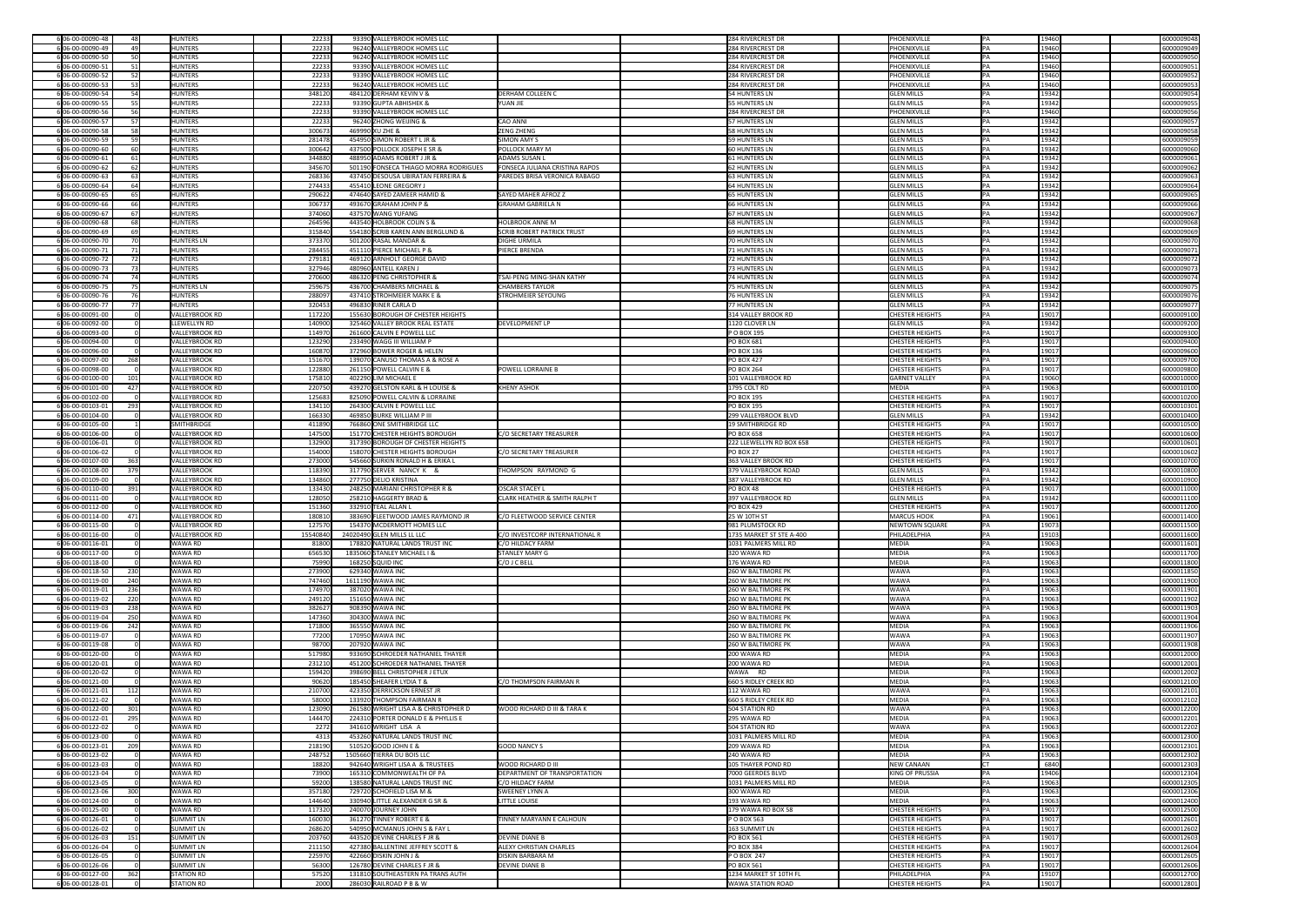| 6 06-00-00090-48 | 481             | <b>HUNTERS</b>    |                                              | 22233  | 93390 VALLEYBROOK HOMES LLC           |                                          | 284 RIVERCREST DR        |             | PHOENIXVILLE           | IPA.       | 19460 | 6000009048               |
|------------------|-----------------|-------------------|----------------------------------------------|--------|---------------------------------------|------------------------------------------|--------------------------|-------------|------------------------|------------|-------|--------------------------|
| 6 06-00-00090-49 | 49              | HUNTERS           |                                              | 22233  | 96240 VALLEYBROOK HOMES LLC           |                                          | 284 RIVERCREST DR        |             | PHOENIXVILLE           | <b>IPA</b> | 19460 | 6000009049               |
| 6 06-00-00090-50 |                 | <b>HUNTERS</b>    |                                              | 22233  | 96240 VALLEYBROOK HOMES LLC           |                                          | 284 RIVERCREST DR        |             | PHOENIXVILLE           |            | 19460 |                          |
|                  | 50              |                   |                                              |        |                                       |                                          |                          |             |                        |            |       | 6000009050               |
| 6 06-00-00090-51 |                 | <b>HUNTERS</b>    |                                              | 22233  | 93390 VALLEYBROOK HOMES LLC           |                                          | 284 RIVERCREST DR        |             | PHOENIXVILLE           |            | 19460 | 6000009051               |
| 6 06-00-00090-52 | 52              | <b>HUNTERS</b>    |                                              | 22233  | 93390 VALLEYBROOK HOMES LLC           |                                          | 284 RIVERCREST DR        |             | PHOENIXVILLE           |            | 19460 | 6000009052               |
| 6 06-00-00090-53 | 53 <sup>1</sup> | <b>HUNTERS</b>    |                                              | 22233  | 96240 VALLEYBROOK HOMES LLC           |                                          | 284 RIVERCREST DR        |             | PHOENIXVILLE           |            | 19460 | 6000009053               |
| 6 06-00-00090-54 |                 | HUNTERS           | 348120                                       |        | 484120 DERHAM KEVIN V &               | <b>DERHAM COLLEEN C</b>                  | 54 HUNTERS LN            |             | <b>GLEN MILLS</b>      |            | 19342 | 6000009054               |
|                  |                 |                   |                                              |        |                                       |                                          |                          |             |                        |            |       |                          |
| 6 06-00-00090-55 | 55              | <b>HUNTERS</b>    |                                              | 22233  | 93390 GUPTA ABHISHEK &                | YUAN JIE                                 | 55 HUNTERS LN            |             | <b>GLEN MILLS</b>      |            | 19342 | 6000009055               |
| 6 06-00-00090-56 | 56              | <b>HUNTERS</b>    |                                              | 22233  | 93390 VALLEYBROOK HOMES LLC           |                                          | 284 RIVERCREST DR        |             | PHOENIXVILLE           |            | 19460 | 6000009056               |
| 6 06-00-00090-57 | 57              | <b>HUNTERS</b>    |                                              | 22233  | 96240 ZHONG WEIJING &                 | <b>CAO ANNI</b>                          | 57 HUNTERS LN            |             | <b>GLEN MILLS</b>      |            | 19342 | 6000009057               |
| 6 06-00-00090-58 |                 | <b>HUNTERS</b>    | 300673                                       |        | 469990 XU ZHE &                       | <b>ZENG ZHENG</b>                        | 58 HUNTERS LN            |             | <b>GLEN MILLS</b>      |            | 19342 | 6000009058               |
|                  |                 |                   |                                              |        |                                       |                                          |                          |             |                        |            |       |                          |
| 6 06-00-00090-59 |                 | HUNTERS           | 281478                                       |        | 454950 SIMON ROBERT L JR &            | SIMON AMY S                              | 59 HUNTERS LN            |             | <b>GLEN MILLS</b>      |            | 19342 | 6000009059               |
| 6 06-00-00090-60 |                 | HUNTERS           | 300642                                       |        | 437500 POLLOCK JOSEPH E SR &          | POLLOCK MARY M                           | 60 HUNTERS LN            |             | <b>GLEN MILLS</b>      |            | 19342 | 6000009060               |
| 6 06-00-00090-61 | 61              | HUNTERS           | 344880                                       |        | 488950 ADAMS ROBERT J JR &            | <b>ADAMS SUSAN L</b>                     | 61 HUNTERS LN            |             | <b>GLEN MILLS</b>      |            | 19342 | 6000009061               |
| 6 06-00-00090-62 | 62              | <b>HUNTERS</b>    | 345670                                       |        | 501190 FONSECA THIAGO MORRA RODRIGUES | <b>FONSECA JULIANA CRISTINA RAPOS</b>    | 62 HUNTERS LN            |             | <b>GLEN MILLS</b>      |            | 19342 | 6000009062               |
|                  |                 |                   |                                              |        |                                       |                                          |                          |             |                        |            |       |                          |
| 6 06-00-00090-63 | 63              | <b>HUNTERS</b>    | 268336                                       |        | 437450 DESOUSA UBIRATAN FERREIRA &    | <b>PAREDES BRISA VERONICA RABAGO</b>     | 63 HUNTERS LN            |             | <b>GLEN MILLS</b>      | IPA        | 19342 | 6000009063               |
| 6 06-00-00090-64 | 64              | <b>HUNTERS</b>    | 274433                                       |        | 455410 LEONE GREGORY J                |                                          | 64 HUNTERS LN            |             | <b>GLEN MILLS</b>      |            | 19342 | 6000009064               |
| 6 06-00-00090-65 |                 | <b>HUNTERS</b>    | 290622                                       |        | 474640 SAYED ZAMEER HAMID &           | SAYED MAHER AFROZ Z                      | 65 HUNTERS LN            |             | <b>GLEN MILLS</b>      |            | 19342 | 6000009065               |
| 6 06-00-00090-66 |                 | HUNTERS           | 306737                                       |        | 493670 GRAHAM JOHN P &                | <b>GRAHAM GABRIELA N</b>                 | 66 HUNTERS LN            |             | <b>GLEN MILLS</b>      |            | 19342 | 6000009066               |
|                  |                 |                   |                                              |        |                                       |                                          |                          |             |                        |            |       |                          |
| 6 06-00-00090-67 |                 | <b>HUNTERS</b>    | 374060                                       |        | 437570 WANG YUFANG                    |                                          | 67 HUNTERS LN            |             | <b>GLEN MILLS</b>      |            | 19342 | 6000009067               |
| 6 06-00-00090-68 |                 | <b>HUNTERS</b>    | 264596                                       |        | 443540 HOLBROOK COLIN S &             | <b>HOLBROOK ANNE M</b>                   | 68 HUNTERS LN            |             | <b>GLEN MILLS</b>      |            | 19342 | 6000009068               |
| 6 06-00-00090-69 |                 | <b>HUNTERS</b>    | 315840                                       |        | 554180 SCRIB KAREN ANN BERGLUND &     | <b>SCRIB ROBERT PATRICK TRUST</b>        | 69 HUNTERS LN            |             | <b>GLEN MILLS</b>      |            | 19342 | 6000009069               |
| 6 06-00-00090-70 |                 | HUNTERS LN        | 373370                                       |        | 501200 RASAL MANDAR &                 | <b>DIGHE URMILA</b>                      | 70 HUNTERS LN            |             | <b>GLEN MILLS</b>      |            | 19342 | 6000009070               |
| 6 06-00-00090-71 | 71              | <b>HUNTERS</b>    | 284455                                       |        | 451110 PIERCE MICHAEL P &             | <b>PIERCE BRENDA</b>                     | 71 HUNTERS LN            |             | <b>GLEN MILLS</b>      |            | 19342 | 6000009071               |
|                  |                 |                   |                                              |        |                                       |                                          |                          |             |                        |            |       |                          |
| 6 06-00-00090-72 | 72              | <b>HUNTERS</b>    | 279181                                       |        | 469120 ARNHOLT GEORGE DAVID           |                                          | 72 HUNTERS LN            |             | <b>GLEN MILLS</b>      |            | 19342 | 6000009072               |
| 6 06-00-00090-73 | 73              | <b>HUNTERS</b>    | 327946                                       |        | 480960 ANTELL KAREN J                 |                                          | 73 HUNTERS LN            |             | <b>GLEN MILLS</b>      |            | 19342 | 6000009073               |
| 6 06-00-00090-74 | 74              | <b>HUNTERS</b>    | 270600                                       |        | 486320 PENG CHRISTOPHER &             | <b>TSAI-PENG MING-SHAN KATHY</b>         | 74 HUNTERS LN            |             | <b>GLEN MILLS</b>      |            | 19342 | 6000009074               |
| 6 06-00-00090-75 | 75              | HUNTERS LN        | 259675                                       |        | 436700 CHAMBERS MICHAEL &             | <b>CHAMBERS TAYLOR</b>                   | 75 HUNTERS LN            |             | <b>GLEN MILLS</b>      |            | 19342 | 6000009075               |
| 6 06-00-00090-76 | 76              | <b>HUNTERS</b>    | 288097                                       |        | 437410 STROHMEIER MARK E &            | <b>STROHMEIER SEYOUNG</b>                | 76 HUNTERS LN            |             | <b>GLEN MILLS</b>      |            | 19342 | 6000009076               |
|                  |                 |                   |                                              |        |                                       |                                          |                          |             |                        |            |       |                          |
| 6 06-00-00090-77 |                 | <b>HUNTERS</b>    | 320453                                       |        | 496830 RINER CARLA D                  |                                          | 77 HUNTERS LN            |             | <b>GLEN MILLS</b>      |            | 19342 | 6000009077               |
| 606-00-00091-00  |                 | VALLEYBROOK RD    | 117220                                       |        | 155630 BOROUGH OF CHESTER HEIGHTS     |                                          | 314 VALLEY BROOK RD      |             | <b>CHESTER HEIGHTS</b> |            | 19017 | 6000009100               |
| 6 06-00-00092-00 |                 | LLEWELLYN RD      | 140900                                       |        | 325460 VALLEY BROOK REAL ESTATE       | <b>DEVELOPMENT LP</b>                    | 1120 CLOVER LN           |             | <b>GLEN MILLS</b>      |            | 19342 | 6000009200               |
| 6 06-00-00093-00 |                 | VALLEYBROOK RD    | 114970                                       |        | 261600 CALVIN E POWELL LLC            |                                          | $ P$ O BOX 195           |             | <b>CHESTER HEIGHTS</b> |            | 19017 | 6000009300               |
|                  |                 |                   |                                              |        |                                       |                                          |                          |             |                        |            |       |                          |
| 6 06-00-00094-00 |                 | VALLEYBROOK RD    | 123290                                       |        | 233490 WAGG III WILLIAM P             |                                          | <b>PO BOX 681</b>        |             | <b>CHESTER HEIGHTS</b> |            | 19017 | 6000009400               |
| 6 06-00-00096-00 |                 | VALLEYBROOK RD    | 160870                                       |        | 372960 BOWER ROGER & HELEN            |                                          | <b>PO BOX 136</b>        |             | <b>CHESTER HEIGHTS</b> |            | 19017 | 6000009600               |
| 6 06-00-00097-00 | 268             | VALLEYBROOK       | 151670                                       |        | 139070 CANUSO THOMAS A & ROSE A       |                                          | <b>PO BOX 427</b>        |             | <b>CHESTER HEIGHTS</b> |            | 19017 | 6000009700               |
| 6 06-00-00098-00 |                 | VALLEYBROOK RD    | 122880                                       |        | 261150 POWELL CALVIN E &              | <b>POWELL LORRAINE B</b>                 | <b>PO BOX 264</b>        |             | <b>CHESTER HEIGHTS</b> |            | 19017 | 6000009800               |
| 6 06-00-00100-00 | 101             | VALLEYBROOK RD    | 175810                                       |        | 402290 LIM MICHAEL E                  |                                          | 101 VALLEYBROOK RD       |             | <b>GARNET VALLEY</b>   |            | 19060 | 6000010000               |
| 6 06-00-00101-00 | 427             | VALLEYBROOK RD    | 220750                                       |        | 439270 GELSTON KARL & H LOUISE &      | <b>KHENY ASHOK</b>                       | 1795 COLT RD             | MEDIA       |                        |            | 19063 | 6000010100               |
| 6 06-00-00102-00 |                 | VALLEYBROOK RD    | 125683                                       |        | 825090 POWELL CALVIN & LORRAINE       |                                          | <b>PO BOX 195</b>        |             | <b>CHESTER HEIGHTS</b> |            | 19017 | 6000010200               |
|                  |                 |                   |                                              |        |                                       |                                          | <b>PO BOX 195</b>        |             | <b>CHESTER HEIGHTS</b> |            | 19017 |                          |
| 6 06-00-00103-01 | 293             | VALLEYBROOK RD    | 134110                                       |        | 264300 CALVIN E POWELL LLC            |                                          |                          |             |                        |            |       | 6000010301               |
| 6 06-00-00104-00 |                 | VALLEYBROOK RD    | 166330                                       |        | 469850 BURKE WILLIAM P III            |                                          | 299 VALLEYBROOK BLVD     |             | <b>GLEN MILLS</b>      |            | 19342 | 6000010400               |
| 6 06-00-00105-00 |                 | SMITHBRIDGE       | 411890                                       |        | 766860 ONE SMITHBRIDGE LLC            |                                          | 19 SMITHBRIDGE RD        |             | <b>CHESTER HEIGHTS</b> |            | 19017 | 6000010500               |
| 6 06-00-00106-00 |                 | VALLEYBROOK RD    | 147500                                       |        | 151770 CHESTER HEIGHTS BOROUGH        | C/O SECRETARY TREASURER                  | <b>PO BOX 658</b>        |             | <b>CHESTER HEIGHTS</b> |            | 19017 | 6000010600               |
| 6 06-00-00106-01 |                 | VALLEYBROOK RD    | 132900                                       |        | 317390 BOROUGH OF CHESTER HEIGHTS     |                                          | 222 LLEWELLYN RD BOX 658 |             | <b>CHESTER HEIGHTS</b> |            | 19017 | 6000010601               |
| 6 06-00-00106-02 |                 | VALLEYBROOK RD    | 154000                                       |        | 158070 CHESTER HEIGHTS BOROUGH        | <b>C/O SECRETARY TREASURER</b>           | $PO$ BOX 27              |             | <b>CHESTER HEIGHTS</b> |            | 19017 | 6000010602               |
|                  |                 |                   |                                              |        |                                       |                                          |                          |             |                        |            |       |                          |
| 6 06-00-00107-00 | 363             | VALLEYBROOK RD    | 273000                                       |        | 545660 SURKIN RONALD H & ERIKA L      |                                          | 363 VALLEY BROOK RD      |             | <b>CHESTER HEIGHTS</b> |            | 19017 | 6000010700               |
|                  |                 |                   |                                              |        |                                       |                                          |                          |             |                        |            |       |                          |
| 6 06-00-00108-00 | 379             | VALLEYBROOK       | 118390                                       |        | 317790 SERVER NANCY K &               | THOMPSON RAYMOND G                       | 379 VALLEYBROOK ROAD     |             | <b>GLEN MILLS</b>      |            | 19342 | 6000010800               |
| 6 06-00-00109-00 |                 | VALLEYBROOK RD    | 134860                                       |        | 277750 DELIO KRISTINA                 |                                          | 387 VALLEYBROOK RD       |             | <b>GLEN MILLS</b>      |            | 19342 | 6000010900               |
| 6 06-00-00110-00 | 391             | VALLEYBROOK RD    | 133430                                       |        | 248250 MARIANI CHRISTOPHER R &        | <b>OSCAR STACEY L</b>                    | $PO$ BOX 48              |             | <b>CHESTER HEIGHTS</b> |            | 19017 | 6000011000               |
|                  |                 | VALLEYBROOK RD    |                                              |        | 258210 HAGGERTY BRAD &                | <b>CLARK HEATHER &amp; SMITH RALPH T</b> | 397 VALLEYBROOK RD       |             | <b>GLEN MILLS</b>      |            |       |                          |
| 6 06-00-00111-00 |                 |                   | 128050                                       |        |                                       |                                          |                          |             |                        |            | 19342 | 6000011100               |
| 6 06-00-00112-00 |                 | VALLEYBROOK RD    | 151360                                       |        | 332910 TEAL ALLAN L                   |                                          | <b>PO BOX 429</b>        |             | <b>CHESTER HEIGHTS</b> |            | 19017 | 6000011200               |
| 6 06-00-00114-00 | 471             | VALLEYBROOK RD    | 180810                                       |        | 383690 FLEETWOOD JAMES RAYMOND JR     | C/O FLEETWOOD SERVICE CENTER             | 25 W 10TH ST             |             | MARCUS HOOK            |            | 19061 | 6000011400               |
| 6 06-00-00115-00 |                 | VALLEYBROOK RD    | 127570                                       |        | 154370 MCDERMOTT HOMES LLC            |                                          | 981 PLUMSTOCK RD         |             | NEWTOWN SQUARE         |            | 19073 | 6000011500               |
| 6 06-00-00116-00 |                 | VALLEYBROOK RD    | 15540840                                     |        | 24020490 GLEN MILLS LL LLC            | C/O INVESTCORP INTERNATIONAL R           | 1735 MARKET ST STE A-400 |             | PHILADELPHIA           |            | 19103 | 6000011600               |
| 6 06-00-00116-01 |                 | WAWA RD           | 81800                                        |        | 178820 NATURAL LANDS TRUST INC        | C/O HILDACY FARM                         | 1031 PALMERS MILL RD     | MEDIA       |                        |            | 19063 | 6000011601               |
| 6 06-00-00117-00 |                 | WAWA RD           | 656530                                       |        | 1835060 STANLEY MICHAEL I &           | <b>STANLEY MARY G</b>                    | 320 WAWA RD              | MEDIA       |                        |            | 19063 | 6000011700               |
|                  |                 | WAWA RD           |                                              | 75990  |                                       |                                          | 176 WAWA RD              | MEDIA       |                        |            | 19063 |                          |
| 6 06-00-00118-00 |                 |                   |                                              |        | 168250 SQUID INC                      | $C/O$ J C BELL                           |                          |             |                        |            |       | 6000011800               |
| 6 06-00-00118-50 | 230             | WAWA RD           | 273900                                       |        | 629340 WAWA INC                       |                                          | 260 W BALTIMORE PK       | <b>WAWA</b> |                        |            | 19063 | 6000011850               |
| 6 06-00-00119-00 | 240             | <b>WAWA RD</b>    | 747460                                       |        | 1611190 WAWA INC                      |                                          | 260 W BALTIMORE PK       | <b>WAWA</b> |                        |            | 19063 | 6000011900               |
| 6 06-00-00119-01 | 236             | WAWA RD           | 174970                                       |        | 387020 WAWA INC                       |                                          | 260 W BALTIMORE PK       | WAWA        |                        |            | 19063 | 6000011901               |
| 606-00-00119-02  | 220             | WAWA RD           |                                              | 249120 | 151650 WAWA INC                       |                                          | 260 W BALTIMORE PK       | <b>WAWA</b> |                        |            | 19063 | 6000011902               |
| 6 06-00-00119-03 | 238             | WAWA RD           | 382627                                       |        | 908390 WAWA INC                       |                                          | 260 W BALTIMORE PK       | <b>WAWA</b> |                        |            | 19063 | 6000011903               |
|                  |                 | WAWA RD           |                                              |        | 304300 WAWA INC                       |                                          | 260 W BALTIMORE PK       | <b>WAWA</b> |                        |            |       |                          |
| 6 06-00-00119-04 | 250             |                   | 147360                                       |        |                                       |                                          |                          |             |                        |            | 19063 | 6000011904               |
| 6 06-00-00119-06 | 242             | WAWA RD           | 171800                                       |        | 365550 WAWA INC                       |                                          | 260 W BALTIMORE PK       | MEDIA       |                        |            | 19063 | 6000011906               |
| 6 06-00-00119-07 |                 | WAWA RD           |                                              | 77200  | 170950 WAWA INC                       |                                          | 260 W BALTIMORE PK       | <b>WAWA</b> |                        |            | 19063 | 6000011907               |
| 6 06-00-00119-08 |                 | <b>WAWA RD</b>    |                                              | 98700  | 207920 WAWA INC                       |                                          | 260 W BALTIMORE PK       | <b>WAWA</b> |                        |            | 19063 | 6000011908               |
| 6 06-00-00120-00 |                 | WAWA RD           | 517980                                       |        | 933690 SCHROEDER NATHANIEL THAYER     |                                          | 200 WAWA RD              | MEDIA       |                        |            | 19063 | 6000012000               |
| 6 06-00-00120-01 |                 | WAWA RD           | 231210                                       |        | 451200 SCHROEDER NATHANIEL THAYER     |                                          | 200 WAWA RD              | MEDIA       |                        |            | 19063 | 6000012001               |
| 6 06-00-00120-02 |                 | WAWA RD           | 159420                                       |        | 398690 BELL CHRISTOPHER J ETUX        |                                          | WAWA RD                  | MEDIA       |                        |            | 19063 | 6000012002               |
|                  |                 | WAWA RD           |                                              |        | 185450 SHEAFER LYDIA T &              | <b>C/O THOMPSON FAIRMAN R</b>            |                          |             |                        |            |       |                          |
| 6 06-00-00121-00 |                 |                   |                                              | 90620  |                                       |                                          | 660 S RIDLEY CREEK RD    | MEDIA       |                        |            | 19063 | 6000012100               |
| 6 06-00-00121-01 | 112             | WAWA RD           | 210700                                       |        | 423350 DERRICKSON ERNEST JR           |                                          | 112 WAWA RD              | <b>WAWA</b> |                        |            | 19063 | 6000012101               |
| 6 06-00-00121-02 |                 | WAWA RD           |                                              | 58000  | 133920 THOMPSON FAIRMAN R             |                                          | 660 S RIDLEY CREEK RD    | MEDIA       |                        |            | 19063 | 6000012102               |
| 6 06-00-00122-00 | 301             | WAWA RD           | 123090                                       |        | 261580 WRIGHT LISA A & CHRISTOPHER D  | <b>WOOD RICHARD D III &amp; TARA K</b>   | 504 STATION RD           | <b>WAWA</b> |                        |            | 19063 | 6000012200               |
| 6 06-00-00122-01 | 295             | WAWA RD           | 144470                                       |        | 224310 PORTER DONALD E & PHYLLIS E    |                                          | 295 WAWA RD              | MEDIA       |                        |            | 19063 | 6000012201               |
| 6 06-00-00122-02 |                 | WAWA RD           |                                              | 2272   | 341610 WRIGHT LISA A                  |                                          | 504 STATION RD           | <b>WAWA</b> |                        |            | 19063 | 6000012202               |
| 6 06-00-00123-00 |                 | WAWA RD           |                                              | 4313   | 453260 NATURAL LANDS TRUST INC        |                                          | 1031 PALMERS MILL RD     | MEDIA       |                        |            | 19063 | 6000012300               |
|                  |                 | <b>WAWA RD</b>    |                                              |        |                                       |                                          |                          |             |                        |            |       |                          |
| 6 06-00-00123-01 | 209             |                   | 218190                                       |        | 510520 GOOD JOHN E &                  | <b>GOOD NANCY S</b>                      | 209 WAWA RD              | MEDIA       |                        |            | 19063 | 6000012301               |
| 6 06-00-00123-02 |                 | WAWA RD           | 248752                                       |        | 1505660 TIERRA DU BOIS LLC            |                                          | 240 WAWA RD              | MEDIA       |                        |            | 19063 | 6000012302               |
| 6 06-00-00123-03 |                 | WAWA RD           |                                              | 18820  | 942640 WRIGHT LISA A & TRUSTEES       | <b>WOOD RICHARD D III</b>                | 105 THAYER POND RD       |             | <b>NEW CANAAN</b>      |            | 6840  | 6000012303               |
| 6 06-00-00123-04 |                 | <b>WAWA RD</b>    |                                              | 73900  | 165310 COMMONWEALTH OF PA             | DEPARTMENT OF TRANSPORTATION             | 7000 GEERDES BLVD        |             | KING OF PRUSSIA        |            | 19406 | 6000012304               |
| 6 06-00-00123-05 |                 | WAWA RD           | 59200                                        |        | 138580 NATURAL LANDS TRUST INC        | C/O HILDACY FARM                         | 1031 PALMERS MILL RD     | MEDIA       |                        |            | 19063 | 6000012305               |
| 6 06-00-00123-06 | 300             | WAWA RD           | 357180                                       |        | 729720 SCHOFIELD LISA M &             | <b>SWEENEY LYNN A</b>                    | 300 WAWA RD              | MEDIA       |                        |            | 19063 | 6000012306               |
| 6 06-00-00124-00 |                 | WAWA RD           | 144640                                       |        | 330940 LITTLE ALEXANDER G SR &        | <b>LITTLE LOUISE</b>                     | 193 WAWA RD              | MEDIA       |                        |            | 19063 | 6000012400               |
| 6 06-00-00125-00 |                 | WAWA RD           | 117320                                       |        | 240070 JOURNEY JOHN                   |                                          | 179 WAWA RD BOX 58       |             | <b>CHESTER HEIGHTS</b> |            | 19017 | 6000012500               |
|                  |                 |                   |                                              |        |                                       |                                          |                          |             |                        |            |       |                          |
| 6 06-00-00126-01 |                 | <b>SUMMIT LN</b>  | 160030                                       |        | 361270 TINNEY ROBERT E &              | <b>TINNEY MARYANN E CALHOUN</b>          | $ P$ O BOX 563           |             | <b>CHESTER HEIGHTS</b> |            | 19017 | 6000012601               |
| 6 06-00-00126-02 |                 | <b>SUMMIT LN</b>  | 268620                                       |        | 540950 MCMANUS JOHN S & FAY L         |                                          | 163 SUMMIT LN            |             | <b>CHESTER HEIGHTS</b> |            | 19017 | 6000012602               |
| 6 06-00-00126-03 | 151             | <b>SUMMIT LN</b>  | 203760                                       |        | 443520 DEVINE CHARLES F JR &          | <b>DEVINE DIANE B</b>                    | <b>PO BOX 561</b>        |             | <b>CHESTER HEIGHTS</b> |            | 19017 | 6000012603               |
| 6 06-00-00126-04 |                 | <b>SUMMIT LN</b>  | 211150                                       |        | 427380 BALLENTINE JEFFREY SCOTT &     | <b>ALEXY CHRISTIAN CHARLES</b>           | <b>PO BOX 384</b>        |             | <b>CHESTER HEIGHTS</b> |            | 19017 | 6000012604               |
| 6 06-00-00126-05 |                 | <b>SUMMIT LN</b>  | 225970                                       |        | 422660 DISKIN JOHN J &                | <b>DISKIN BARBARA M</b>                  | $ P$ O BOX 247           |             | <b>CHESTER HEIGHTS</b> |            | 19017 | 6000012605               |
| 6 06-00-00126-06 |                 | <b>SUMMIT LN</b>  | 56300                                        |        | 126780 DEVINE CHARLES F JR &          | <b>DEVINE DIANE B</b>                    | <b>PO BOX 561</b>        |             | <b>CHESTER HEIGHTS</b> |            | 19017 | 6000012606               |
|                  | 362             | <b>STATION RD</b> |                                              |        | 131810 SOUTHEASTERN PA TRANS AUTH     |                                          | 1234 MARKET ST 10TH FL   |             | PHILADELPHIA           |            |       |                          |
| 6 06-00-00127-00 |                 |                   | │     │      2000│   286030│RAILROAD P B & W | 57520  |                                       |                                          |                          |             |                        |            | 19107 | 6000012700<br>6000012801 |

| 6000009048               |
|--------------------------|
| 6000009049<br>6000009050 |
| 6000009051               |
| 6000009052               |
| 6000009053               |
| 6000009054               |
| 6000009055               |
| 6000009056<br>6000009057 |
| 6000009058               |
| 6000009059               |
| 6000009060               |
| 6000009061               |
| 6000009062               |
| 6000009063               |
| 6000009064               |
| 6000009065<br>6000009066 |
| 6000009067               |
| 6000009068               |
| 6000009069               |
| 6000009070               |
| 6000009071               |
| 6000009072               |
| 6000009073               |
| 6000009074<br>6000009075 |
| 6000009076               |
| 6000009077               |
| <b>PODDDDATOO</b>        |
| 6000009200               |
| 6000009300               |
| 6000009400               |
| 6000009600               |
| 6000009700<br>6000009800 |
| 6000010000               |
| 6000010100               |
| 6000010200               |
| 6000010301               |
| 6000010400               |
| 6000010500               |
| 6000010600               |
| 6000010601<br>6000010602 |
|                          |
| 6000010700               |
| 6000010800               |
| 6000010900               |
| 6000011000               |
| 6000011100               |
| 6000011200               |
| 6000011400               |
| 6000011500               |
| 6000011600<br>6000011601 |
| 6000011700               |
| 6000011800               |
| 6000011850               |
| 6000011900               |
| 6000011901               |
| 6000011902<br>6000011903 |
| 6000011904               |
| 6000011906               |
| 6000011907               |
| 6000011908               |
| 6000012000               |
| 6000012001               |
| 6000012002               |
| 6000012100<br>6000012101 |
| 6000012102               |
| 6000012200               |
| 6000012201               |
| 6000012202               |
| 6000012300               |
| 6000012301               |
| 6000012302               |
| 6000012303<br>6000012304 |
| 6000012305               |
| 6000012306               |
| 6000012400               |
| 6000012500               |
| 6000012601               |
| 6000012602               |
| 6000012603               |
| 6000012604<br>6000012605 |
| 6000012606               |
| 6000012700               |